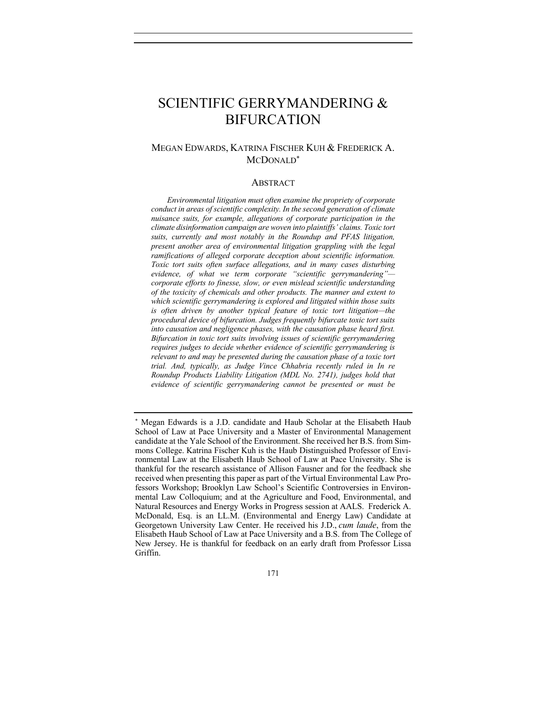# SCIENTIFIC GERRYMANDERING & BIFURCATION

# MEGAN EDWARDS, KATRINA FISCHER KUH & FREDERICK A. MCDONALD\*

#### ABSTRACT

*Environmental litigation must often examine the propriety of corporate conduct in areas of scientific complexity. In the second generation of climate nuisance suits, for example, allegations of corporate participation in the climate disinformation campaign are woven into plaintiffs' claims. Toxic tort suits, currently and most notably in the Roundup and PFAS litigation, present another area of environmental litigation grappling with the legal ramifications of alleged corporate deception about scientific information. Toxic tort suits often surface allegations, and in many cases disturbing evidence, of what we term corporate "scientific gerrymandering" corporate efforts to finesse, slow, or even mislead scientific understanding of the toxicity of chemicals and other products. The manner and extent to which scientific gerrymandering is explored and litigated within those suits is often driven by another typical feature of toxic tort litigation—the procedural device of bifurcation. Judges frequently bifurcate toxic tort suits into causation and negligence phases, with the causation phase heard first. Bifurcation in toxic tort suits involving issues of scientific gerrymandering requires judges to decide whether evidence of scientific gerrymandering is relevant to and may be presented during the causation phase of a toxic tort trial. And, typically, as Judge Vince Chhabria recently ruled in In re Roundup Products Liability Litigation (MDL No. 2741), judges hold that evidence of scientific gerrymandering cannot be presented or must be* 

<sup>\*</sup> Megan Edwards is a J.D. candidate and Haub Scholar at the Elisabeth Haub School of Law at Pace University and a Master of Environmental Management candidate at the Yale School of the Environment. She received her B.S. from Simmons College. Katrina Fischer Kuh is the Haub Distinguished Professor of Environmental Law at the Elisabeth Haub School of Law at Pace University. She is thankful for the research assistance of Allison Fausner and for the feedback she received when presenting this paper as part of the Virtual Environmental Law Professors Workshop; Brooklyn Law School's Scientific Controversies in Environmental Law Colloquium; and at the Agriculture and Food, Environmental, and Natural Resources and Energy Works in Progress session at AALS. Frederick A. McDonald, Esq. is an LL.M. (Environmental and Energy Law) Candidate at Georgetown University Law Center. He received his J.D., *cum laude*, from the Elisabeth Haub School of Law at Pace University and a B.S. from The College of New Jersey. He is thankful for feedback on an early draft from Professor Lissa Griffin.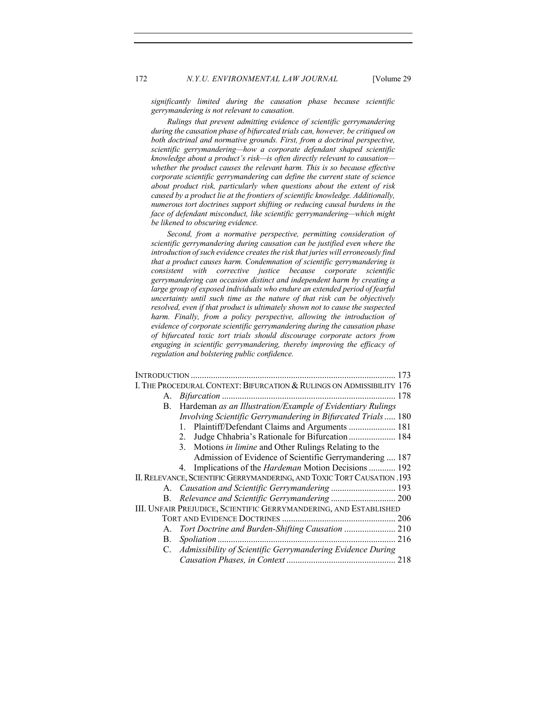*significantly limited during the causation phase because scientific gerrymandering is not relevant to causation.* 

*Rulings that prevent admitting evidence of scientific gerrymandering during the causation phase of bifurcated trials can, however, be critiqued on both doctrinal and normative grounds. First, from a doctrinal perspective, scientific gerrymandering—how a corporate defendant shaped scientific knowledge about a product's risk—is often directly relevant to causation whether the product causes the relevant harm. This is so because effective corporate scientific gerrymandering can define the current state of science about product risk, particularly when questions about the extent of risk caused by a product lie at the frontiers of scientific knowledge. Additionally, numerous tort doctrines support shifting or reducing causal burdens in the face of defendant misconduct, like scientific gerrymandering—which might be likened to obscuring evidence.*

*Second, from a normative perspective, permitting consideration of scientific gerrymandering during causation can be justified even where the introduction of such evidence creates the risk that juries will erroneously find that a product causes harm. Condemnation of scientific gerrymandering is consistent with corrective justice because corporate scientific gerrymandering can occasion distinct and independent harm by creating a*  large group of exposed individuals who endure an extended period of fearful *uncertainty until such time as the nature of that risk can be objectively resolved, even if that product is ultimately shown not to cause the suspected*  harm. Finally, from a policy perspective, allowing the introduction of *evidence of corporate scientific gerrymandering during the causation phase of bifurcated toxic tort trials should discourage corporate actors from engaging in scientific gerrymandering, thereby improving the efficacy of regulation and bolstering public confidence.*

| I. THE PROCEDURAL CONTEXT: BIFURCATION & RULINGS ON ADMISSIBILITY 176   |                                                                 |  |
|-------------------------------------------------------------------------|-----------------------------------------------------------------|--|
| A.                                                                      |                                                                 |  |
| В.                                                                      | Hardeman as an Illustration/Example of Evidentiary Rulings      |  |
|                                                                         | Involving Scientific Gerrymandering in Bifurcated Trials 180    |  |
|                                                                         | 1. Plaintiff/Defendant Claims and Arguments  181                |  |
|                                                                         | Judge Chhabria's Rationale for Bifurcation 184<br>2.            |  |
|                                                                         | Motions in limine and Other Rulings Relating to the<br>3.       |  |
|                                                                         | Admission of Evidence of Scientific Gerrymandering  187         |  |
|                                                                         | Implications of the <i>Hardeman</i> Motion Decisions  192<br>4. |  |
| II. RELEVANCE, SCIENTIFIC GERRYMANDERING, AND TOXIC TORT CAUSATION .193 |                                                                 |  |
|                                                                         |                                                                 |  |
| В.                                                                      |                                                                 |  |
| III. UNFAIR PREJUDICE, SCIENTIFIC GERRYMANDERING, AND ESTABLISHED       |                                                                 |  |
|                                                                         |                                                                 |  |
| А.                                                                      |                                                                 |  |
| В.                                                                      |                                                                 |  |
|                                                                         | C. Admissibility of Scientific Gerrymandering Evidence During   |  |
|                                                                         |                                                                 |  |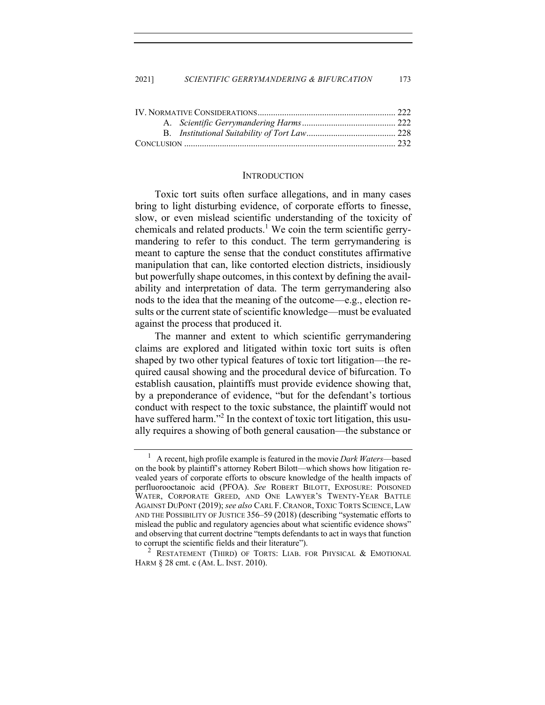#### **INTRODUCTION**

Toxic tort suits often surface allegations, and in many cases bring to light disturbing evidence, of corporate efforts to finesse, slow, or even mislead scientific understanding of the toxicity of chemicals and related products.<sup>1</sup> We coin the term scientific gerrymandering to refer to this conduct. The term gerrymandering is meant to capture the sense that the conduct constitutes affirmative manipulation that can, like contorted election districts, insidiously but powerfully shape outcomes, in this context by defining the availability and interpretation of data. The term gerrymandering also nods to the idea that the meaning of the outcome—e.g., election results or the current state of scientific knowledge—must be evaluated against the process that produced it.

The manner and extent to which scientific gerrymandering claims are explored and litigated within toxic tort suits is often shaped by two other typical features of toxic tort litigation—the required causal showing and the procedural device of bifurcation. To establish causation, plaintiffs must provide evidence showing that, by a preponderance of evidence, "but for the defendant's tortious conduct with respect to the toxic substance, the plaintiff would not have suffered harm."<sup>2</sup> In the context of toxic tort litigation, this usually requires a showing of both general causation—the substance or

<sup>1</sup> A recent, high profile example is featured in the movie *Dark Waters*––based on the book by plaintiff's attorney Robert Bilott––which shows how litigation revealed years of corporate efforts to obscure knowledge of the health impacts of perfluorooctanoic acid (PFOA). *See* ROBERT BILOTT, EXPOSURE: POISONED WATER, CORPORATE GREED, AND ONE LAWYER'S TWENTY-YEAR BATTLE AGAINST DUPONT (2019); *see also* CARL F. CRANOR, TOXIC TORTS SCIENCE, LAW AND THE POSSIBILITY OF JUSTICE 356–59 (2018) (describing "systematic efforts to mislead the public and regulatory agencies about what scientific evidence shows" and observing that current doctrine "tempts defendants to act in ways that function to corrupt the scientific fields and their literature").

<sup>&</sup>lt;sup>2</sup> RESTATEMENT (THIRD) OF TORTS: LIAB. FOR PHYSICAL & EMOTIONAL HARM § 28 cmt. c (AM. L. INST. 2010).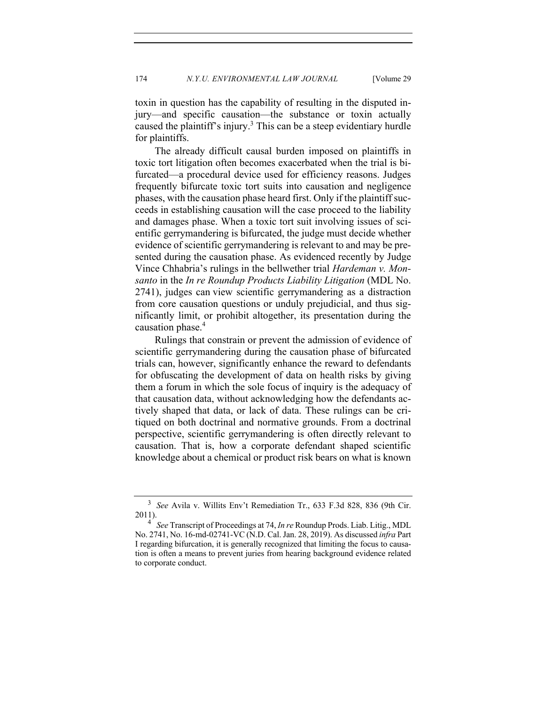toxin in question has the capability of resulting in the disputed injury—and specific causation—the substance or toxin actually caused the plaintiff's injury.<sup>3</sup> This can be a steep evidentiary hurdle for plaintiffs.

The already difficult causal burden imposed on plaintiffs in toxic tort litigation often becomes exacerbated when the trial is bifurcated—a procedural device used for efficiency reasons. Judges frequently bifurcate toxic tort suits into causation and negligence phases, with the causation phase heard first. Only if the plaintiff succeeds in establishing causation will the case proceed to the liability and damages phase. When a toxic tort suit involving issues of scientific gerrymandering is bifurcated, the judge must decide whether evidence of scientific gerrymandering is relevant to and may be presented during the causation phase. As evidenced recently by Judge Vince Chhabria's rulings in the bellwether trial *Hardeman v. Monsanto* in the *In re Roundup Products Liability Litigation* (MDL No. 2741), judges can view scientific gerrymandering as a distraction from core causation questions or unduly prejudicial, and thus significantly limit, or prohibit altogether, its presentation during the causation phase.<sup>4</sup>

Rulings that constrain or prevent the admission of evidence of scientific gerrymandering during the causation phase of bifurcated trials can, however, significantly enhance the reward to defendants for obfuscating the development of data on health risks by giving them a forum in which the sole focus of inquiry is the adequacy of that causation data, without acknowledging how the defendants actively shaped that data, or lack of data. These rulings can be critiqued on both doctrinal and normative grounds. From a doctrinal perspective, scientific gerrymandering is often directly relevant to causation. That is, how a corporate defendant shaped scientific knowledge about a chemical or product risk bears on what is known

<sup>3</sup> *See* Avila v. Willits Env't Remediation Tr., 633 F.3d 828, 836 (9th Cir. 2011).

<sup>4</sup> *See* Transcript of Proceedings at 74, *In re* Roundup Prods. Liab. Litig., MDL No. 2741, No. 16-md-02741-VC (N.D. Cal. Jan. 28, 2019). As discussed *infra* Part I regarding bifurcation, it is generally recognized that limiting the focus to causation is often a means to prevent juries from hearing background evidence related to corporate conduct.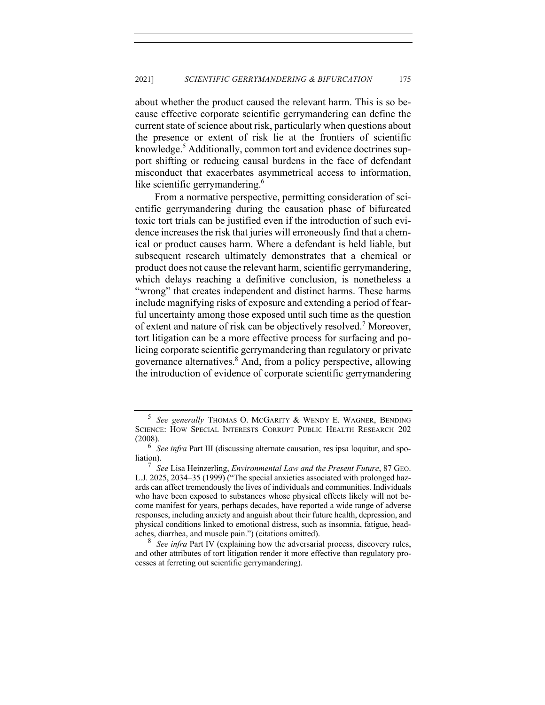about whether the product caused the relevant harm. This is so because effective corporate scientific gerrymandering can define the current state of science about risk, particularly when questions about the presence or extent of risk lie at the frontiers of scientific knowledge.<sup>5</sup> Additionally, common tort and evidence doctrines support shifting or reducing causal burdens in the face of defendant misconduct that exacerbates asymmetrical access to information, like scientific gerrymandering.<sup>6</sup>

From a normative perspective, permitting consideration of scientific gerrymandering during the causation phase of bifurcated toxic tort trials can be justified even if the introduction of such evidence increases the risk that juries will erroneously find that a chemical or product causes harm. Where a defendant is held liable, but subsequent research ultimately demonstrates that a chemical or product does not cause the relevant harm, scientific gerrymandering, which delays reaching a definitive conclusion, is nonetheless a "wrong" that creates independent and distinct harms. These harms include magnifying risks of exposure and extending a period of fearful uncertainty among those exposed until such time as the question of extent and nature of risk can be objectively resolved.<sup>7</sup> Moreover, tort litigation can be a more effective process for surfacing and policing corporate scientific gerrymandering than regulatory or private governance alternatives.8 And, from a policy perspective, allowing the introduction of evidence of corporate scientific gerrymandering

<sup>5</sup> *See generally* THOMAS O. MCGARITY & WENDY E. WAGNER, BENDING SCIENCE: HOW SPECIAL INTERESTS CORRUPT PUBLIC HEALTH RESEARCH 202  $(2008).$ 

<sup>6</sup> *See infra* Part III (discussing alternate causation, res ipsa loquitur, and spoliation).

<sup>7</sup> *See* Lisa Heinzerling, *Environmental Law and the Present Future*, 87 GEO. L.J. 2025, 2034–35 (1999) ("The special anxieties associated with prolonged hazards can affect tremendously the lives of individuals and communities. Individuals who have been exposed to substances whose physical effects likely will not become manifest for years, perhaps decades, have reported a wide range of adverse responses, including anxiety and anguish about their future health, depression, and physical conditions linked to emotional distress, such as insomnia, fatigue, headaches, diarrhea, and muscle pain.") (citations omitted).

See infra Part IV (explaining how the adversarial process, discovery rules, and other attributes of tort litigation render it more effective than regulatory processes at ferreting out scientific gerrymandering).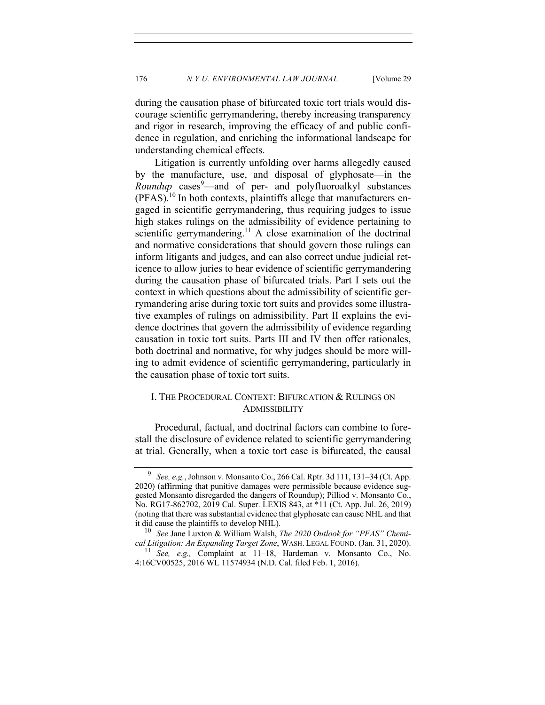during the causation phase of bifurcated toxic tort trials would discourage scientific gerrymandering, thereby increasing transparency and rigor in research, improving the efficacy of and public confidence in regulation, and enriching the informational landscape for understanding chemical effects.

Litigation is currently unfolding over harms allegedly caused by the manufacture, use, and disposal of glyphosate—in the *Roundup* cases<sup>9</sup>—and of per- and polyfluoroalkyl substances (PFAS).10 In both contexts, plaintiffs allege that manufacturers engaged in scientific gerrymandering, thus requiring judges to issue high stakes rulings on the admissibility of evidence pertaining to scientific gerrymandering.<sup>11</sup> A close examination of the doctrinal and normative considerations that should govern those rulings can inform litigants and judges, and can also correct undue judicial reticence to allow juries to hear evidence of scientific gerrymandering during the causation phase of bifurcated trials. Part I sets out the context in which questions about the admissibility of scientific gerrymandering arise during toxic tort suits and provides some illustrative examples of rulings on admissibility. Part II explains the evidence doctrines that govern the admissibility of evidence regarding causation in toxic tort suits. Parts III and IV then offer rationales, both doctrinal and normative, for why judges should be more willing to admit evidence of scientific gerrymandering, particularly in the causation phase of toxic tort suits.

# I. THE PROCEDURAL CONTEXT: BIFURCATION & RULINGS ON **ADMISSIBILITY**

Procedural, factual, and doctrinal factors can combine to forestall the disclosure of evidence related to scientific gerrymandering at trial. Generally, when a toxic tort case is bifurcated, the causal

<sup>9</sup> *See, e.g.*, Johnson v. Monsanto Co., 266 Cal. Rptr. 3d 111, 131–34 (Ct. App. 2020) (affirming that punitive damages were permissible because evidence suggested Monsanto disregarded the dangers of Roundup); Pilliod v. Monsanto Co., No. RG17-862702, 2019 Cal. Super. LEXIS 843, at \*11 (Ct. App. Jul. 26, 2019) (noting that there was substantial evidence that glyphosate can cause NHL and that it did cause the plaintiffs to develop NHL).<br> $\frac{10}{2}$  See Jane Luxton & William Walsh

<sup>10</sup> *See* Jane Luxton & William Walsh, *The 2020 Outlook for "PFAS" Chemical Litigation: An Expanding Target Zone*, WASH. LEGAL FOUND. (Jan. 31, 2020).

<sup>11</sup> *See, e.g.,* Complaint at 11–18, Hardeman v. Monsanto Co., No. 4:16CV00525, 2016 WL 11574934 (N.D. Cal. filed Feb. 1, 2016).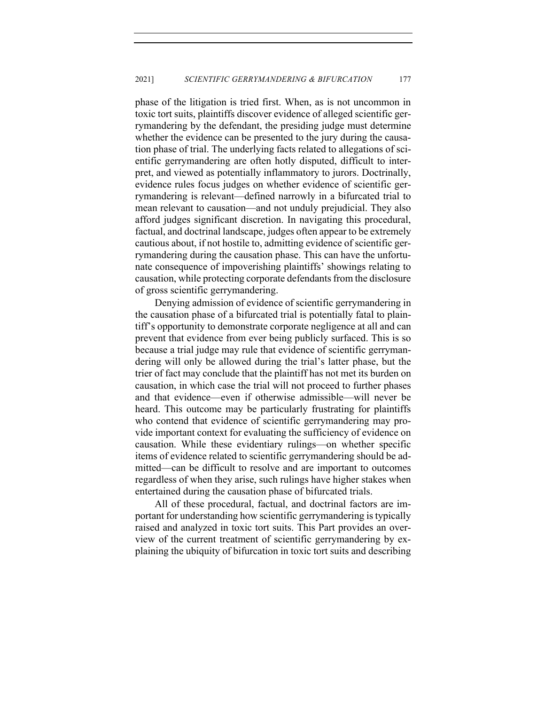phase of the litigation is tried first. When, as is not uncommon in toxic tort suits, plaintiffs discover evidence of alleged scientific gerrymandering by the defendant, the presiding judge must determine whether the evidence can be presented to the jury during the causation phase of trial. The underlying facts related to allegations of scientific gerrymandering are often hotly disputed, difficult to interpret, and viewed as potentially inflammatory to jurors. Doctrinally, evidence rules focus judges on whether evidence of scientific gerrymandering is relevant—defined narrowly in a bifurcated trial to mean relevant to causation—and not unduly prejudicial. They also afford judges significant discretion. In navigating this procedural, factual, and doctrinal landscape, judges often appear to be extremely cautious about, if not hostile to, admitting evidence of scientific gerrymandering during the causation phase. This can have the unfortunate consequence of impoverishing plaintiffs' showings relating to causation, while protecting corporate defendants from the disclosure of gross scientific gerrymandering.

Denying admission of evidence of scientific gerrymandering in the causation phase of a bifurcated trial is potentially fatal to plaintiff's opportunity to demonstrate corporate negligence at all and can prevent that evidence from ever being publicly surfaced. This is so because a trial judge may rule that evidence of scientific gerrymandering will only be allowed during the trial's latter phase, but the trier of fact may conclude that the plaintiff has not met its burden on causation, in which case the trial will not proceed to further phases and that evidence—even if otherwise admissible—will never be heard. This outcome may be particularly frustrating for plaintiffs who contend that evidence of scientific gerrymandering may provide important context for evaluating the sufficiency of evidence on causation. While these evidentiary rulings—on whether specific items of evidence related to scientific gerrymandering should be admitted—can be difficult to resolve and are important to outcomes regardless of when they arise, such rulings have higher stakes when entertained during the causation phase of bifurcated trials.

All of these procedural, factual, and doctrinal factors are important for understanding how scientific gerrymandering is typically raised and analyzed in toxic tort suits. This Part provides an overview of the current treatment of scientific gerrymandering by explaining the ubiquity of bifurcation in toxic tort suits and describing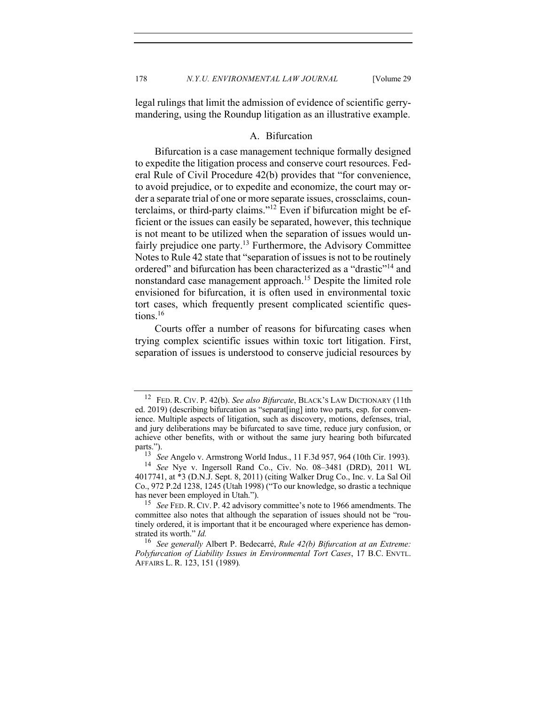legal rulings that limit the admission of evidence of scientific gerrymandering, using the Roundup litigation as an illustrative example.

## A. Bifurcation

Bifurcation is a case management technique formally designed to expedite the litigation process and conserve court resources. Federal Rule of Civil Procedure 42(b) provides that "for convenience, to avoid prejudice, or to expedite and economize, the court may order a separate trial of one or more separate issues, crossclaims, counterclaims, or third-party claims."<sup>12</sup> Even if bifurcation might be efficient or the issues can easily be separated, however, this technique is not meant to be utilized when the separation of issues would unfairly prejudice one party.<sup>13</sup> Furthermore, the Advisory Committee Notes to Rule 42 state that "separation of issues is not to be routinely ordered" and bifurcation has been characterized as a "drastic"<sup>14</sup> and nonstandard case management approach.<sup>15</sup> Despite the limited role envisioned for bifurcation, it is often used in environmental toxic tort cases, which frequently present complicated scientific questions.<sup>16</sup>

Courts offer a number of reasons for bifurcating cases when trying complex scientific issues within toxic tort litigation. First, separation of issues is understood to conserve judicial resources by

<sup>12</sup> FED. R. CIV. P. 42(b). *See also Bifurcate*, BLACK'S LAW DICTIONARY (11th ed. 2019) (describing bifurcation as "separat[ing] into two parts, esp. for convenience. Multiple aspects of litigation, such as discovery, motions, defenses, trial, and jury deliberations may be bifurcated to save time, reduce jury confusion, or achieve other benefits, with or without the same jury hearing both bifurcated parts.").

<sup>13</sup> *See* Angelo v. Armstrong World Indus., 11 F.3d 957, 964 (10th Cir. 1993).

<sup>14</sup> *See* Nye v. Ingersoll Rand Co., Civ. No. 08–3481 (DRD), 2011 WL 4017741, at \*3 (D.N.J. Sept. 8, 2011) (citing Walker Drug Co., Inc. v. La Sal Oil Co., 972 P.2d 1238, 1245 (Utah 1998) ("To our knowledge, so drastic a technique has never been employed in Utah.").

<sup>15</sup> *See* FED. R. CIV. P. 42 advisory committee's note to 1966 amendments. The committee also notes that although the separation of issues should not be "routinely ordered, it is important that it be encouraged where experience has demonstrated its worth." *Id.* 16 *See generally* Albert P. Bedecarré, *Rule 42(b) Bifurcation at an Extreme:* 

*Polyfurcation of Liability Issues in Environmental Tort Cases*, 17 B.C. ENVTL. AFFAIRS L. R. 123, 151 (1989)*.*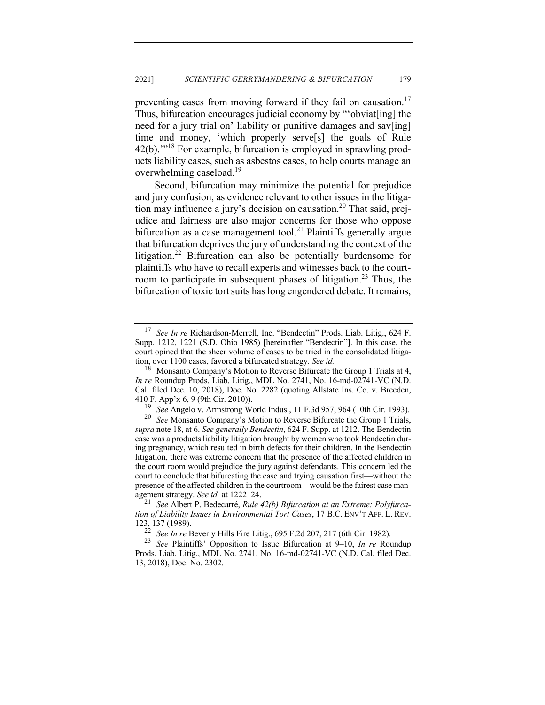preventing cases from moving forward if they fail on causation.<sup>17</sup> Thus, bifurcation encourages judicial economy by "'obviat[ing] the need for a jury trial on' liability or punitive damages and sav[ing] time and money, 'which properly serve[s] the goals of Rule 42(b).'"18 For example, bifurcation is employed in sprawling products liability cases, such as asbestos cases, to help courts manage an overwhelming caseload.<sup>19</sup>

Second, bifurcation may minimize the potential for prejudice and jury confusion, as evidence relevant to other issues in the litigation may influence a jury's decision on causation.<sup>20</sup> That said, prejudice and fairness are also major concerns for those who oppose bifurcation as a case management tool.<sup>21</sup> Plaintiffs generally argue that bifurcation deprives the jury of understanding the context of the litigation.<sup>22</sup> Bifurcation can also be potentially burdensome for plaintiffs who have to recall experts and witnesses back to the courtroom to participate in subsequent phases of litigation.<sup>23</sup> Thus, the bifurcation of toxic tort suits has long engendered debate. It remains,

<sup>17</sup> *See In re* Richardson-Merrell, Inc. "Bendectin" Prods. Liab. Litig., 624 F. Supp. 1212, 1221 (S.D. Ohio 1985) [hereinafter "Bendectin"]. In this case, the court opined that the sheer volume of cases to be tried in the consolidated litigation, over 1100 cases, favored a bifurcated strategy. *See id.*

<sup>&</sup>lt;sup>18</sup> Monsanto Company's Motion to Reverse Bifurcate the Group 1 Trials at 4, *In re* Roundup Prods. Liab. Litig., MDL No. 2741, No. 16-md-02741-VC (N.D. Cal. filed Dec. 10, 2018), Doc. No. 2282 (quoting Allstate Ins. Co. v. Breeden, 410 F. App'x 6, 9 (9th Cir. 2010)).<br><sup>19</sup> See Angelo y, Armstrong We

<sup>&</sup>lt;sup>19</sup> *See* Angelo v. Armstrong World Indus., 11 F.3d 957, 964 (10th Cir. 1993).<br><sup>20</sup> *See* Monsanto Company's Motion to Reverse Bifurcate the Group 1 Trials.

See Monsanto Company's Motion to Reverse Bifurcate the Group 1 Trials, *supra* note 18, at 6. *See generally Bendectin*, 624 F. Supp. at 1212. The Bendectin case was a products liability litigation brought by women who took Bendectin during pregnancy, which resulted in birth defects for their children. In the Bendectin litigation, there was extreme concern that the presence of the affected children in the court room would prejudice the jury against defendants. This concern led the court to conclude that bifurcating the case and trying causation first—without the presence of the affected children in the courtroom—would be the fairest case management strategy. *See id.* at 1222–24.

<sup>21</sup> *See* Albert P. Bedecarré, *Rule 42(b) Bifurcation at an Extreme: Polyfurcation of Liability Issues in Environmental Tort Cases*, 17 B.C. ENV'T AFF. L. REV.  $123, 137$  (1989).<br> $22$  See In the E

<sup>22</sup> *See In re* Beverly Hills Fire Litig., 695 F.2d 207, 217 (6th Cir. 1982).

<sup>23</sup> *See* Plaintiffs' Opposition to Issue Bifurcation at 9–10, *In re* Roundup Prods. Liab. Litig., MDL No. 2741, No. 16-md-02741-VC (N.D. Cal. filed Dec. 13, 2018), Doc. No. 2302.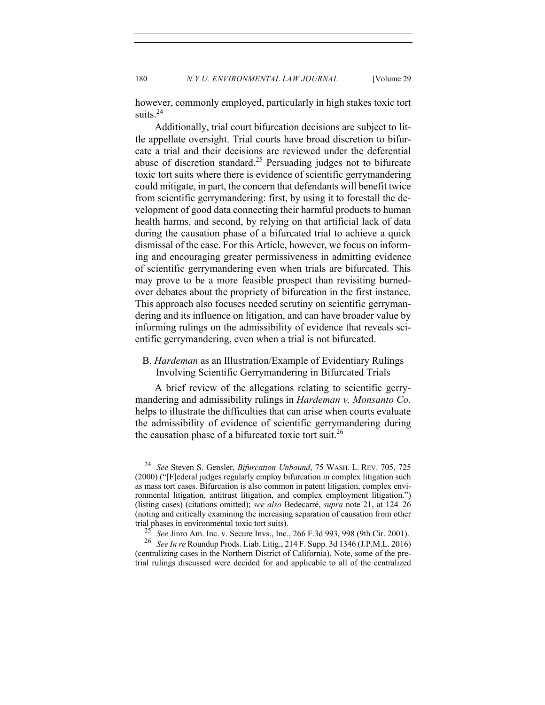however, commonly employed, particularly in high stakes toxic tort suits.<sup>24</sup>

Additionally, trial court bifurcation decisions are subject to little appellate oversight. Trial courts have broad discretion to bifurcate a trial and their decisions are reviewed under the deferential abuse of discretion standard.<sup>25</sup> Persuading judges not to bifurcate toxic tort suits where there is evidence of scientific gerrymandering could mitigate, in part, the concern that defendants will benefit twice from scientific gerrymandering: first, by using it to forestall the development of good data connecting their harmful products to human health harms, and second, by relying on that artificial lack of data during the causation phase of a bifurcated trial to achieve a quick dismissal of the case. For this Article, however, we focus on informing and encouraging greater permissiveness in admitting evidence of scientific gerrymandering even when trials are bifurcated. This may prove to be a more feasible prospect than revisiting burnedover debates about the propriety of bifurcation in the first instance. This approach also focuses needed scrutiny on scientific gerrymandering and its influence on litigation, and can have broader value by informing rulings on the admissibility of evidence that reveals scientific gerrymandering, even when a trial is not bifurcated.

# B. *Hardeman* as an Illustration/Example of Evidentiary Rulings Involving Scientific Gerrymandering in Bifurcated Trials

A brief review of the allegations relating to scientific gerrymandering and admissibility rulings in *Hardeman v. Monsanto Co.* helps to illustrate the difficulties that can arise when courts evaluate the admissibility of evidence of scientific gerrymandering during the causation phase of a bifurcated toxic tort suit.<sup>26</sup>

<sup>24</sup> *See* Steven S. Gensler, *Bifurcation Unbound*, 75 WASH. L. REV. 705, 725 (2000) ("[F]ederal judges regularly employ bifurcation in complex litigation such as mass tort cases. Bifurcation is also common in patent litigation, complex environmental litigation, antitrust litigation, and complex employment litigation.") (listing cases) (citations omitted); *see also* Bedecarré, *supra* note 21, at 124–26 (noting and critically examining the increasing separation of causation from other trial phases in environmental toxic tort suits).

<sup>&</sup>lt;sup>25</sup> *See* Jinro Am. Inc. v. Secure Invs., Inc., 266 F.3d 993, 998 (9th Cir. 2001).<br><sup>26</sup> *See In ve* Boundup Prods Ligh Litin, 214 E. Supp. 3d 1346 (LP M L. 2016)

<sup>26</sup> *See In re* Roundup Prods. Liab. Litig., 214 F. Supp. 3d 1346 (J.P.M.L. 2016) (centralizing cases in the Northern District of California). Note, some of the pretrial rulings discussed were decided for and applicable to all of the centralized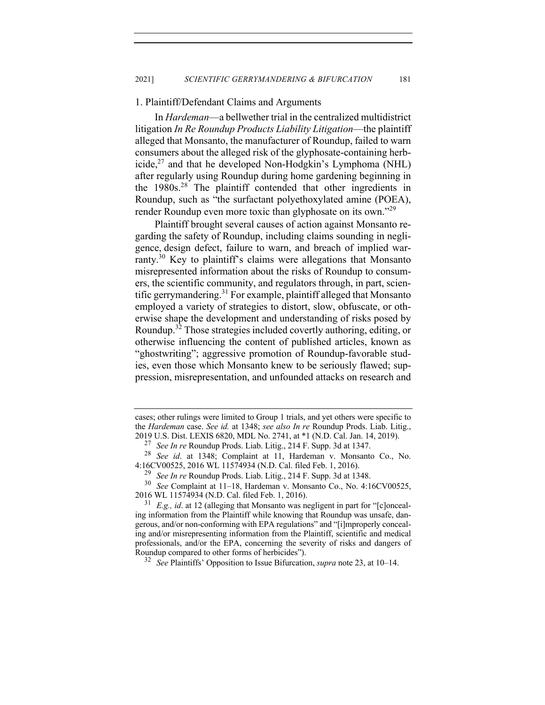## 1. Plaintiff/Defendant Claims and Arguments

In *Hardeman*—a bellwether trial in the centralized multidistrict litigation *In Re Roundup Products Liability Litigation*—the plaintiff alleged that Monsanto, the manufacturer of Roundup, failed to warn consumers about the alleged risk of the glyphosate-containing herbicide, $^{27}$  and that he developed Non-Hodgkin's Lymphoma (NHL) after regularly using Roundup during home gardening beginning in the 1980s.<sup>28</sup> The plaintiff contended that other ingredients in Roundup, such as "the surfactant polyethoxylated amine (POEA), render Roundup even more toxic than glyphosate on its own."<sup>29</sup>

Plaintiff brought several causes of action against Monsanto regarding the safety of Roundup, including claims sounding in negligence, design defect, failure to warn, and breach of implied warranty.30 Key to plaintiff's claims were allegations that Monsanto misrepresented information about the risks of Roundup to consumers, the scientific community, and regulators through, in part, scientific gerrymandering.<sup>31</sup> For example, plaintiff alleged that Monsanto employed a variety of strategies to distort, slow, obfuscate, or otherwise shape the development and understanding of risks posed by Roundup.<sup>32</sup> Those strategies included covertly authoring, editing, or otherwise influencing the content of published articles, known as "ghostwriting"; aggressive promotion of Roundup-favorable studies, even those which Monsanto knew to be seriously flawed; suppression, misrepresentation, and unfounded attacks on research and

cases; other rulings were limited to Group 1 trials, and yet others were specific to the *Hardeman* case. *See id.* at 1348; *see also In re* Roundup Prods. Liab. Litig., 2019 U.S. Dist. LEXIS 6820, MDL No. 2741, at \*1 (N.D. Cal. Jan. 14, 2019).

<sup>27</sup> *See In re* Roundup Prods. Liab. Litig., 214 F. Supp. 3d at 1347.

See id. at 1348; Complaint at 11, Hardeman v. Monsanto Co., No. 4:16CV00525, 2016 WL 11574934 (N.D. Cal. filed Feb. 1, 2016).

<sup>29</sup> *See In re* Roundup Prods. Liab. Litig., 214 F. Supp. 3d at 1348.

<sup>30</sup> *See* Complaint at 11–18, Hardeman v. Monsanto Co., No. 4:16CV00525, 2016 WL 11574934 (N.D. Cal. filed Feb. 1, 2016).

<sup>31</sup> *E.g., id*. at 12 (alleging that Monsanto was negligent in part for "[c]oncealing information from the Plaintiff while knowing that Roundup was unsafe, dangerous, and/or non-conforming with EPA regulations" and "[i]mproperly concealing and/or misrepresenting information from the Plaintiff, scientific and medical professionals, and/or the EPA, concerning the severity of risks and dangers of Roundup compared to other forms of herbicides").

<sup>32</sup> *See* Plaintiffs' Opposition to Issue Bifurcation, *supra* note 23, at 10–14.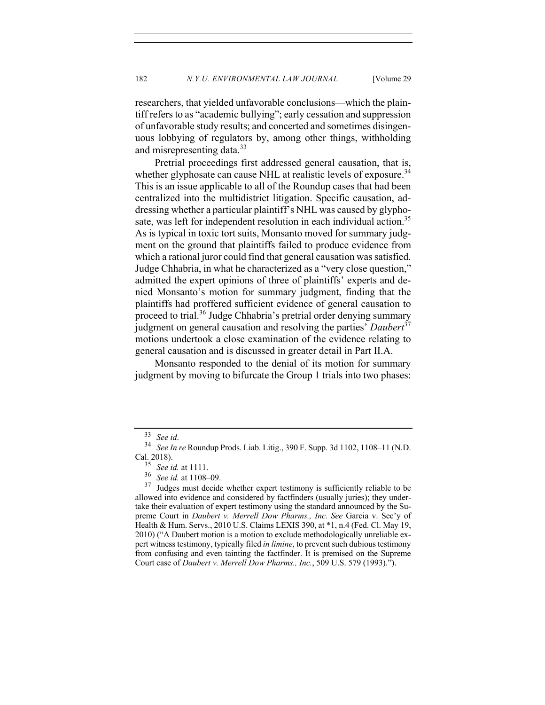researchers, that yielded unfavorable conclusions—which the plaintiff refers to as "academic bullying"; early cessation and suppression of unfavorable study results; and concerted and sometimes disingenuous lobbying of regulators by, among other things, withholding and misrepresenting data.33

Pretrial proceedings first addressed general causation, that is, whether glyphosate can cause NHL at realistic levels of exposure.<sup>34</sup> This is an issue applicable to all of the Roundup cases that had been centralized into the multidistrict litigation. Specific causation, addressing whether a particular plaintiff's NHL was caused by glyphosate, was left for independent resolution in each individual action.<sup>35</sup> As is typical in toxic tort suits, Monsanto moved for summary judgment on the ground that plaintiffs failed to produce evidence from which a rational juror could find that general causation was satisfied. Judge Chhabria, in what he characterized as a "very close question," admitted the expert opinions of three of plaintiffs' experts and denied Monsanto's motion for summary judgment, finding that the plaintiffs had proffered sufficient evidence of general causation to proceed to trial.<sup>36</sup> Judge Chhabria's pretrial order denying summary judgment on general causation and resolving the parties' *Daubert*<sup>37</sup> motions undertook a close examination of the evidence relating to general causation and is discussed in greater detail in Part II.A.

Monsanto responded to the denial of its motion for summary judgment by moving to bifurcate the Group 1 trials into two phases:

<sup>33</sup> *See id*. <sup>34</sup> *See In re* Roundup Prods. Liab. Litig., 390 F. Supp. 3d 1102, 1108–11 (N.D. Cal. 2018).

<sup>35</sup> *See id.* at 1111. <sup>36</sup> *See id.* at 1108–09.

Judges must decide whether expert testimony is sufficiently reliable to be allowed into evidence and considered by factfinders (usually juries); they undertake their evaluation of expert testimony using the standard announced by the Supreme Court in *Daubert v. Merrell Dow Pharms., Inc. See* Garcia v. Sec'y of Health & Hum. Servs., 2010 U.S. Claims LEXIS 390, at \*1, n.4 (Fed. Cl. May 19, 2010) ("A Daubert motion is a motion to exclude methodologically unreliable expert witness testimony, typically filed *in limine*, to prevent such dubious testimony from confusing and even tainting the factfinder. It is premised on the Supreme Court case of *Daubert v. Merrell Dow Pharms., Inc.*, 509 U.S. 579 (1993).").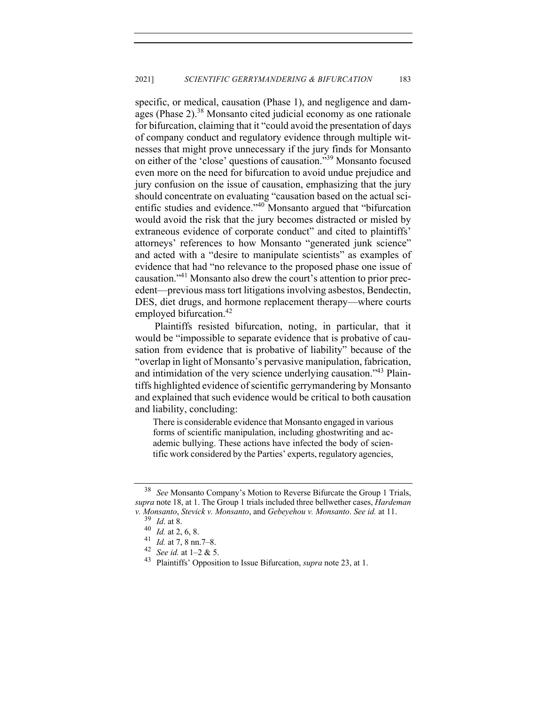specific, or medical, causation (Phase 1), and negligence and damages (Phase 2).<sup>38</sup> Monsanto cited judicial economy as one rationale for bifurcation, claiming that it "could avoid the presentation of days of company conduct and regulatory evidence through multiple witnesses that might prove unnecessary if the jury finds for Monsanto on either of the 'close' questions of causation."39 Monsanto focused even more on the need for bifurcation to avoid undue prejudice and jury confusion on the issue of causation, emphasizing that the jury should concentrate on evaluating "causation based on the actual scientific studies and evidence."<sup>40</sup> Monsanto argued that "bifurcation would avoid the risk that the jury becomes distracted or misled by extraneous evidence of corporate conduct" and cited to plaintiffs' attorneys' references to how Monsanto "generated junk science" and acted with a "desire to manipulate scientists" as examples of evidence that had "no relevance to the proposed phase one issue of causation."41 Monsanto also drew the court's attention to prior precedent—previous mass tort litigations involving asbestos, Bendectin, DES, diet drugs, and hormone replacement therapy—where courts employed bifurcation.<sup>42</sup>

Plaintiffs resisted bifurcation, noting, in particular, that it would be "impossible to separate evidence that is probative of causation from evidence that is probative of liability" because of the "overlap in light of Monsanto's pervasive manipulation, fabrication, and intimidation of the very science underlying causation."<sup>43</sup> Plaintiffs highlighted evidence of scientific gerrymandering by Monsanto and explained that such evidence would be critical to both causation and liability, concluding:

There is considerable evidence that Monsanto engaged in various forms of scientific manipulation, including ghostwriting and academic bullying. These actions have infected the body of scientific work considered by the Parties' experts, regulatory agencies,

<sup>38</sup> *See* Monsanto Company's Motion to Reverse Bifurcate the Group 1 Trials, *supra* note 18, at 1. The Group 1 trials included three bellwether cases, *Hardeman v. Monsanto*, *Stevick v. Monsanto*, and *Gebeyehou v. Monsanto*. *See id.* at 11.

 $\frac{39}{40}$  *Id.* at 8.<br>40 *Id* at 2

 $^{40}$  *Id.* at 2, 6, 8.

<sup>&</sup>lt;sup>41</sup> *Id.* at 7, 8 nn. 7–8.<br><sup>42</sup> Second at 1, 2 & 5 <sup>42</sup> *See id.* at 1–2 & 5.

<sup>43</sup> Plaintiffs' Opposition to Issue Bifurcation, *supra* note 23, at 1.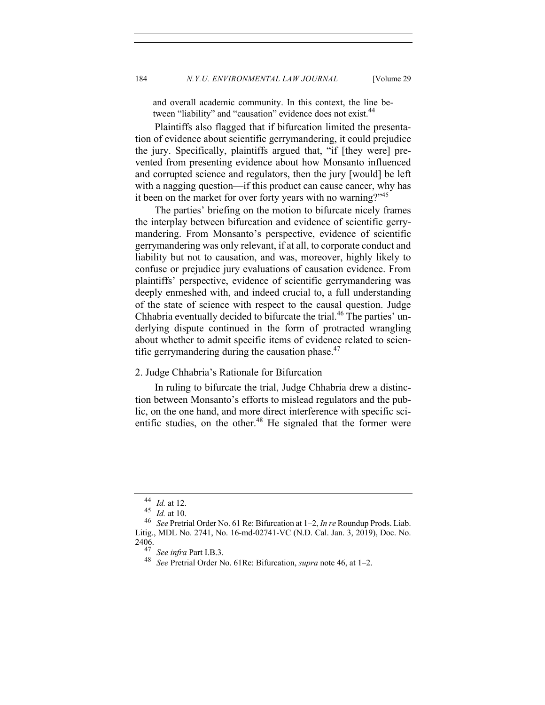and overall academic community. In this context, the line between "liability" and "causation" evidence does not exist.<sup>44</sup>

Plaintiffs also flagged that if bifurcation limited the presentation of evidence about scientific gerrymandering, it could prejudice the jury. Specifically, plaintiffs argued that, "if [they were] prevented from presenting evidence about how Monsanto influenced and corrupted science and regulators, then the jury [would] be left with a nagging question—if this product can cause cancer, why has it been on the market for over forty years with no warning?"<sup>45</sup>

The parties' briefing on the motion to bifurcate nicely frames the interplay between bifurcation and evidence of scientific gerrymandering. From Monsanto's perspective, evidence of scientific gerrymandering was only relevant, if at all, to corporate conduct and liability but not to causation, and was, moreover, highly likely to confuse or prejudice jury evaluations of causation evidence. From plaintiffs' perspective, evidence of scientific gerrymandering was deeply enmeshed with, and indeed crucial to, a full understanding of the state of science with respect to the causal question. Judge Chhabria eventually decided to bifurcate the trial.<sup>46</sup> The parties' underlying dispute continued in the form of protracted wrangling about whether to admit specific items of evidence related to scientific gerrymandering during the causation phase. $47$ 

## 2. Judge Chhabria's Rationale for Bifurcation

In ruling to bifurcate the trial, Judge Chhabria drew a distinction between Monsanto's efforts to mislead regulators and the public, on the one hand, and more direct interference with specific scientific studies, on the other.<sup>48</sup> He signaled that the former were

<sup>44</sup> *Id.* at 12.

<sup>45</sup> *Id.* at 10.

<sup>46</sup> *See* Pretrial Order No. 61 Re: Bifurcation at 1–2, *In re* Roundup Prods. Liab. Litig., MDL No. 2741, No. 16-md-02741-VC (N.D. Cal. Jan. 3, 2019), Doc. No. 2406.

<sup>47</sup> *See infra* Part I.B.3.

<sup>48</sup> *See* Pretrial Order No. 61Re: Bifurcation, *supra* note 46, at 1–2.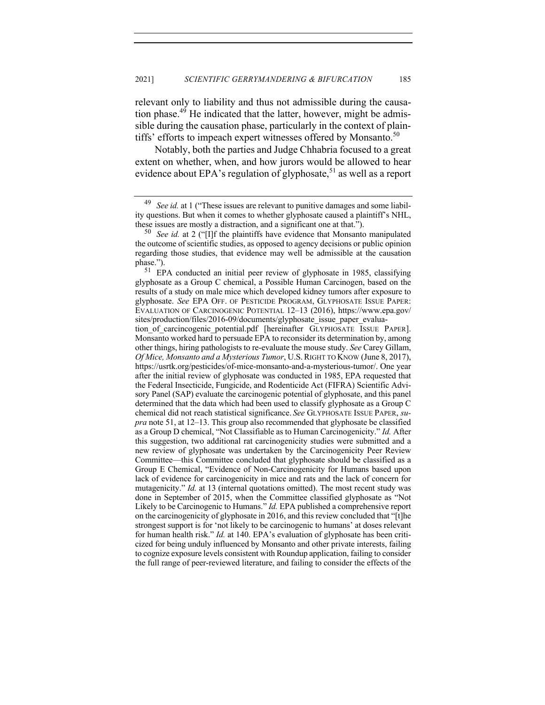relevant only to liability and thus not admissible during the causation phase.49 He indicated that the latter, however, might be admissible during the causation phase, particularly in the context of plaintiffs' efforts to impeach expert witnesses offered by Monsanto.<sup>50</sup>

Notably, both the parties and Judge Chhabria focused to a great extent on whether, when, and how jurors would be allowed to hear evidence about EPA's regulation of glyphosate,<sup>51</sup> as well as a report

<sup>49</sup> *See id.* at 1 ("These issues are relevant to punitive damages and some liability questions. But when it comes to whether glyphosate caused a plaintiff's NHL, these issues are mostly a distraction, and a significant one at that.").<br> $50 \text{ See } id$  at 2 ("Ill the plaintiffs have evidence that Monsanto

See id. at 2 ("[I]f the plaintiffs have evidence that Monsanto manipulated the outcome of scientific studies, as opposed to agency decisions or public opinion regarding those studies, that evidence may well be admissible at the causation phase.").

<sup>51</sup> EPA conducted an initial peer review of glyphosate in 1985, classifying glyphosate as a Group C chemical, a Possible Human Carcinogen, based on the results of a study on male mice which developed kidney tumors after exposure to glyphosate. *See* EPA OFF. OF PESTICIDE PROGRAM, GLYPHOSATE ISSUE PAPER: EVALUATION OF CARCINOGENIC POTENTIAL 12–13 (2016), https://www.epa.gov/ sites/production/files/2016-09/documents/glyphosate\_issue\_paper\_evalua-

tion\_of\_carcincogenic\_potential.pdf [hereinafter GLYPHOSATE ISSUE PAPER]. Monsanto worked hard to persuade EPA to reconsider its determination by, among other things, hiring pathologists to re-evaluate the mouse study. *See* Carey Gillam, *Of Mice, Monsanto and a Mysterious Tumor*, U.S.RIGHT TO KNOW (June 8, 2017), https://usrtk.org/pesticides/of-mice-monsanto-and-a-mysterious-tumor/. One year after the initial review of glyphosate was conducted in 1985, EPA requested that the Federal Insecticide, Fungicide, and Rodenticide Act (FIFRA) Scientific Advisory Panel (SAP) evaluate the carcinogenic potential of glyphosate, and this panel determined that the data which had been used to classify glyphosate as a Group C chemical did not reach statistical significance. *See* GLYPHOSATE ISSUE PAPER, *supra* note 51, at 12–13. This group also recommended that glyphosate be classified as a Group D chemical, "Not Classifiable as to Human Carcinogenicity." *Id.* After this suggestion, two additional rat carcinogenicity studies were submitted and a new review of glyphosate was undertaken by the Carcinogenicity Peer Review Committee—this Committee concluded that glyphosate should be classified as a Group E Chemical, "Evidence of Non-Carcinogenicity for Humans based upon lack of evidence for carcinogenicity in mice and rats and the lack of concern for mutagenicity." *Id.* at 13 (internal quotations omitted). The most recent study was done in September of 2015, when the Committee classified glyphosate as "Not Likely to be Carcinogenic to Humans." *Id.* EPA published a comprehensive report on the carcinogenicity of glyphosate in 2016, and this review concluded that "[t]he strongest support is for 'not likely to be carcinogenic to humans' at doses relevant for human health risk." *Id.* at 140. EPA's evaluation of glyphosate has been criticized for being unduly influenced by Monsanto and other private interests, failing to cognize exposure levels consistent with Roundup application, failing to consider the full range of peer-reviewed literature, and failing to consider the effects of the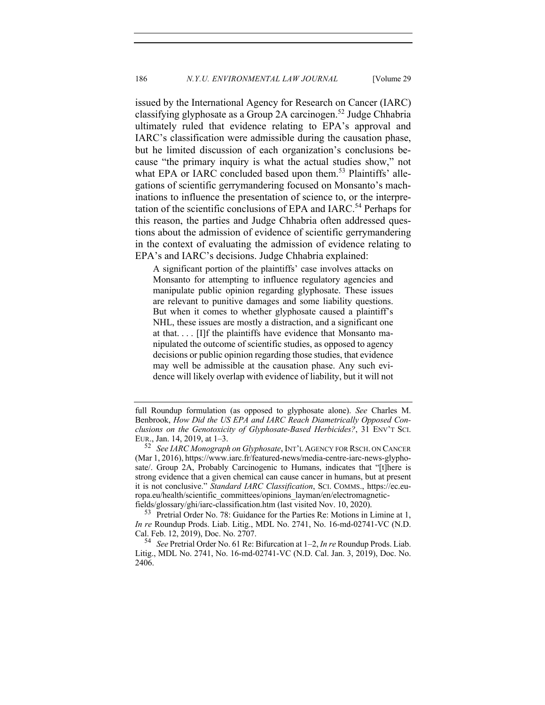issued by the International Agency for Research on Cancer (IARC) classifying glyphosate as a Group 2A carcinogen.<sup>52</sup> Judge Chhabria ultimately ruled that evidence relating to EPA's approval and IARC's classification were admissible during the causation phase, but he limited discussion of each organization's conclusions because "the primary inquiry is what the actual studies show," not what EPA or IARC concluded based upon them.<sup>53</sup> Plaintiffs' allegations of scientific gerrymandering focused on Monsanto's machinations to influence the presentation of science to, or the interpretation of the scientific conclusions of EPA and IARC.<sup>54</sup> Perhaps for this reason, the parties and Judge Chhabria often addressed questions about the admission of evidence of scientific gerrymandering in the context of evaluating the admission of evidence relating to EPA's and IARC's decisions. Judge Chhabria explained:

A significant portion of the plaintiffs' case involves attacks on Monsanto for attempting to influence regulatory agencies and manipulate public opinion regarding glyphosate. These issues are relevant to punitive damages and some liability questions. But when it comes to whether glyphosate caused a plaintiff's NHL, these issues are mostly a distraction, and a significant one at that. . . . [I]f the plaintiffs have evidence that Monsanto manipulated the outcome of scientific studies, as opposed to agency decisions or public opinion regarding those studies, that evidence may well be admissible at the causation phase. Any such evidence will likely overlap with evidence of liability, but it will not

full Roundup formulation (as opposed to glyphosate alone). *See* Charles M. Benbrook, *How Did the US EPA and IARC Reach Diametrically Opposed Conclusions on the Genotoxicity of Glyphosate-Based Herbicides?*, 31 ENV'T SCI. EUR., Jan. 14, 2019, at 1–3.<br> $\frac{52}{52}$  See LARC Monograph

<sup>52</sup> *See IARC Monograph on Glyphosate*, INT'L AGENCY FOR RSCH. ON CANCER (Mar 1, 2016), https://www.iarc.fr/featured-news/media-centre-iarc-news-glyphosate/. Group 2A, Probably Carcinogenic to Humans, indicates that "[t]here is strong evidence that a given chemical can cause cancer in humans, but at present it is not conclusive." *Standard IARC Classification*, SCI. COMMS., https://ec.europa.eu/health/scientific\_committees/opinions\_layman/en/electromagneticfields/glossary/ghi/iarc-classification.htm (last visited Nov. 10, 2020).

<sup>53</sup> Pretrial Order No. 78: Guidance for the Parties Re: Motions in Limine at 1, *In re* Roundup Prods. Liab. Litig., MDL No. 2741, No. 16-md-02741-VC (N.D. Cal. Feb. 12, 2019), Doc. No. 2707.

<sup>54</sup> *See* Pretrial Order No. 61 Re: Bifurcation at 1–2, *In re* Roundup Prods. Liab. Litig., MDL No. 2741, No. 16-md-02741-VC (N.D. Cal. Jan. 3, 2019), Doc. No. 2406.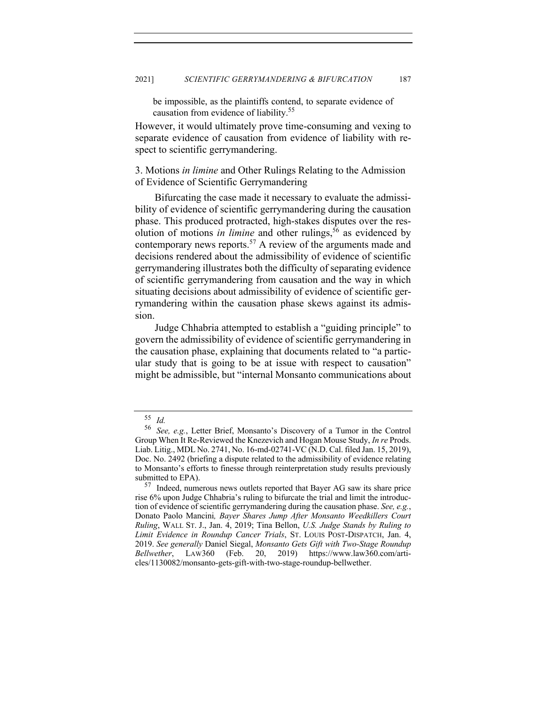be impossible, as the plaintiffs contend, to separate evidence of causation from evidence of liability.<sup>55</sup>

However, it would ultimately prove time-consuming and vexing to separate evidence of causation from evidence of liability with respect to scientific gerrymandering.

3. Motions *in limine* and Other Rulings Relating to the Admission of Evidence of Scientific Gerrymandering

Bifurcating the case made it necessary to evaluate the admissibility of evidence of scientific gerrymandering during the causation phase. This produced protracted, high-stakes disputes over the resolution of motions *in limine* and other rulings,<sup>56</sup> as evidenced by contemporary news reports.<sup>57</sup> A review of the arguments made and decisions rendered about the admissibility of evidence of scientific gerrymandering illustrates both the difficulty of separating evidence of scientific gerrymandering from causation and the way in which situating decisions about admissibility of evidence of scientific gerrymandering within the causation phase skews against its admission.

Judge Chhabria attempted to establish a "guiding principle" to govern the admissibility of evidence of scientific gerrymandering in the causation phase, explaining that documents related to "a particular study that is going to be at issue with respect to causation" might be admissible, but "internal Monsanto communications about

 $\frac{55}{56}$  *Id.* 

See, e.g., Letter Brief, Monsanto's Discovery of a Tumor in the Control Group When It Re-Reviewed the Knezevich and Hogan Mouse Study, *In re* Prods. Liab. Litig., MDL No. 2741, No. 16-md-02741-VC (N.D. Cal. filed Jan. 15, 2019), Doc. No. 2492 (briefing a dispute related to the admissibility of evidence relating to Monsanto's efforts to finesse through reinterpretation study results previously submitted to EPA).

<sup>&</sup>lt;sup>57</sup> Indeed, numerous news outlets reported that Bayer AG saw its share price rise 6% upon Judge Chhabria's ruling to bifurcate the trial and limit the introduction of evidence of scientific gerrymandering during the causation phase. *See, e.g.*, Donato Paolo Mancini*, Bayer Shares Jump After Monsanto Weedkillers Court Ruling*, WALL ST. J., Jan. 4, 2019; Tina Bellon, *U.S. Judge Stands by Ruling to Limit Evidence in Roundup Cancer Trials*, ST. LOUIS POST-DISPATCH, Jan. 4, 2019. *See generally* Daniel Siegal, *Monsanto Gets Gift with Two-Stage Roundup Bellwether*, LAW360 (Feb. 20, 2019) https://www.law360.com/articles/1130082/monsanto-gets-gift-with-two-stage-roundup-bellwether.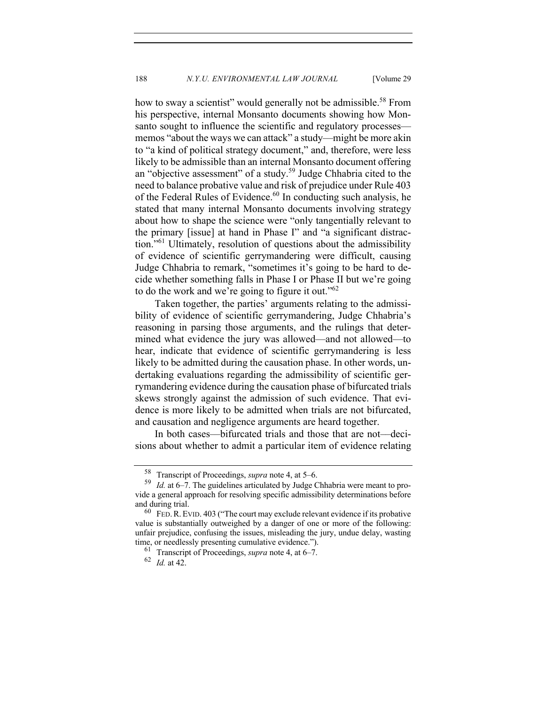how to sway a scientist" would generally not be admissible.<sup>58</sup> From his perspective, internal Monsanto documents showing how Monsanto sought to influence the scientific and regulatory processes memos "about the ways we can attack" a study—might be more akin to "a kind of political strategy document," and, therefore, were less likely to be admissible than an internal Monsanto document offering an "objective assessment" of a study.<sup>59</sup> Judge Chhabria cited to the need to balance probative value and risk of prejudice under Rule 403 of the Federal Rules of Evidence.60 In conducting such analysis, he stated that many internal Monsanto documents involving strategy about how to shape the science were "only tangentially relevant to the primary [issue] at hand in Phase I" and "a significant distraction."<sup>61</sup> Ultimately, resolution of questions about the admissibility of evidence of scientific gerrymandering were difficult, causing Judge Chhabria to remark, "sometimes it's going to be hard to decide whether something falls in Phase I or Phase II but we're going to do the work and we're going to figure it out."<sup>62</sup>

Taken together, the parties' arguments relating to the admissibility of evidence of scientific gerrymandering, Judge Chhabria's reasoning in parsing those arguments, and the rulings that determined what evidence the jury was allowed—and not allowed—to hear, indicate that evidence of scientific gerrymandering is less likely to be admitted during the causation phase. In other words, undertaking evaluations regarding the admissibility of scientific gerrymandering evidence during the causation phase of bifurcated trials skews strongly against the admission of such evidence. That evidence is more likely to be admitted when trials are not bifurcated, and causation and negligence arguments are heard together.

In both cases—bifurcated trials and those that are not—decisions about whether to admit a particular item of evidence relating

<sup>&</sup>lt;sup>58</sup> Transcript of Proceedings, *supra* note 4, at 5–6.<br><sup>59</sup> Id at 6–7 The quidelines articulated by Judge C

Id. at 6–7. The guidelines articulated by Judge Chhabria were meant to provide a general approach for resolving specific admissibility determinations before and during trial.

 $60$  FED. R. EVID. 403 ("The court may exclude relevant evidence if its probative value is substantially outweighed by a danger of one or more of the following: unfair prejudice, confusing the issues, misleading the jury, undue delay, wasting time, or needlessly presenting cumulative evidence.").

Transcript of Proceedings, *supra* note 4, at 6–7.

<sup>62</sup> *Id.* at 42.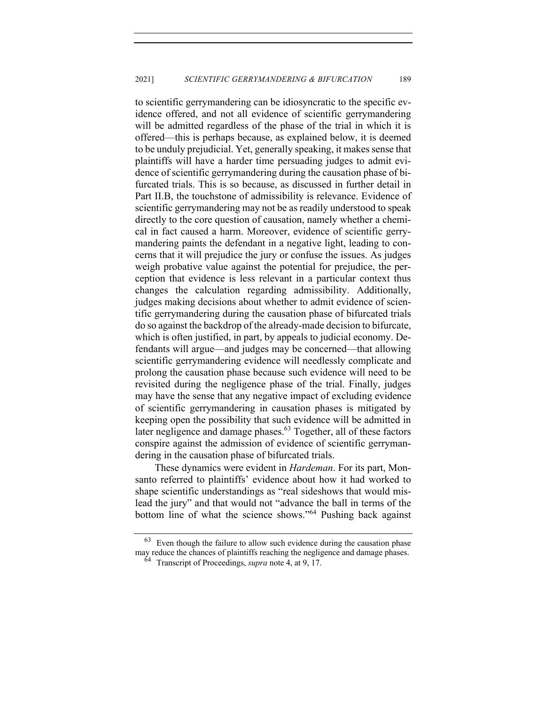to scientific gerrymandering can be idiosyncratic to the specific evidence offered, and not all evidence of scientific gerrymandering will be admitted regardless of the phase of the trial in which it is offered—this is perhaps because, as explained below, it is deemed to be unduly prejudicial. Yet, generally speaking, it makes sense that plaintiffs will have a harder time persuading judges to admit evidence of scientific gerrymandering during the causation phase of bifurcated trials. This is so because, as discussed in further detail in Part II.B, the touchstone of admissibility is relevance. Evidence of scientific gerrymandering may not be as readily understood to speak directly to the core question of causation, namely whether a chemical in fact caused a harm. Moreover, evidence of scientific gerrymandering paints the defendant in a negative light, leading to concerns that it will prejudice the jury or confuse the issues. As judges weigh probative value against the potential for prejudice, the perception that evidence is less relevant in a particular context thus changes the calculation regarding admissibility. Additionally, judges making decisions about whether to admit evidence of scientific gerrymandering during the causation phase of bifurcated trials do so against the backdrop of the already-made decision to bifurcate, which is often justified, in part, by appeals to judicial economy. Defendants will argue—and judges may be concerned—that allowing scientific gerrymandering evidence will needlessly complicate and prolong the causation phase because such evidence will need to be revisited during the negligence phase of the trial. Finally, judges may have the sense that any negative impact of excluding evidence of scientific gerrymandering in causation phases is mitigated by keeping open the possibility that such evidence will be admitted in later negligence and damage phases.<sup>63</sup> Together, all of these factors conspire against the admission of evidence of scientific gerrymandering in the causation phase of bifurcated trials.

These dynamics were evident in *Hardeman*. For its part, Monsanto referred to plaintiffs' evidence about how it had worked to shape scientific understandings as "real sideshows that would mislead the jury" and that would not "advance the ball in terms of the bottom line of what the science shows."64 Pushing back against

Even though the failure to allow such evidence during the causation phase may reduce the chances of plaintiffs reaching the negligence and damage phases.

<sup>64</sup> Transcript of Proceedings, *supra* note 4, at 9, 17.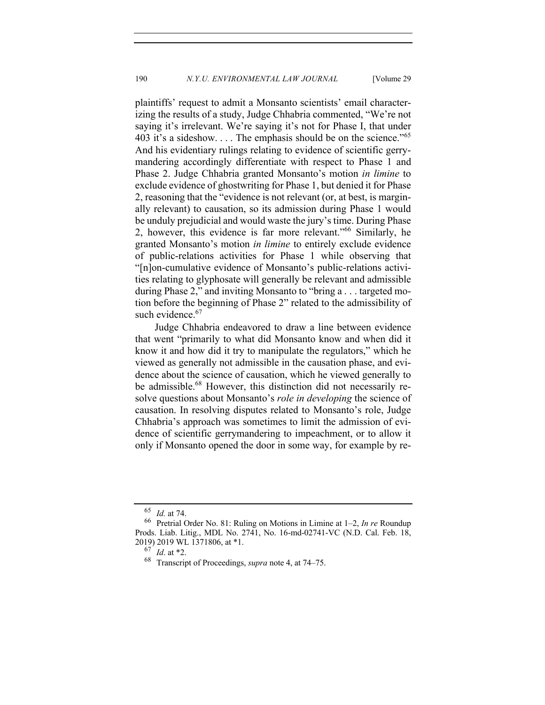plaintiffs' request to admit a Monsanto scientists' email characterizing the results of a study, Judge Chhabria commented, "We're not saying it's irrelevant. We're saying it's not for Phase I, that under 403 it's a sideshow.... The emphasis should be on the science."<sup>65</sup> And his evidentiary rulings relating to evidence of scientific gerrymandering accordingly differentiate with respect to Phase 1 and Phase 2. Judge Chhabria granted Monsanto's motion *in limine* to exclude evidence of ghostwriting for Phase 1, but denied it for Phase 2, reasoning that the "evidence is not relevant (or, at best, is marginally relevant) to causation, so its admission during Phase 1 would be unduly prejudicial and would waste the jury's time. During Phase 2, however, this evidence is far more relevant."<sup>66</sup> Similarly, he granted Monsanto's motion *in limine* to entirely exclude evidence of public-relations activities for Phase 1 while observing that "[n]on-cumulative evidence of Monsanto's public-relations activities relating to glyphosate will generally be relevant and admissible during Phase 2," and inviting Monsanto to "bring a . . . targeted motion before the beginning of Phase 2" related to the admissibility of such evidence.<sup>67</sup>

Judge Chhabria endeavored to draw a line between evidence that went "primarily to what did Monsanto know and when did it know it and how did it try to manipulate the regulators," which he viewed as generally not admissible in the causation phase, and evidence about the science of causation, which he viewed generally to be admissible.<sup>68</sup> However, this distinction did not necessarily resolve questions about Monsanto's *role in developing* the science of causation. In resolving disputes related to Monsanto's role, Judge Chhabria's approach was sometimes to limit the admission of evidence of scientific gerrymandering to impeachment, or to allow it only if Monsanto opened the door in some way, for example by re-

<sup>65</sup> *Id.* at 74.

<sup>66</sup> Pretrial Order No. 81: Ruling on Motions in Limine at 1–2, *In re* Roundup Prods. Liab. Litig., MDL No. 2741, No. 16-md-02741-VC (N.D. Cal. Feb. 18, 2019) 2019 WL 1371806, at \*1.

*Id.* at \*2.

<sup>68</sup> Transcript of Proceedings, *supra* note 4, at 74–75.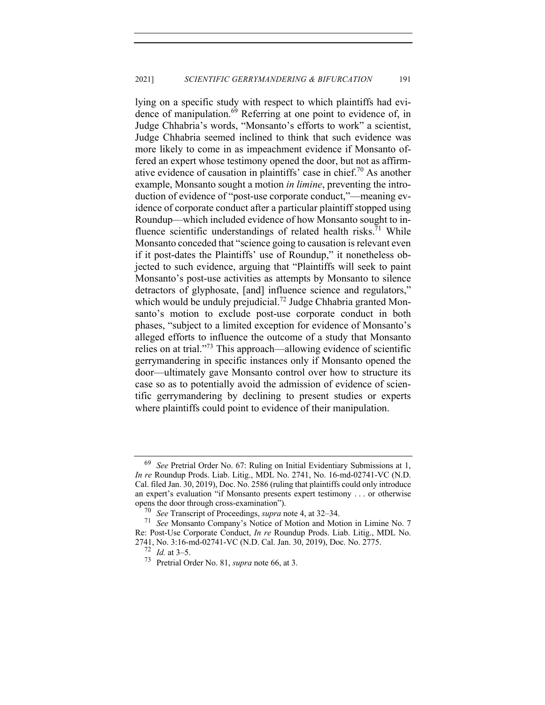lying on a specific study with respect to which plaintiffs had evidence of manipulation. $69$  Referring at one point to evidence of, in Judge Chhabria's words, "Monsanto's efforts to work" a scientist, Judge Chhabria seemed inclined to think that such evidence was more likely to come in as impeachment evidence if Monsanto offered an expert whose testimony opened the door, but not as affirmative evidence of causation in plaintiffs' case in chief.<sup>70</sup> As another example, Monsanto sought a motion *in limine*, preventing the introduction of evidence of "post-use corporate conduct,"—meaning evidence of corporate conduct after a particular plaintiff stopped using Roundup—which included evidence of how Monsanto sought to influence scientific understandings of related health risks.<sup>71</sup> While Monsanto conceded that "science going to causation is relevant even if it post-dates the Plaintiffs' use of Roundup," it nonetheless objected to such evidence, arguing that "Plaintiffs will seek to paint Monsanto's post-use activities as attempts by Monsanto to silence detractors of glyphosate, [and] influence science and regulators," which would be unduly prejudicial.<sup>72</sup> Judge Chhabria granted Monsanto's motion to exclude post-use corporate conduct in both phases, "subject to a limited exception for evidence of Monsanto's alleged efforts to influence the outcome of a study that Monsanto relies on at trial."73 This approach—allowing evidence of scientific gerrymandering in specific instances only if Monsanto opened the door—ultimately gave Monsanto control over how to structure its case so as to potentially avoid the admission of evidence of scientific gerrymandering by declining to present studies or experts where plaintiffs could point to evidence of their manipulation.

<sup>69</sup> *See* Pretrial Order No. 67: Ruling on Initial Evidentiary Submissions at 1, *In re* Roundup Prods. Liab. Litig., MDL No. 2741, No. 16-md-02741-VC (N.D. Cal. filed Jan. 30, 2019), Doc. No. 2586 (ruling that plaintiffs could only introduce an expert's evaluation "if Monsanto presents expert testimony . . . or otherwise opens the door through cross-examination").

<sup>70</sup> *See* Transcript of Proceedings, *supra* note 4, at 32–34.

<sup>71</sup> *See* Monsanto Company's Notice of Motion and Motion in Limine No. 7 Re: Post-Use Corporate Conduct, *In re* Roundup Prods. Liab. Litig., MDL No. 2741, No. 3:16-md-02741-VC (N.D. Cal. Jan. 30, 2019), Doc. No. 2775.<br><sup>72</sup> *Id.* at 3.5

*Id.* at 3–5.

<sup>73</sup> Pretrial Order No. 81, *supra* note 66, at 3.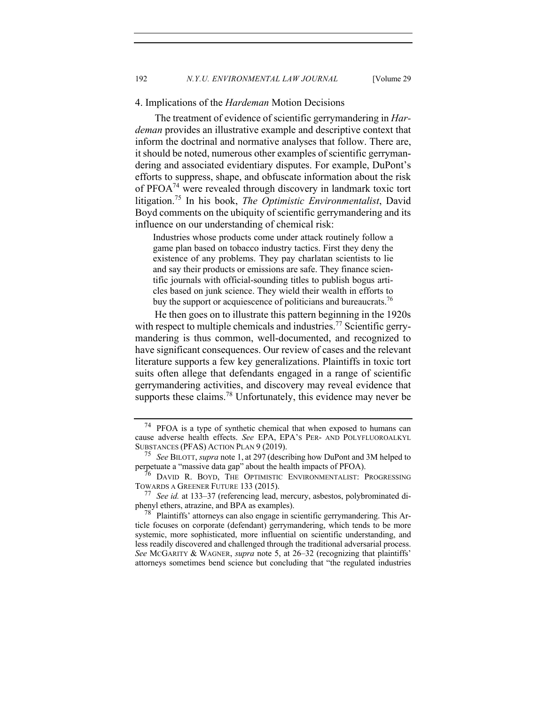## 4. Implications of the *Hardeman* Motion Decisions

The treatment of evidence of scientific gerrymandering in *Hardeman* provides an illustrative example and descriptive context that inform the doctrinal and normative analyses that follow. There are, it should be noted, numerous other examples of scientific gerrymandering and associated evidentiary disputes. For example, DuPont's efforts to suppress, shape, and obfuscate information about the risk of PFOA74 were revealed through discovery in landmark toxic tort litigation.75 In his book, *The Optimistic Environmentalist*, David Boyd comments on the ubiquity of scientific gerrymandering and its influence on our understanding of chemical risk:

Industries whose products come under attack routinely follow a game plan based on tobacco industry tactics. First they deny the existence of any problems. They pay charlatan scientists to lie and say their products or emissions are safe. They finance scientific journals with official-sounding titles to publish bogus articles based on junk science. They wield their wealth in efforts to buy the support or acquiescence of politicians and bureaucrats.<sup>76</sup>

He then goes on to illustrate this pattern beginning in the 1920s with respect to multiple chemicals and industries.<sup>77</sup> Scientific gerrymandering is thus common, well-documented, and recognized to have significant consequences. Our review of cases and the relevant literature supports a few key generalizations. Plaintiffs in toxic tort suits often allege that defendants engaged in a range of scientific gerrymandering activities, and discovery may reveal evidence that supports these claims.<sup>78</sup> Unfortunately, this evidence may never be

<sup>74</sup> PFOA is a type of synthetic chemical that when exposed to humans can cause adverse health effects. *See* EPA, EPA'S PER- AND POLYFLUOROALKYL SUBSTANCES (PFAS) ACTION PLAN 9 (2019).

<sup>75</sup> *See* BILOTT, *supra* note 1, at 297 (describing how DuPont and 3M helped to perpetuate a "massive data gap" about the health impacts of PFOA).

<sup>76</sup> DAVID R. BOYD, THE OPTIMISTIC ENVIRONMENTALIST: PROGRESSING TOWARDS A GREENER FUTURE 133 (2015).<br>
77 See id. at 133–37 (referencing lead)

See *id.* at 133–37 (referencing lead, mercury, asbestos, polybrominated diphenyl ethers, atrazine, and BPA as examples).

 $^{78}$  Plaintiffs' attorneys can also engage in scientific gerrymandering. This Article focuses on corporate (defendant) gerrymandering, which tends to be more systemic, more sophisticated, more influential on scientific understanding, and less readily discovered and challenged through the traditional adversarial process. *See* MCGARITY & WAGNER, *supra* note 5, at 26–32 (recognizing that plaintiffs' attorneys sometimes bend science but concluding that "the regulated industries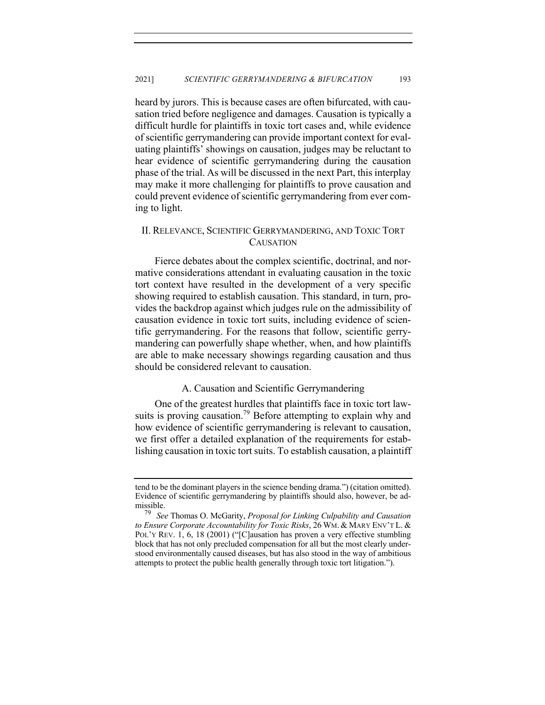heard by jurors. This is because cases are often bifurcated, with causation tried before negligence and damages. Causation is typically a difficult hurdle for plaintiffs in toxic tort cases and, while evidence of scientific gerrymandering can provide important context for evaluating plaintiffs' showings on causation, judges may be reluctant to hear evidence of scientific gerrymandering during the causation phase of the trial. As will be discussed in the next Part, this interplay may make it more challenging for plaintiffs to prove causation and could prevent evidence of scientific gerrymandering from ever coming to light.

# II. RELEVANCE, SCIENTIFIC GERRYMANDERING, AND TOXIC TORT **CAUSATION**

Fierce debates about the complex scientific, doctrinal, and normative considerations attendant in evaluating causation in the toxic tort context have resulted in the development of a very specific showing required to establish causation. This standard, in turn, provides the backdrop against which judges rule on the admissibility of causation evidence in toxic tort suits, including evidence of scientific gerrymandering. For the reasons that follow, scientific gerrymandering can powerfully shape whether, when, and how plaintiffs are able to make necessary showings regarding causation and thus should be considered relevant to causation.

## A. Causation and Scientific Gerrymandering

One of the greatest hurdles that plaintiffs face in toxic tort lawsuits is proving causation.<sup>79</sup> Before attempting to explain why and how evidence of scientific gerrymandering is relevant to causation, we first offer a detailed explanation of the requirements for establishing causation in toxic tort suits. To establish causation, a plaintiff

tend to be the dominant players in the science bending drama.") (citation omitted). Evidence of scientific gerrymandering by plaintiffs should also, however, be admissible.<br> $^{79}$  Se

<sup>79</sup> *See* Thomas O. McGarity, *Proposal for Linking Culpability and Causation to Ensure Corporate Accountability for Toxic Risks*, 26 WM. & MARY ENV'T L. & POL'Y REV. 1, 6, 18 (2001) ("[C]ausation has proven a very effective stumbling block that has not only precluded compensation for all but the most clearly understood environmentally caused diseases, but has also stood in the way of ambitious attempts to protect the public health generally through toxic tort litigation.").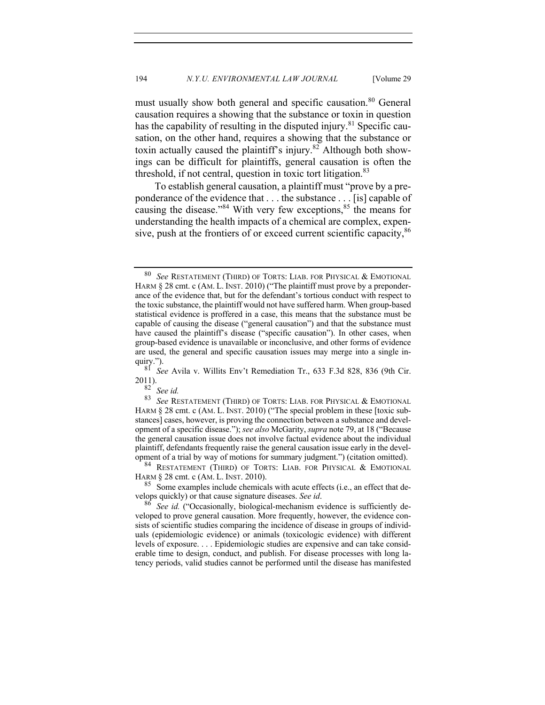must usually show both general and specific causation.<sup>80</sup> General causation requires a showing that the substance or toxin in question has the capability of resulting in the disputed injury.<sup>81</sup> Specific causation, on the other hand, requires a showing that the substance or toxin actually caused the plaintiff's injury.<sup>82</sup> Although both showings can be difficult for plaintiffs, general causation is often the threshold, if not central, question in toxic tort litigation. $83$ 

To establish general causation, a plaintiff must "prove by a preponderance of the evidence that . . . the substance . . . [is] capable of causing the disease."<sup>84</sup> With very few exceptions,<sup>85</sup> the means for understanding the health impacts of a chemical are complex, expensive, push at the frontiers of or exceed current scientific capacity,<sup>86</sup>

<sup>81</sup> *See* Avila v. Willits Env't Remediation Tr., 633 F.3d 828, 836 (9th Cir.  $2011$ ).

 $\frac{82}{83}$  *See id.*<br> $\frac{83}{89}$  *See RE* 

<sup>84</sup> RESTATEMENT (THIRD) OF TORTS: LIAB. FOR PHYSICAL  $\&$  EMOTIONAL HARM  $\S$  28 cmt. c (AM. L. INST. 2010).

<sup>85</sup> Some examples include chemicals with acute effects (i.e., an effect that develops quickly) or that cause signature diseases. *See id.* 

See id. ("Occasionally, biological-mechanism evidence is sufficiently developed to prove general causation. More frequently, however, the evidence consists of scientific studies comparing the incidence of disease in groups of individuals (epidemiologic evidence) or animals (toxicologic evidence) with different levels of exposure. . . . Epidemiologic studies are expensive and can take considerable time to design, conduct, and publish. For disease processes with long latency periods, valid studies cannot be performed until the disease has manifested

<sup>80</sup> *See* RESTATEMENT (THIRD) OF TORTS: LIAB. FOR PHYSICAL & EMOTIONAL HARM § 28 cmt. c (AM. L. INST. 2010) ("The plaintiff must prove by a preponderance of the evidence that, but for the defendant's tortious conduct with respect to the toxic substance, the plaintiff would not have suffered harm. When group-based statistical evidence is proffered in a case, this means that the substance must be capable of causing the disease ("general causation") and that the substance must have caused the plaintiff's disease ("specific causation"). In other cases, when group-based evidence is unavailable or inconclusive, and other forms of evidence are used, the general and specific causation issues may merge into a single inquiry.").

See RESTATEMENT (THIRD) OF TORTS: LIAB. FOR PHYSICAL & EMOTIONAL HARM § 28 cmt. c (AM. L. INST. 2010) ("The special problem in these [toxic substances] cases, however, is proving the connection between a substance and development of a specific disease."); *see also* McGarity, *supra* note 79, at 18 ("Because the general causation issue does not involve factual evidence about the individual plaintiff, defendants frequently raise the general causation issue early in the development of a trial by way of motions for summary judgment.") (citation omitted).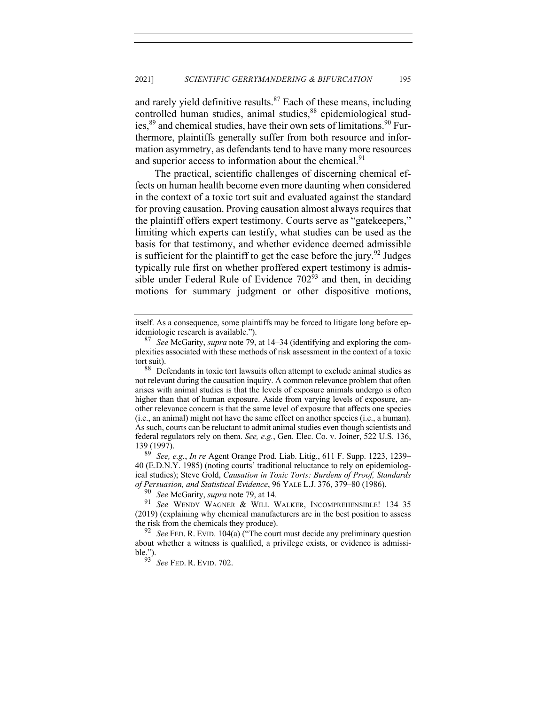and rarely yield definitive results. $87$  Each of these means, including controlled human studies, animal studies, <sup>88</sup> epidemiological studies,<sup>89</sup> and chemical studies, have their own sets of limitations.<sup>90</sup> Furthermore, plaintiffs generally suffer from both resource and information asymmetry, as defendants tend to have many more resources and superior access to information about the chemical.<sup>91</sup>

The practical, scientific challenges of discerning chemical effects on human health become even more daunting when considered in the context of a toxic tort suit and evaluated against the standard for proving causation. Proving causation almost always requires that the plaintiff offers expert testimony. Courts serve as "gatekeepers," limiting which experts can testify, what studies can be used as the basis for that testimony, and whether evidence deemed admissible is sufficient for the plaintiff to get the case before the jury.<sup>92</sup> Judges typically rule first on whether proffered expert testimony is admissible under Federal Rule of Evidence  $702^{53}$  and then, in deciding motions for summary judgment or other dispositive motions,

<sup>89</sup> *See, e.g.*, *In re* Agent Orange Prod. Liab. Litig., 611 F. Supp. 1223, 1239– 40 (E.D.N.Y. 1985) (noting courts' traditional reluctance to rely on epidemiological studies); Steve Gold, *Causation in Toxic Torts: Burdens of Proof, Standards of Persuasion, and Statistical Evidence*, 96 YALE L.J. 376, 379–80 (1986).

See McGarity, *supra* note 79, at 14.

itself. As a consequence, some plaintiffs may be forced to litigate long before epidemiologic research is available.").

<sup>87</sup> *See* McGarity, *supra* note 79, at 14–34 (identifying and exploring the complexities associated with these methods of risk assessment in the context of a toxic tort suit).

<sup>88</sup> Defendants in toxic tort lawsuits often attempt to exclude animal studies as not relevant during the causation inquiry. A common relevance problem that often arises with animal studies is that the levels of exposure animals undergo is often higher than that of human exposure. Aside from varying levels of exposure, another relevance concern is that the same level of exposure that affects one species (i.e., an animal) might not have the same effect on another species (i.e., a human). As such, courts can be reluctant to admit animal studies even though scientists and federal regulators rely on them. *See, e.g.*, Gen. Elec. Co. v. Joiner, 522 U.S. 136,  $139(1997)$ .

<sup>91</sup> *See* WENDY WAGNER & WILL WALKER, INCOMPREHENSIBLE! 134–35 (2019) (explaining why chemical manufacturers are in the best position to assess the risk from the chemicals they produce).

<sup>92</sup> *See* FED. R. EVID. 104(a) ("The court must decide any preliminary question about whether a witness is qualified, a privilege exists, or evidence is admissible.").

<sup>93</sup> *See* FED. R. EVID. 702.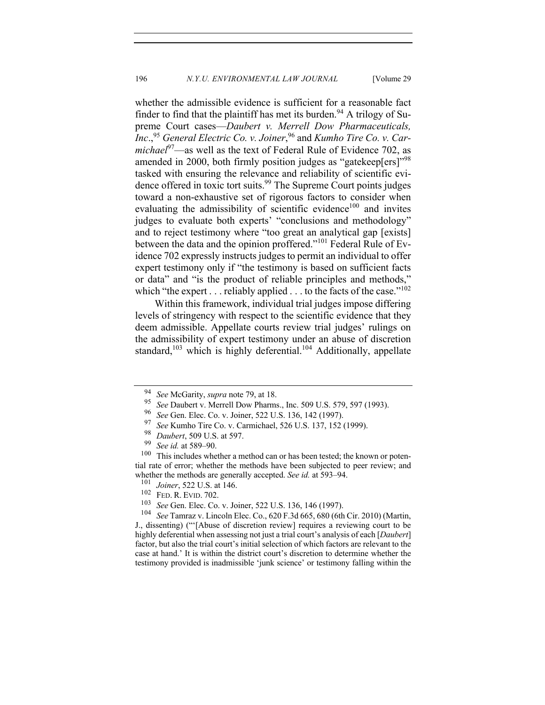whether the admissible evidence is sufficient for a reasonable fact finder to find that the plaintiff has met its burden.<sup>94</sup> A trilogy of Supreme Court cases—*Daubert v. Merrell Dow Pharmaceuticals, Inc*.,95 *General Electric Co. v. Joiner*, <sup>96</sup> and *Kumho Tire Co. v. Carmichael*<sup>97</sup>—as well as the text of Federal Rule of Evidence 702, as amended in 2000, both firmly position judges as "gatekeep[ers]"<sup>98</sup> tasked with ensuring the relevance and reliability of scientific evidence offered in toxic tort suits.<sup>99</sup> The Supreme Court points judges toward a non-exhaustive set of rigorous factors to consider when evaluating the admissibility of scientific evidence<sup>100</sup> and invites judges to evaluate both experts' "conclusions and methodology" and to reject testimony where "too great an analytical gap [exists] between the data and the opinion proffered."<sup>101</sup> Federal Rule of Evidence 702 expressly instructs judges to permit an individual to offer expert testimony only if "the testimony is based on sufficient facts or data" and "is the product of reliable principles and methods," which "the expert . . . reliably applied . . . to the facts of the case."<sup>102</sup>

Within this framework, individual trial judges impose differing levels of stringency with respect to the scientific evidence that they deem admissible. Appellate courts review trial judges' rulings on the admissibility of expert testimony under an abuse of discretion standard,<sup>103</sup> which is highly deferential.<sup>104</sup> Additionally, appellate

<sup>94</sup> *See* McGarity, *supra* note 79, at 18.

<sup>&</sup>lt;sup>95</sup> *See* Daubert v. Merrell Dow Pharms., Inc. 509 U.S. 579, 597 (1993).<br><sup>96</sup> See Gen Elec Co. v. Joiner, 522 U.S. 136, 142 (1997).

<sup>96</sup> *See* Gen. Elec. Co. v. Joiner, 522 U.S. 136, 142 (1997).

<sup>&</sup>lt;sup>97</sup> See Kumho Tire Co. v. Carmichael, 526 U.S. 137, 152 (1999).<br><sup>98</sup> Daybart, 500 U.S. at 507

<sup>&</sup>lt;sup>98</sup> *Daubert*, 509 U.S. at 597.<br><sup>99</sup> Second at 580, 90.

 $\frac{99}{100}$  *See id.* at 589–90.

This includes whether a method can or has been tested; the known or potential rate of error; whether the methods have been subjected to peer review; and whether the methods are generally accepted. *See id.* at 593–94.<br><sup>101</sup> Leiten 533 U.S. at 146

 $\frac{101}{102}$  *Joiner*, 522 U.S. at 146.

 $^{102}$  FED. R. EVID. 702.

<sup>&</sup>lt;sup>103</sup> *See* Gen. Elec. Co. v. Joiner, 522 U.S. 136, 146 (1997).<br><sup>104</sup> *See* Tamraz v. Lincoln Elec. Co. 620 E 3d 665, 680 (6th

<sup>104</sup> *See* Tamraz v. Lincoln Elec. Co., 620 F.3d 665, 680 (6th Cir. 2010) (Martin, J., dissenting) ("'[Abuse of discretion review] requires a reviewing court to be highly deferential when assessing not just a trial court's analysis of each [*Daubert*] factor, but also the trial court's initial selection of which factors are relevant to the case at hand.' It is within the district court's discretion to determine whether the testimony provided is inadmissible 'junk science' or testimony falling within the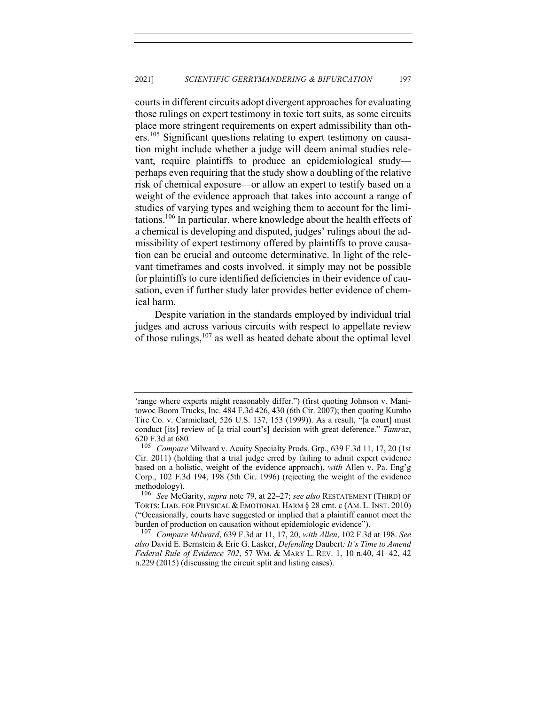courts in different circuits adopt divergent approaches for evaluating those rulings on expert testimony in toxic tort suits, as some circuits place more stringent requirements on expert admissibility than others.<sup>105</sup> Significant questions relating to expert testimony on causation might include whether a judge will deem animal studies relevant, require plaintiffs to produce an epidemiological study perhaps even requiring that the study show a doubling of the relative risk of chemical exposure—or allow an expert to testify based on a weight of the evidence approach that takes into account a range of studies of varying types and weighing them to account for the limitations.<sup>106</sup> In particular, where knowledge about the health effects of a chemical is developing and disputed, judges' rulings about the admissibility of expert testimony offered by plaintiffs to prove causation can be crucial and outcome determinative. In light of the relevant timeframes and costs involved, it simply may not be possible for plaintiffs to cure identified deficiencies in their evidence of causation, even if further study later provides better evidence of chemical harm.

Despite variation in the standards employed by individual trial judges and across various circuits with respect to appellate review of those rulings, $107$  as well as heated debate about the optimal level

<sup>&#</sup>x27;range where experts might reasonably differ.") (first quoting Johnson v. Manitowoc Boom Trucks, Inc. 484 F.3d 426, 430 (6th Cir. 2007); then quoting Kumho Tire Co. v. Carmichael, 526 U.S. 137, 153 (1999)). As a result, "[a court] must conduct [its] review of [a trial court's] decision with great deference." *Tamraz*, 620 F.3d at 680*.* <sup>105</sup> *Compare* Milward v. Acuity Specialty Prods. Grp., 639 F.3d 11, 17, 20 (1st

Cir. 2011) (holding that a trial judge erred by failing to admit expert evidence based on a holistic, weight of the evidence approach), *with* Allen v. Pa. Eng'g Corp., 102 F.3d 194, 198 (5th Cir. 1996) (rejecting the weight of the evidence methodology).<br> $\frac{106}{\text{See Mc}}$ 

<sup>106</sup> *See* McGarity, *supra* note 79, at 22–27; *see also* RESTATEMENT (THIRD) OF TORTS: LIAB. FOR PHYSICAL & EMOTIONAL HARM § 28 cmt. c (AM. L. INST. 2010) ("Occasionally, courts have suggested or implied that a plaintiff cannot meet the burden of production on causation without epidemiologic evidence").

<sup>107</sup> *Compare Milward*, 639 F.3d at 11, 17, 20, *with Allen*, 102 F.3d at 198. *See also* David E. Bernstein & Eric G. Lasker, *Defending* Daubert*: It's Time to Amend Federal Rule of Evidence 702*, 57 WM. & MARY L. REV. 1, 10 n.40, 41–42, 42 n.229 (2015) (discussing the circuit split and listing cases).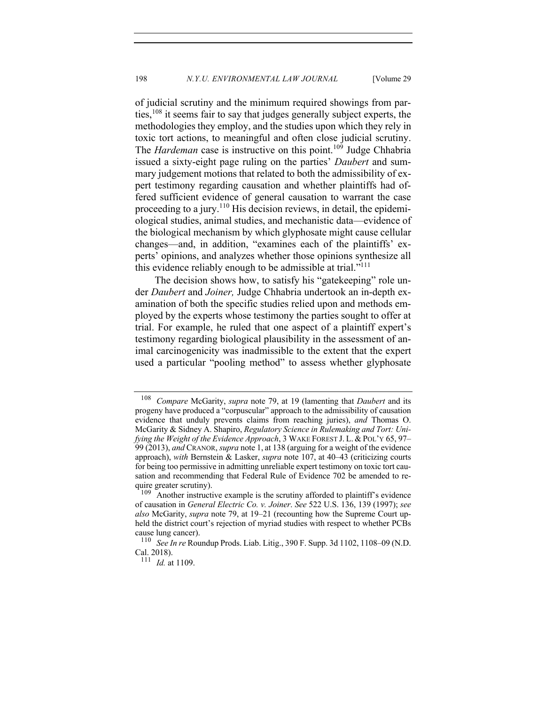of judicial scrutiny and the minimum required showings from parties,  $108$  it seems fair to say that judges generally subject experts, the methodologies they employ, and the studies upon which they rely in toxic tort actions, to meaningful and often close judicial scrutiny. The *Hardeman* case is instructive on this point.<sup>109</sup> Judge Chhabria issued a sixty-eight page ruling on the parties' *Daubert* and summary judgement motions that related to both the admissibility of expert testimony regarding causation and whether plaintiffs had offered sufficient evidence of general causation to warrant the case proceeding to a jury.<sup>110</sup> His decision reviews, in detail, the epidemiological studies, animal studies, and mechanistic data—evidence of the biological mechanism by which glyphosate might cause cellular changes—and, in addition, "examines each of the plaintiffs' experts' opinions, and analyzes whether those opinions synthesize all this evidence reliably enough to be admissible at trial. $"$ <sup>111</sup>

The decision shows how, to satisfy his "gatekeeping" role under *Daubert* and *Joiner,* Judge Chhabria undertook an in-depth examination of both the specific studies relied upon and methods employed by the experts whose testimony the parties sought to offer at trial. For example, he ruled that one aspect of a plaintiff expert's testimony regarding biological plausibility in the assessment of animal carcinogenicity was inadmissible to the extent that the expert used a particular "pooling method" to assess whether glyphosate

<sup>108</sup> *Compare* McGarity, *supra* note 79, at 19 (lamenting that *Daubert* and its progeny have produced a "corpuscular" approach to the admissibility of causation evidence that unduly prevents claims from reaching juries), *and* Thomas O. McGarity & Sidney A. Shapiro, *Regulatory Science in Rulemaking and Tort: Unifying the Weight of the Evidence Approach*, 3 WAKE FOREST J. L. & POL'Y 65, 97– 99 (2013), *and* CRANOR, *supra* note 1, at 138 (arguing for a weight of the evidence approach), *with* Bernstein & Lasker, *supra* note 107, at 40–43 (criticizing courts for being too permissive in admitting unreliable expert testimony on toxic tort causation and recommending that Federal Rule of Evidence 702 be amended to require greater scrutiny).<br> $\frac{109}{4}$  another instruction

Another instructive example is the scrutiny afforded to plaintiff's evidence of causation in *General Electric Co. v. Joiner*. *See* 522 U.S. 136, 139 (1997); *see also* McGarity, *supra* note 79, at 19–21 (recounting how the Supreme Court upheld the district court's rejection of myriad studies with respect to whether PCBs cause lung cancer).

<sup>110</sup> *See In re* Roundup Prods. Liab. Litig., 390 F. Supp. 3d 1102, 1108–09 (N.D. Cal. 2018).

<sup>111</sup> *Id.* at 1109.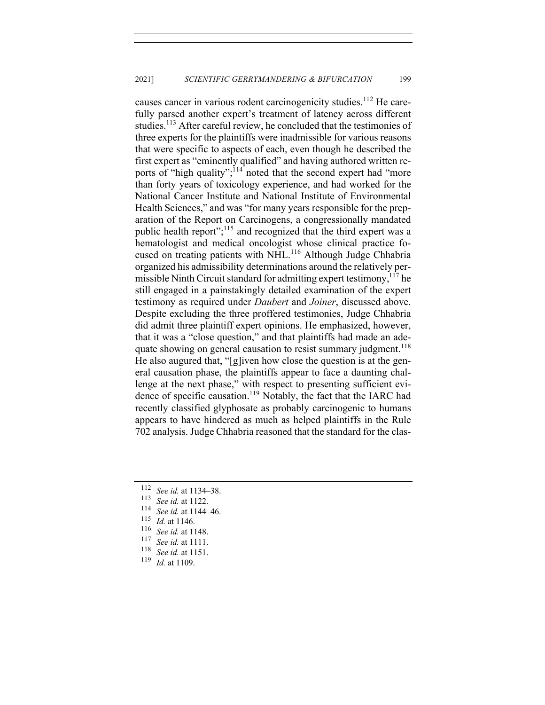causes cancer in various rodent carcinogenicity studies.<sup>112</sup> He carefully parsed another expert's treatment of latency across different studies.<sup>113</sup> After careful review, he concluded that the testimonies of three experts for the plaintiffs were inadmissible for various reasons that were specific to aspects of each, even though he described the first expert as "eminently qualified" and having authored written reports of "high quality";<sup>114</sup> noted that the second expert had "more than forty years of toxicology experience, and had worked for the National Cancer Institute and National Institute of Environmental Health Sciences," and was "for many years responsible for the preparation of the Report on Carcinogens, a congressionally mandated public health report";<sup>115</sup> and recognized that the third expert was a hematologist and medical oncologist whose clinical practice focused on treating patients with NHL.<sup>116</sup> Although Judge Chhabria organized his admissibility determinations around the relatively permissible Ninth Circuit standard for admitting expert testimony,  $117$  he still engaged in a painstakingly detailed examination of the expert testimony as required under *Daubert* and *Joiner*, discussed above. Despite excluding the three proffered testimonies, Judge Chhabria did admit three plaintiff expert opinions. He emphasized, however, that it was a "close question," and that plaintiffs had made an adequate showing on general causation to resist summary judgment.<sup>118</sup> He also augured that, "[g]iven how close the question is at the general causation phase, the plaintiffs appear to face a daunting challenge at the next phase," with respect to presenting sufficient evidence of specific causation.<sup>119</sup> Notably, the fact that the IARC had recently classified glyphosate as probably carcinogenic to humans appears to have hindered as much as helped plaintiffs in the Rule 702 analysis. Judge Chhabria reasoned that the standard for the clas-

- <sup>114</sup> *See id.* at 1144–46.
- $\frac{115}{116}$  *Id.* at 1146.
- <sup>116</sup> *See id.* at 1148.
- <sup>117</sup> *See id.* at 1111.
- <sup>118</sup> *See id.* at 1151.<br><sup>119</sup> *Id.* at 1109
- *Id.* at 1109.

<sup>&</sup>lt;sup>112</sup> *See id.* at 1134–38.

<sup>&</sup>lt;sup>113</sup> *See id.* at 1122.<br><sup>114</sup> *See id.* at 1144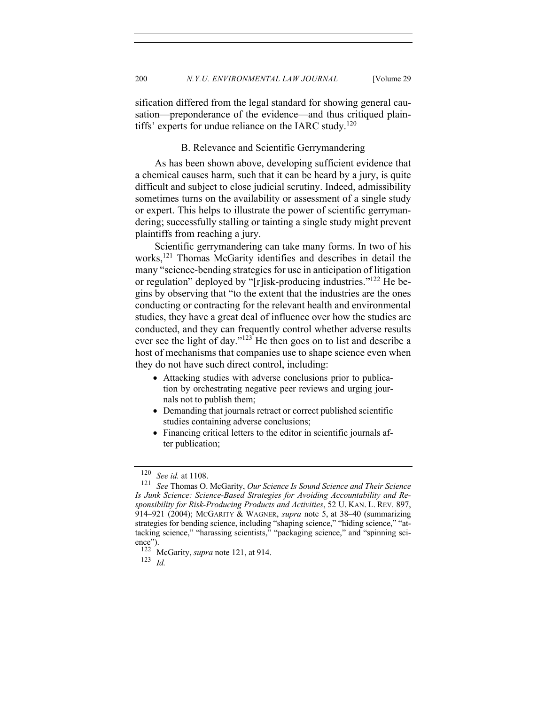sification differed from the legal standard for showing general causation—preponderance of the evidence—and thus critiqued plaintiffs' experts for undue reliance on the IARC study.<sup>120</sup>

## B. Relevance and Scientific Gerrymandering

As has been shown above, developing sufficient evidence that a chemical causes harm, such that it can be heard by a jury, is quite difficult and subject to close judicial scrutiny. Indeed, admissibility sometimes turns on the availability or assessment of a single study or expert. This helps to illustrate the power of scientific gerrymandering; successfully stalling or tainting a single study might prevent plaintiffs from reaching a jury.

Scientific gerrymandering can take many forms. In two of his works,<sup>121</sup> Thomas McGarity identifies and describes in detail the many "science-bending strategies for use in anticipation of litigation or regulation" deployed by "[r]isk-producing industries."122 He begins by observing that "to the extent that the industries are the ones conducting or contracting for the relevant health and environmental studies, they have a great deal of influence over how the studies are conducted, and they can frequently control whether adverse results ever see the light of day."<sup>123</sup> He then goes on to list and describe a host of mechanisms that companies use to shape science even when they do not have such direct control, including:

- Attacking studies with adverse conclusions prior to publication by orchestrating negative peer reviews and urging journals not to publish them;
- Demanding that journals retract or correct published scientific studies containing adverse conclusions;
- Financing critical letters to the editor in scientific journals after publication;

<sup>123</sup> *Id.*

<sup>&</sup>lt;sup>120</sup> *See id.* at 1108.<br><sup>121</sup> *See Thomas O* 

<sup>121</sup> *See* Thomas O. McGarity, *Our Science Is Sound Science and Their Science Is Junk Science: Science-Based Strategies for Avoiding Accountability and Responsibility for Risk-Producing Products and Activities*, 52 U. KAN. L. REV. 897, 914–921 (2004); MCGARITY & WAGNER, *supra* note 5, at 38–40 (summarizing strategies for bending science, including "shaping science," "hiding science," "attacking science," "harassing scientists," "packaging science," and "spinning science").<br> $122 \lambda$ 

McGarity, *supra* note 121, at 914.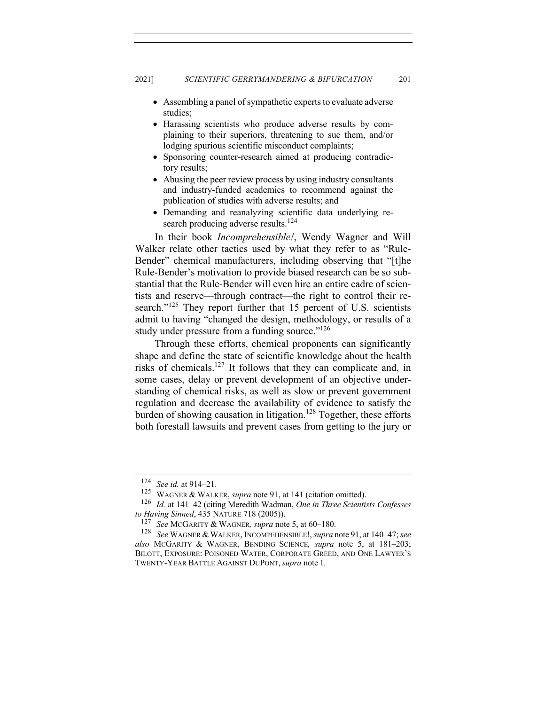- Assembling a panel of sympathetic experts to evaluate adverse studies;
- Harassing scientists who produce adverse results by complaining to their superiors, threatening to sue them, and/or lodging spurious scientific misconduct complaints;
- Sponsoring counter-research aimed at producing contradictory results;
- Abusing the peer review process by using industry consultants and industry-funded academics to recommend against the publication of studies with adverse results; and
- Demanding and reanalyzing scientific data underlying research producing adverse results.<sup>124</sup>

In their book *Incomprehensible!*, Wendy Wagner and Will Walker relate other tactics used by what they refer to as "Rule-Bender" chemical manufacturers, including observing that "[t]he Rule-Bender's motivation to provide biased research can be so substantial that the Rule-Bender will even hire an entire cadre of scientists and reserve—through contract—the right to control their research."<sup>125</sup> They report further that 15 percent of U.S. scientists admit to having "changed the design, methodology, or results of a study under pressure from a funding source." $126$ 

Through these efforts, chemical proponents can significantly shape and define the state of scientific knowledge about the health risks of chemicals.127 It follows that they can complicate and, in some cases, delay or prevent development of an objective understanding of chemical risks, as well as slow or prevent government regulation and decrease the availability of evidence to satisfy the burden of showing causation in litigation.<sup>128</sup> Together, these efforts both forestall lawsuits and prevent cases from getting to the jury or

<sup>124</sup> *See id.* at 914–21.

<sup>125</sup> WAGNER & WALKER, *supra* note 91, at 141 (citation omitted).

<sup>126</sup> *Id.* at 141–42 (citing Meredith Wadman, *One in Three Scientists Confesses to Having Sinned*, 435 NATURE 718 (2005)).

<sup>127</sup> *See* MCGARITY & WAGNER*, supra* note 5, at 60–180.

<sup>&</sup>lt;sup>128</sup> *See* WAGNER & WALKER, INCOMPEHENSIBLE!, *supra* note 91, at 140–47; *see also* MCGARITY & WAGNER, BENDING SCIENCE*, supra* note 5, at 181–203; BILOTT, EXPOSURE: POISONED WATER, CORPORATE GREED, AND ONE LAWYER'S TWENTY-YEAR BATTLE AGAINST DUPONT,*supra* note 1*.*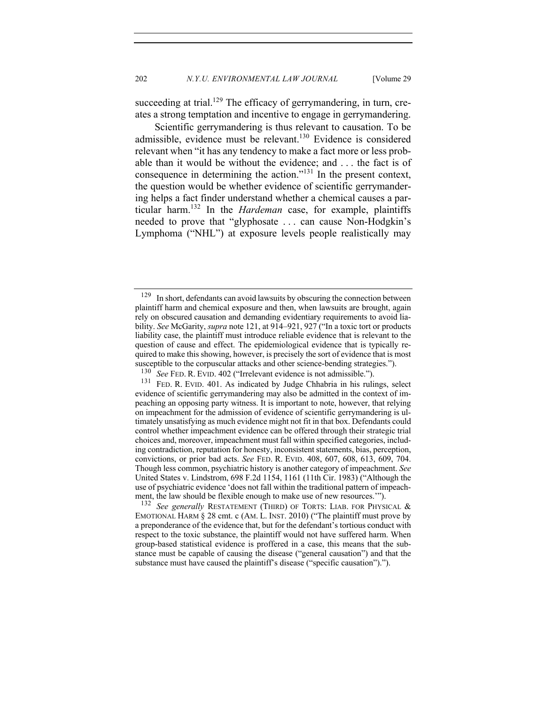succeeding at trial.<sup>129</sup> The efficacy of gerrymandering, in turn, creates a strong temptation and incentive to engage in gerrymandering.

Scientific gerrymandering is thus relevant to causation. To be admissible, evidence must be relevant.130 Evidence is considered relevant when "it has any tendency to make a fact more or less probable than it would be without the evidence; and . . . the fact is of consequence in determining the action."131 In the present context, the question would be whether evidence of scientific gerrymandering helps a fact finder understand whether a chemical causes a particular harm.132 In the *Hardeman* case, for example, plaintiffs needed to prove that "glyphosate . . . can cause Non-Hodgkin's Lymphoma ("NHL") at exposure levels people realistically may

<sup>&</sup>lt;sup>129</sup> In short, defendants can avoid lawsuits by obscuring the connection between plaintiff harm and chemical exposure and then, when lawsuits are brought, again rely on obscured causation and demanding evidentiary requirements to avoid liability. *See* McGarity, *supra* note 121, at 914–921, 927 ("In a toxic tort or products liability case, the plaintiff must introduce reliable evidence that is relevant to the question of cause and effect. The epidemiological evidence that is typically required to make this showing, however, is precisely the sort of evidence that is most susceptible to the corpuscular attacks and other science-bending strategies.").<br> $^{130}$  See FED B, EVID 402 ("Irrelevent evidence is not admissible.")

<sup>&</sup>lt;sup>130</sup> *See* FED. R. EVID. 402 ("Irrelevant evidence is not admissible.").<br><sup>131</sup> FED. R. EVID. 401. As indicated by Judge Chhabria in his ruli

FED. R. EVID. 401. As indicated by Judge Chhabria in his rulings, select evidence of scientific gerrymandering may also be admitted in the context of impeaching an opposing party witness. It is important to note, however, that relying on impeachment for the admission of evidence of scientific gerrymandering is ultimately unsatisfying as much evidence might not fit in that box. Defendants could control whether impeachment evidence can be offered through their strategic trial choices and, moreover, impeachment must fall within specified categories, including contradiction, reputation for honesty, inconsistent statements, bias, perception, convictions, or prior bad acts. *See* FED. R. EVID. 408, 607, 608, 613, 609, 704. Though less common, psychiatric history is another category of impeachment. *See* United States v. Lindstrom, 698 F.2d 1154, 1161 (11th Cir. 1983) ("Although the use of psychiatric evidence 'does not fall within the traditional pattern of impeachment, the law should be flexible enough to make use of new resources.'").

See generally RESTATEMENT (THIRD) OF TORTS: LIAB. FOR PHYSICAL & EMOTIONAL HARM  $\S$  28 cmt. c (AM. L. INST. 2010) ("The plaintiff must prove by a preponderance of the evidence that, but for the defendant's tortious conduct with respect to the toxic substance, the plaintiff would not have suffered harm. When group-based statistical evidence is proffered in a case, this means that the substance must be capable of causing the disease ("general causation") and that the substance must have caused the plaintiff's disease ("specific causation").").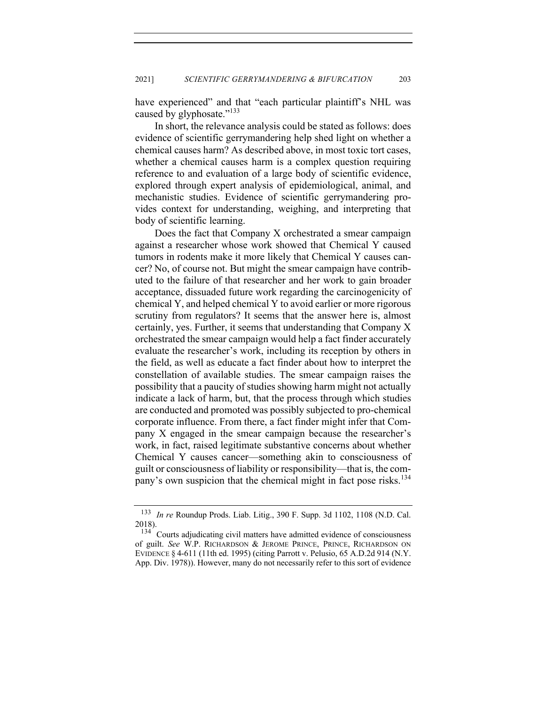have experienced" and that "each particular plaintiff's NHL was caused by glyphosate."<sup>133</sup>

In short, the relevance analysis could be stated as follows: does evidence of scientific gerrymandering help shed light on whether a chemical causes harm? As described above, in most toxic tort cases, whether a chemical causes harm is a complex question requiring reference to and evaluation of a large body of scientific evidence, explored through expert analysis of epidemiological, animal, and mechanistic studies. Evidence of scientific gerrymandering provides context for understanding, weighing, and interpreting that body of scientific learning.

Does the fact that Company X orchestrated a smear campaign against a researcher whose work showed that Chemical Y caused tumors in rodents make it more likely that Chemical Y causes cancer? No, of course not. But might the smear campaign have contributed to the failure of that researcher and her work to gain broader acceptance, dissuaded future work regarding the carcinogenicity of chemical Y, and helped chemical Y to avoid earlier or more rigorous scrutiny from regulators? It seems that the answer here is, almost certainly, yes. Further, it seems that understanding that Company X orchestrated the smear campaign would help a fact finder accurately evaluate the researcher's work, including its reception by others in the field, as well as educate a fact finder about how to interpret the constellation of available studies. The smear campaign raises the possibility that a paucity of studies showing harm might not actually indicate a lack of harm, but, that the process through which studies are conducted and promoted was possibly subjected to pro-chemical corporate influence. From there, a fact finder might infer that Company X engaged in the smear campaign because the researcher's work, in fact, raised legitimate substantive concerns about whether Chemical Y causes cancer—something akin to consciousness of guilt or consciousness of liability or responsibility—that is, the company's own suspicion that the chemical might in fact pose risks.<sup>134</sup>

<sup>133</sup> *In re* Roundup Prods. Liab. Litig., 390 F. Supp. 3d 1102, 1108 (N.D. Cal. 2018).

 $134$  Courts adjudicating civil matters have admitted evidence of consciousness of guilt. *See* W.P. RICHARDSON & JEROME PRINCE, PRINCE, RICHARDSON ON EVIDENCE § 4-611 (11th ed. 1995) (citing Parrott v. Pelusio, 65 A.D.2d 914 (N.Y. App. Div. 1978)). However, many do not necessarily refer to this sort of evidence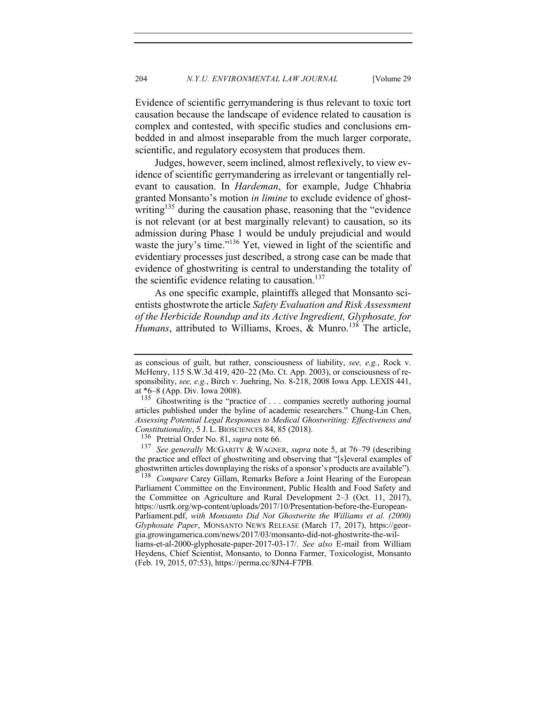Evidence of scientific gerrymandering is thus relevant to toxic tort causation because the landscape of evidence related to causation is complex and contested, with specific studies and conclusions embedded in and almost inseparable from the much larger corporate, scientific, and regulatory ecosystem that produces them.

Judges, however, seem inclined, almost reflexively, to view evidence of scientific gerrymandering as irrelevant or tangentially relevant to causation. In *Hardeman*, for example, Judge Chhabria granted Monsanto's motion *in limine* to exclude evidence of ghostwriting<sup>135</sup> during the causation phase, reasoning that the "evidence" is not relevant (or at best marginally relevant) to causation, so its admission during Phase 1 would be unduly prejudicial and would waste the jury's time."<sup>136</sup> Yet, viewed in light of the scientific and evidentiary processes just described, a strong case can be made that evidence of ghostwriting is central to understanding the totality of the scientific evidence relating to causation. $137$ 

As one specific example, plaintiffs alleged that Monsanto scientists ghostwrote the article *Safety Evaluation and Risk Assessment of the Herbicide Roundup and its Active Ingredient, Glyphosate, for Humans*, attributed to Williams, Kroes, & Munro.<sup>138</sup> The article,

<sup>137</sup> See generally McGARITY & WAGNER, *supra* note 5, at 76–79 (describing the practice and effect of ghostwriting and observing that "[s]everal examples of ghostwritten articles downplaying the risks of a sponsor's products are available").

<sup>138</sup> *Compare* Carey Gillam, Remarks Before a Joint Hearing of the European Parliament Committee on the Environment, Public Health and Food Safety and the Committee on Agriculture and Rural Development 2–3 (Oct. 11, 2017), https://usrtk.org/wp-content/uploads/2017/10/Presentation-before-the-European-Parliament.pdf, *with Monsanto Did Not Ghostwrite the Williams et al. (2000) Glyphosate Paper*, MONSANTO NEWS RELEASE (March 17, 2017), https://georgia.growingamerica.com/news/2017/03/monsanto-did-not-ghostwrite-the-williams-et-al-2000-glyphosate-paper-2017-03-17/. *See also* E-mail from William Heydens, Chief Scientist, Monsanto, to Donna Farmer, Toxicologist, Monsanto (Feb. 19, 2015, 07:53), https://perma.cc/8JN4-F7PB*.*

as conscious of guilt, but rather, consciousness of liability, *see, e.g.*, Rock v. McHenry, 115 S.W.3d 419, 420–22 (Mo. Ct. App. 2003), or consciousness of responsibility, *see, e.g.*, Birch v. Juehring, No. 8-218, 2008 Iowa App. LEXIS 441, at \*6–8 (App. Div. Iowa 2008).

<sup>&</sup>lt;sup>135</sup> Ghostwriting is the "practice of . . . companies secretly authoring journal articles published under the byline of academic researchers." Chung-Lin Chen, *Assessing Potential Legal Responses to Medical Ghostwriting: Effectiveness and Constitutionality*, 5 J. L. BIOSCIENCES 84, 85 (2018).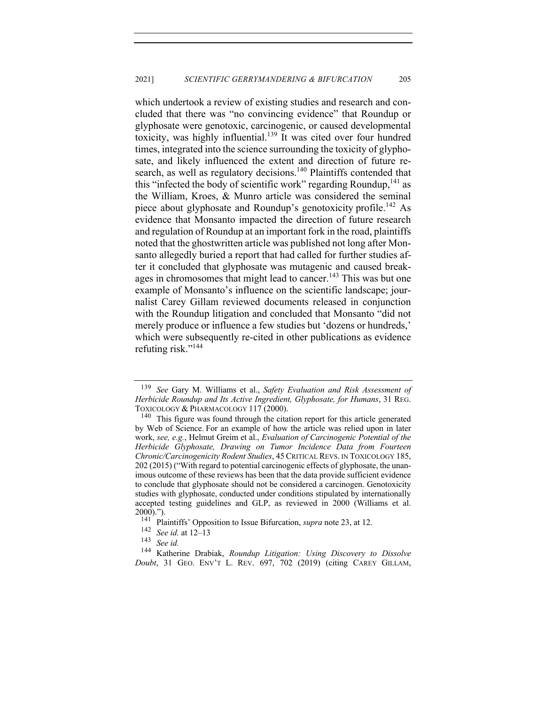which undertook a review of existing studies and research and concluded that there was "no convincing evidence" that Roundup or glyphosate were genotoxic, carcinogenic, or caused developmental toxicity, was highly influential.<sup>139</sup> It was cited over four hundred times, integrated into the science surrounding the toxicity of glyphosate, and likely influenced the extent and direction of future research, as well as regulatory decisions.<sup>140</sup> Plaintiffs contended that this "infected the body of scientific work" regarding Roundup,  $^{141}$  as the William, Kroes, & Munro article was considered the seminal piece about glyphosate and Roundup's genotoxicity profile.<sup>142</sup> As evidence that Monsanto impacted the direction of future research and regulation of Roundup at an important fork in the road, plaintiffs noted that the ghostwritten article was published not long after Monsanto allegedly buried a report that had called for further studies after it concluded that glyphosate was mutagenic and caused breakages in chromosomes that might lead to cancer.<sup>143</sup> This was but one example of Monsanto's influence on the scientific landscape; journalist Carey Gillam reviewed documents released in conjunction with the Roundup litigation and concluded that Monsanto "did not merely produce or influence a few studies but 'dozens or hundreds,' which were subsequently re-cited in other publications as evidence refuting risk."144

<sup>139</sup> *See* Gary M. Williams et al., *Safety Evaluation and Risk Assessment of Herbicide Roundup and Its Active Ingredient, Glyphosate, for Humans*, 31 REG. TOXICOLOGY & PHARMACOLOGY 117 (2000).

<sup>&</sup>lt;sup>140</sup> This figure was found through the citation report for this article generated by Web of Science. For an example of how the article was relied upon in later work, *see, e.g.*, Helmut Greim et al., *Evaluation of Carcinogenic Potential of the Herbicide Glyphosate, Drawing on Tumor Incidence Data from Fourteen Chronic/Carcinogenicity Rodent Studies*, 45 CRITICAL REVS. IN TOXICOLOGY 185, 202 (2015) ("With regard to potential carcinogenic effects of glyphosate, the unanimous outcome of these reviews has been that the data provide sufficient evidence to conclude that glyphosate should not be considered a carcinogen. Genotoxicity studies with glyphosate, conducted under conditions stipulated by internationally accepted testing guidelines and GLP, as reviewed in 2000 (Williams et al.  $2000)$ .").<br> $141$  Dls

<sup>&</sup>lt;sup>141</sup> Plaintiffs' Opposition to Issue Bifurcation, *supra* note 23, at 12.<br><sup>142</sup> See id. at 12–13

<sup>142</sup> *See id.* at 12–13

 $\frac{143}{144}$  *See id.*<br><sup>144</sup> *K* ather

<sup>144</sup> Katherine Drabiak, *Roundup Litigation: Using Discovery to Dissolve Doubt*, 31 GEO. ENV'T L. REV. 697, 702 (2019) (citing CAREY GILLAM,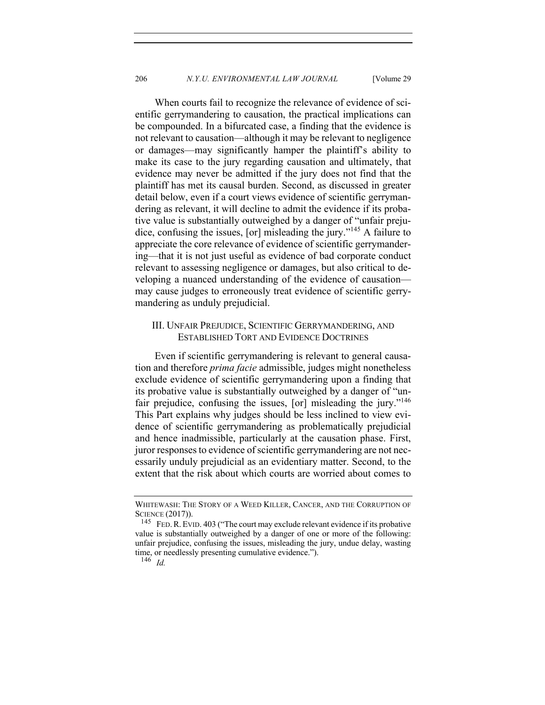When courts fail to recognize the relevance of evidence of scientific gerrymandering to causation, the practical implications can be compounded. In a bifurcated case, a finding that the evidence is not relevant to causation—although it may be relevant to negligence or damages—may significantly hamper the plaintiff's ability to make its case to the jury regarding causation and ultimately, that evidence may never be admitted if the jury does not find that the plaintiff has met its causal burden. Second, as discussed in greater detail below, even if a court views evidence of scientific gerrymandering as relevant, it will decline to admit the evidence if its probative value is substantially outweighed by a danger of "unfair prejudice, confusing the issues, [or] misleading the jury."<sup>145</sup> A failure to appreciate the core relevance of evidence of scientific gerrymandering—that it is not just useful as evidence of bad corporate conduct relevant to assessing negligence or damages, but also critical to developing a nuanced understanding of the evidence of causation may cause judges to erroneously treat evidence of scientific gerrymandering as unduly prejudicial.

# III. UNFAIR PREJUDICE, SCIENTIFIC GERRYMANDERING, AND ESTABLISHED TORT AND EVIDENCE DOCTRINES

Even if scientific gerrymandering is relevant to general causation and therefore *prima facie* admissible, judges might nonetheless exclude evidence of scientific gerrymandering upon a finding that its probative value is substantially outweighed by a danger of "unfair prejudice, confusing the issues,  $\lceil$  or  $\rceil$  misleading the jury."<sup>146</sup> This Part explains why judges should be less inclined to view evidence of scientific gerrymandering as problematically prejudicial and hence inadmissible, particularly at the causation phase. First, juror responses to evidence of scientific gerrymandering are not necessarily unduly prejudicial as an evidentiary matter. Second, to the extent that the risk about which courts are worried about comes to

WHITEWASH: THE STORY OF A WEED KILLER, CANCER, AND THE CORRUPTION OF SCIENCE  $(2017)$ ).<br><sup>145</sup> FED R EVI

FED. R. EVID. 403 ("The court may exclude relevant evidence if its probative value is substantially outweighed by a danger of one or more of the following: unfair prejudice, confusing the issues, misleading the jury, undue delay, wasting time, or needlessly presenting cumulative evidence.").

<sup>146</sup> *Id.*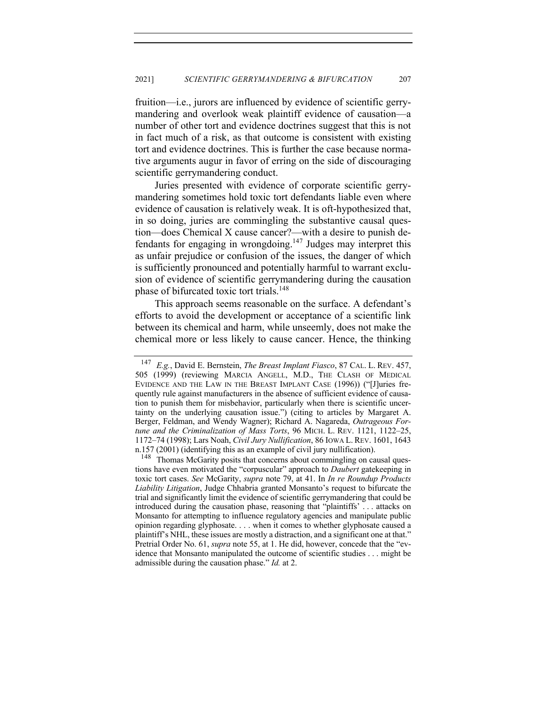fruition—i.e., jurors are influenced by evidence of scientific gerrymandering and overlook weak plaintiff evidence of causation—a number of other tort and evidence doctrines suggest that this is not in fact much of a risk, as that outcome is consistent with existing tort and evidence doctrines. This is further the case because normative arguments augur in favor of erring on the side of discouraging scientific gerrymandering conduct.

Juries presented with evidence of corporate scientific gerrymandering sometimes hold toxic tort defendants liable even where evidence of causation is relatively weak. It is oft-hypothesized that, in so doing, juries are commingling the substantive causal question—does Chemical X cause cancer?—with a desire to punish defendants for engaging in wrongdoing.147 Judges may interpret this as unfair prejudice or confusion of the issues, the danger of which is sufficiently pronounced and potentially harmful to warrant exclusion of evidence of scientific gerrymandering during the causation phase of bifurcated toxic tort trials.<sup>148</sup>

This approach seems reasonable on the surface. A defendant's efforts to avoid the development or acceptance of a scientific link between its chemical and harm, while unseemly, does not make the chemical more or less likely to cause cancer. Hence, the thinking

<sup>147</sup> *E.g.*, David E. Bernstein, *The Breast Implant Fiasco*, 87 CAL. L. REV. 457, 505 (1999) (reviewing MARCIA ANGELL, M.D., THE CLASH OF MEDICAL EVIDENCE AND THE LAW IN THE BREAST IMPLANT CASE (1996)) ("[J]uries frequently rule against manufacturers in the absence of sufficient evidence of causation to punish them for misbehavior, particularly when there is scientific uncertainty on the underlying causation issue.") (citing to articles by Margaret A. Berger, Feldman, and Wendy Wagner); Richard A. Nagareda, *Outrageous Fortune and the Criminalization of Mass Torts*, 96 MICH. L. REV. 1121, 1122–25, 1172–74 (1998); Lars Noah, *Civil Jury Nullification*, 86 IOWA L. REV. 1601, 1643 n.157 (2001) (identifying this as an example of civil jury nullification).

<sup>&</sup>lt;sup>148</sup> Thomas McGarity posits that concerns about commingling on causal questions have even motivated the "corpuscular" approach to *Daubert* gatekeeping in toxic tort cases. *See* McGarity, *supra* note 79, at 41. In *In re Roundup Products Liability Litigation*, Judge Chhabria granted Monsanto's request to bifurcate the trial and significantly limit the evidence of scientific gerrymandering that could be introduced during the causation phase, reasoning that "plaintiffs' . . . attacks on Monsanto for attempting to influence regulatory agencies and manipulate public opinion regarding glyphosate. . . . when it comes to whether glyphosate caused a plaintiff's NHL, these issues are mostly a distraction, and a significant one at that." Pretrial Order No. 61, *supra* note 55, at 1. He did, however, concede that the "evidence that Monsanto manipulated the outcome of scientific studies . . . might be admissible during the causation phase." *Id.* at 2.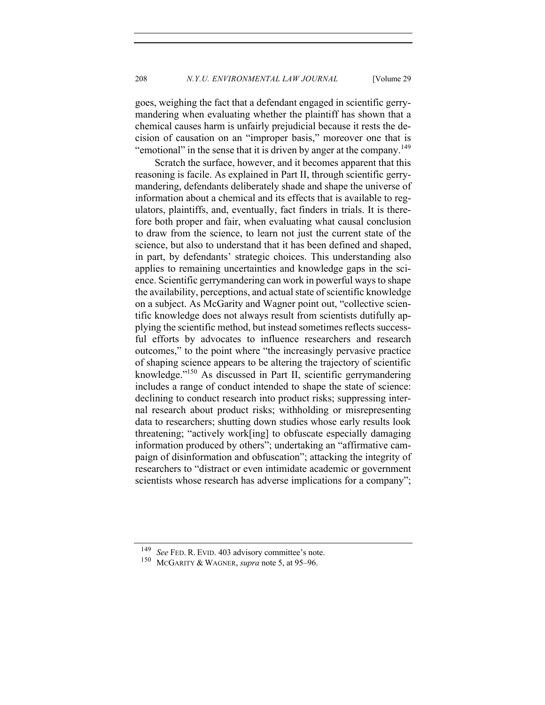208 *N.Y.U. ENVIRONMENTAL LAW JOURNAL* [Volume 29

goes, weighing the fact that a defendant engaged in scientific gerrymandering when evaluating whether the plaintiff has shown that a chemical causes harm is unfairly prejudicial because it rests the decision of causation on an "improper basis," moreover one that is "emotional" in the sense that it is driven by anger at the company.<sup>149</sup>

Scratch the surface, however, and it becomes apparent that this reasoning is facile. As explained in Part II, through scientific gerrymandering, defendants deliberately shade and shape the universe of information about a chemical and its effects that is available to regulators, plaintiffs, and, eventually, fact finders in trials. It is therefore both proper and fair, when evaluating what causal conclusion to draw from the science, to learn not just the current state of the science, but also to understand that it has been defined and shaped, in part, by defendants' strategic choices. This understanding also applies to remaining uncertainties and knowledge gaps in the science. Scientific gerrymandering can work in powerful ways to shape the availability, perceptions, and actual state of scientific knowledge on a subject. As McGarity and Wagner point out, "collective scientific knowledge does not always result from scientists dutifully applying the scientific method, but instead sometimes reflects successful efforts by advocates to influence researchers and research outcomes," to the point where "the increasingly pervasive practice of shaping science appears to be altering the trajectory of scientific knowledge."150 As discussed in Part II, scientific gerrymandering includes a range of conduct intended to shape the state of science: declining to conduct research into product risks; suppressing internal research about product risks; withholding or misrepresenting data to researchers; shutting down studies whose early results look threatening; "actively work[ing] to obfuscate especially damaging information produced by others"; undertaking an "affirmative campaign of disinformation and obfuscation"; attacking the integrity of researchers to "distract or even intimidate academic or government scientists whose research has adverse implications for a company";

See FED. R. EVID. 403 advisory committee's note.

<sup>150</sup> MCGARITY & WAGNER, *supra* note 5, at 95–96.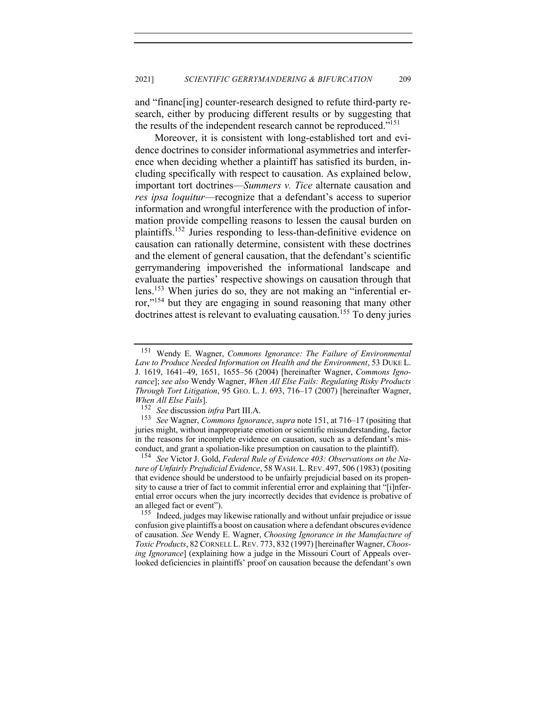and "financ[ing] counter-research designed to refute third-party research, either by producing different results or by suggesting that the results of the independent research cannot be reproduced."151

Moreover, it is consistent with long-established tort and evidence doctrines to consider informational asymmetries and interference when deciding whether a plaintiff has satisfied its burden, including specifically with respect to causation. As explained below, important tort doctrines—*Summers v. Tice* alternate causation and *res ipsa loquitur*—recognize that a defendant's access to superior information and wrongful interference with the production of information provide compelling reasons to lessen the causal burden on plaintiffs.<sup>152</sup> Juries responding to less-than-definitive evidence on causation can rationally determine, consistent with these doctrines and the element of general causation, that the defendant's scientific gerrymandering impoverished the informational landscape and evaluate the parties' respective showings on causation through that lens.153 When juries do so, they are not making an "inferential error,"<sup>154</sup> but they are engaging in sound reasoning that many other doctrines attest is relevant to evaluating causation.<sup>155</sup> To deny juries

<sup>154</sup> *See* Victor J. Gold, *Federal Rule of Evidence 403: Observations on the Nature of Unfairly Prejudicial Evidence*, 58 WASH. L.REV. 497, 506 (1983) (positing that evidence should be understood to be unfairly prejudicial based on its propensity to cause a trier of fact to commit inferential error and explaining that "[i]nferential error occurs when the jury incorrectly decides that evidence is probative of an alleged fact or event").

<sup>155</sup> Indeed, judges may likewise rationally and without unfair prejudice or issue confusion give plaintiffs a boost on causation where a defendant obscures evidence of causation. *See* Wendy E. Wagner, *Choosing Ignorance in the Manufacture of Toxic Products*, 82 CORNELL L.REV. 773, 832 (1997) [hereinafter Wagner, *Choosing Ignorance*] (explaining how a judge in the Missouri Court of Appeals overlooked deficiencies in plaintiffs' proof on causation because the defendant's own

<sup>151</sup> Wendy E. Wagner, *Commons Ignorance: The Failure of Environmental Law to Produce Needed Information on Health and the Environment*, 53 DUKE L. J. 1619, 1641–49, 1651, 1655–56 (2004) [hereinafter Wagner, *Commons Ignorance*]; *see also* Wendy Wagner, *When All Else Fails: Regulating Risky Products Through Tort Litigation*, 95 GEO. L. J. 693, 716–17 (2007) [hereinafter Wagner, *When All Else Fails*].<br><sup>152</sup> *See discussion* 

<sup>152</sup> *See* discussion *infra* Part III.A.

<sup>153</sup> *See* Wagner, *Commons Ignorance*, *supra* note 151, at 716–17 (positing that juries might, without inappropriate emotion or scientific misunderstanding, factor in the reasons for incomplete evidence on causation, such as a defendant's misconduct, and grant a spoliation-like presumption on causation to the plaintiff).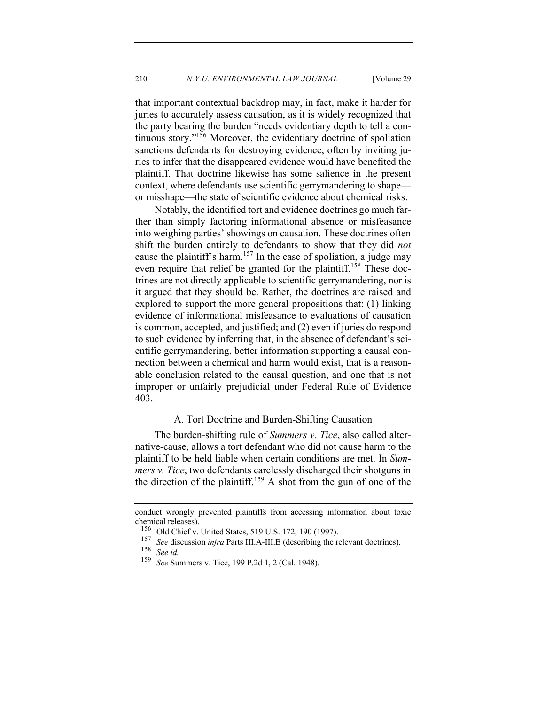that important contextual backdrop may, in fact, make it harder for juries to accurately assess causation, as it is widely recognized that the party bearing the burden "needs evidentiary depth to tell a continuous story."156 Moreover, the evidentiary doctrine of spoliation sanctions defendants for destroying evidence, often by inviting juries to infer that the disappeared evidence would have benefited the plaintiff. That doctrine likewise has some salience in the present context, where defendants use scientific gerrymandering to shape or misshape—the state of scientific evidence about chemical risks.

Notably, the identified tort and evidence doctrines go much farther than simply factoring informational absence or misfeasance into weighing parties' showings on causation. These doctrines often shift the burden entirely to defendants to show that they did *not*  cause the plaintiff's harm.<sup>157</sup> In the case of spoliation, a judge may even require that relief be granted for the plaintiff.<sup>158</sup> These doctrines are not directly applicable to scientific gerrymandering, nor is it argued that they should be. Rather, the doctrines are raised and explored to support the more general propositions that: (1) linking evidence of informational misfeasance to evaluations of causation is common, accepted, and justified; and (2) even if juries do respond to such evidence by inferring that, in the absence of defendant's scientific gerrymandering, better information supporting a causal connection between a chemical and harm would exist, that is a reasonable conclusion related to the causal question, and one that is not improper or unfairly prejudicial under Federal Rule of Evidence 403.

#### A. Tort Doctrine and Burden-Shifting Causation

The burden-shifting rule of *Summers v. Tice*, also called alternative-cause, allows a tort defendant who did not cause harm to the plaintiff to be held liable when certain conditions are met. In *Summers v. Tice*, two defendants carelessly discharged their shotguns in the direction of the plaintiff.<sup>159</sup> A shot from the gun of one of the

conduct wrongly prevented plaintiffs from accessing information about toxic chemical releases).

<sup>&</sup>lt;sup>156</sup> Old Chief v. United States, 519 U.S. 172, 190 (1997).<br><sup>157</sup> See discussion *infra* Parts III A-III B (describing the p

<sup>&</sup>lt;sup>157</sup> *See* discussion *infra* Parts III.A-III.B (describing the relevant doctrines).

<sup>158</sup> *See id.*

See Summers v. Tice, 199 P.2d 1, 2 (Cal. 1948).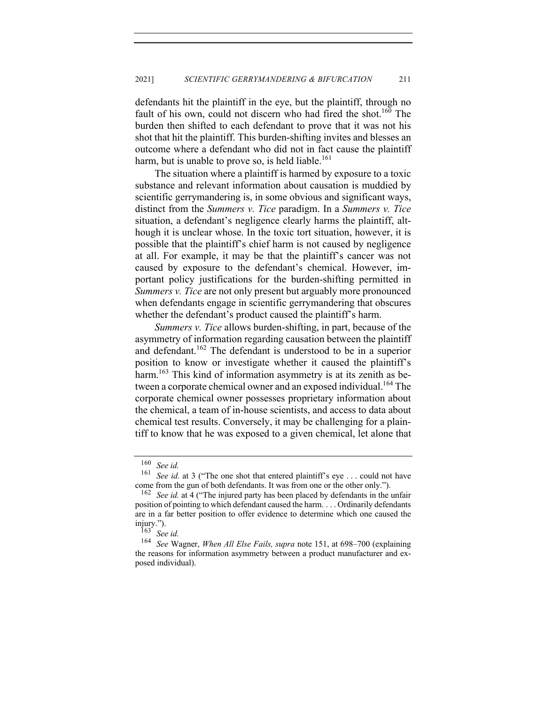defendants hit the plaintiff in the eye, but the plaintiff, through no fault of his own, could not discern who had fired the shot.<sup>160</sup> The burden then shifted to each defendant to prove that it was not his shot that hit the plaintiff. This burden-shifting invites and blesses an outcome where a defendant who did not in fact cause the plaintiff harm, but is unable to prove so, is held liable.<sup>161</sup>

The situation where a plaintiff is harmed by exposure to a toxic substance and relevant information about causation is muddied by scientific gerrymandering is, in some obvious and significant ways, distinct from the *Summers v. Tice* paradigm. In a *Summers v. Tice*  situation, a defendant's negligence clearly harms the plaintiff, although it is unclear whose. In the toxic tort situation, however, it is possible that the plaintiff's chief harm is not caused by negligence at all. For example, it may be that the plaintiff's cancer was not caused by exposure to the defendant's chemical. However, important policy justifications for the burden-shifting permitted in *Summers v. Tice* are not only present but arguably more pronounced when defendants engage in scientific gerrymandering that obscures whether the defendant's product caused the plaintiff's harm.

*Summers v. Tice* allows burden-shifting, in part, because of the asymmetry of information regarding causation between the plaintiff and defendant.<sup>162</sup> The defendant is understood to be in a superior position to know or investigate whether it caused the plaintiff's harm.<sup>163</sup> This kind of information asymmetry is at its zenith as between a corporate chemical owner and an exposed individual.<sup>164</sup> The corporate chemical owner possesses proprietary information about the chemical, a team of in-house scientists, and access to data about chemical test results. Conversely, it may be challenging for a plaintiff to know that he was exposed to a given chemical, let alone that

<sup>160</sup> *See id.*

See id. at 3 ("The one shot that entered plaintiff's eye . . . could not have come from the gun of both defendants. It was from one or the other only.").

<sup>162</sup> *See id.* at 4 ("The injured party has been placed by defendants in the unfair position of pointing to which defendant caused the harm. . . . Ordinarily defendants are in a far better position to offer evidence to determine which one caused the injury.").

 $\frac{163}{164}$  *See id.* 

<sup>164</sup> *See* Wagner, *When All Else Fails, supra* note 151, at 698–700 (explaining the reasons for information asymmetry between a product manufacturer and exposed individual).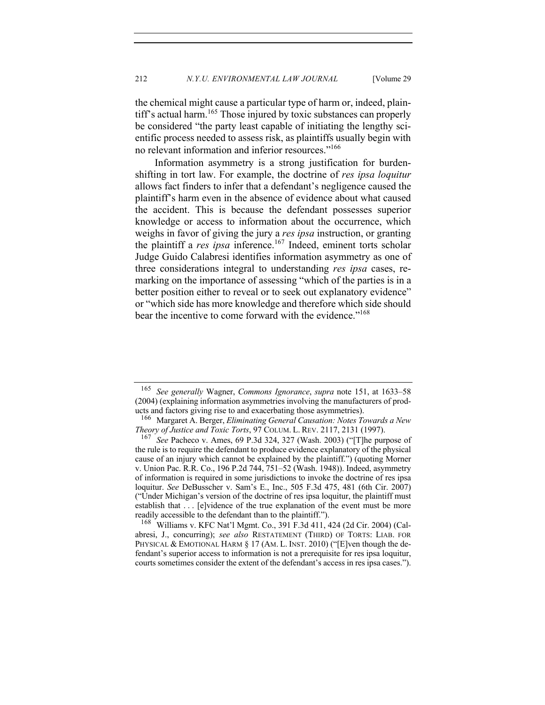the chemical might cause a particular type of harm or, indeed, plaintiff's actual harm.<sup>165</sup> Those injured by toxic substances can properly be considered "the party least capable of initiating the lengthy scientific process needed to assess risk, as plaintiffs usually begin with no relevant information and inferior resources."<sup>166</sup>

Information asymmetry is a strong justification for burdenshifting in tort law. For example, the doctrine of *res ipsa loquitur* allows fact finders to infer that a defendant's negligence caused the plaintiff's harm even in the absence of evidence about what caused the accident. This is because the defendant possesses superior knowledge or access to information about the occurrence, which weighs in favor of giving the jury a *res ipsa* instruction, or granting the plaintiff a *res ipsa* inference.<sup>167</sup> Indeed, eminent torts scholar Judge Guido Calabresi identifies information asymmetry as one of three considerations integral to understanding *res ipsa* cases, remarking on the importance of assessing "which of the parties is in a better position either to reveal or to seek out explanatory evidence" or "which side has more knowledge and therefore which side should bear the incentive to come forward with the evidence."<sup>168</sup>

<sup>168</sup> Williams v. KFC Nat'l Mgmt. Co., 391 F.3d 411, 424 (2d Cir. 2004) (Calabresi, J., concurring); *see also* RESTATEMENT (THIRD) OF TORTS: LIAB. FOR PHYSICAL & EMOTIONAL HARM § 17 (AM. L. INST. 2010) ("[E]ven though the defendant's superior access to information is not a prerequisite for res ipsa loquitur, courts sometimes consider the extent of the defendant's access in res ipsa cases.").

<sup>165</sup> *See generally* Wagner, *Commons Ignorance*, *supra* note 151, at 1633–58 (2004) (explaining information asymmetries involving the manufacturers of products and factors giving rise to and exacerbating those asymmetries).

<sup>166</sup> Margaret A. Berger, *Eliminating General Causation: Notes Towards a New Theory of Justice and Toxic Torts*, 97 COLUM. L. REV. 2117, 2131 (1997).

<sup>167</sup> *See* Pacheco v. Ames, 69 P.3d 324, 327 (Wash. 2003) ("[T]he purpose of the rule is to require the defendant to produce evidence explanatory of the physical cause of an injury which cannot be explained by the plaintiff.") (quoting Morner v. Union Pac. R.R. Co., 196 P.2d 744, 751–52 (Wash. 1948)). Indeed, asymmetry of information is required in some jurisdictions to invoke the doctrine of res ipsa loquitur. *See* DeBusscher v. Sam's E., Inc., 505 F.3d 475, 481 (6th Cir. 2007) ("Under Michigan's version of the doctrine of res ipsa loquitur, the plaintiff must establish that . . . [e]vidence of the true explanation of the event must be more readily accessible to the defendant than to the plaintiff.").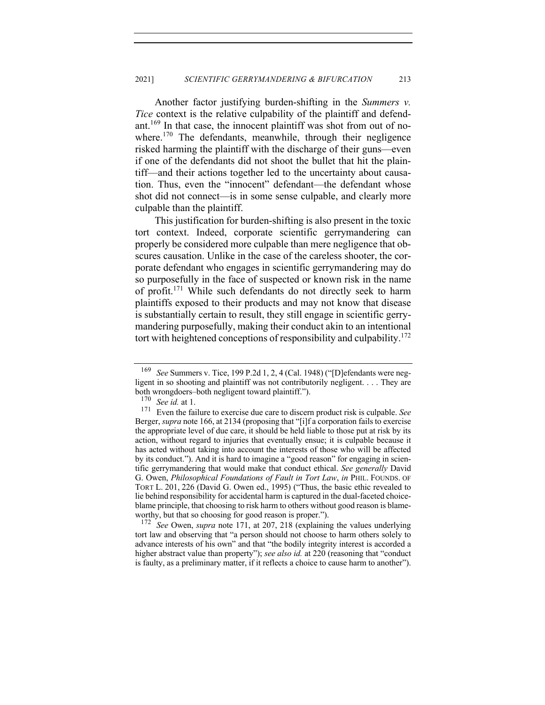Another factor justifying burden-shifting in the *Summers v. Tice* context is the relative culpability of the plaintiff and defendant.<sup>169</sup> In that case, the innocent plaintiff was shot from out of nowhere.<sup>170</sup> The defendants, meanwhile, through their negligence risked harming the plaintiff with the discharge of their guns—even if one of the defendants did not shoot the bullet that hit the plaintiff—and their actions together led to the uncertainty about causation. Thus, even the "innocent" defendant—the defendant whose shot did not connect—is in some sense culpable, and clearly more culpable than the plaintiff.

This justification for burden-shifting is also present in the toxic tort context. Indeed, corporate scientific gerrymandering can properly be considered more culpable than mere negligence that obscures causation. Unlike in the case of the careless shooter, the corporate defendant who engages in scientific gerrymandering may do so purposefully in the face of suspected or known risk in the name of profit.<sup>171</sup> While such defendants do not directly seek to harm plaintiffs exposed to their products and may not know that disease is substantially certain to result, they still engage in scientific gerrymandering purposefully, making their conduct akin to an intentional tort with heightened conceptions of responsibility and culpability.<sup>172</sup>

<sup>172</sup> *See* Owen, *supra* note 171, at 207, 218 (explaining the values underlying tort law and observing that "a person should not choose to harm others solely to advance interests of his own" and that "the bodily integrity interest is accorded a higher abstract value than property"); *see also id.* at 220 (reasoning that "conduct is faulty, as a preliminary matter, if it reflects a choice to cause harm to another").

<sup>169</sup> *See* Summers v. Tice, 199 P.2d 1, 2, 4 (Cal. 1948) ("[D]efendants were negligent in so shooting and plaintiff was not contributorily negligent. . . . They are both wrongdoers–both negligent toward plaintiff.").

<sup>170</sup> *See id.* at 1.

<sup>171</sup> Even the failure to exercise due care to discern product risk is culpable. *See* Berger, *supra* note 166, at 2134 (proposing that "[i]f a corporation fails to exercise the appropriate level of due care, it should be held liable to those put at risk by its action, without regard to injuries that eventually ensue; it is culpable because it has acted without taking into account the interests of those who will be affected by its conduct."). And it is hard to imagine a "good reason" for engaging in scientific gerrymandering that would make that conduct ethical. *See generally* David G. Owen, *Philosophical Foundations of Fault in Tort Law*, *in* PHIL. FOUNDS. OF TORT L. 201, 226 (David G. Owen ed., 1995) ("Thus, the basic ethic revealed to lie behind responsibility for accidental harm is captured in the dual-faceted choiceblame principle, that choosing to risk harm to others without good reason is blameworthy, but that so choosing for good reason is proper.").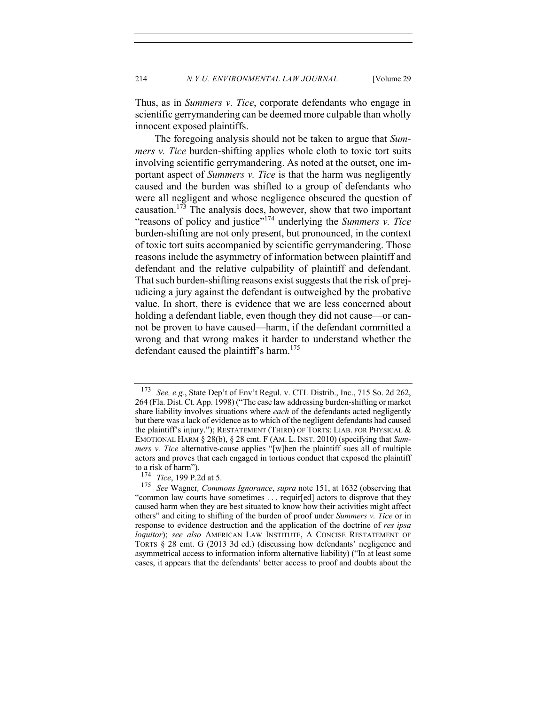Thus, as in *Summers v. Tice*, corporate defendants who engage in scientific gerrymandering can be deemed more culpable than wholly innocent exposed plaintiffs.

The foregoing analysis should not be taken to argue that *Summers v. Tice* burden-shifting applies whole cloth to toxic tort suits involving scientific gerrymandering. As noted at the outset, one important aspect of *Summers v. Tice* is that the harm was negligently caused and the burden was shifted to a group of defendants who were all negligent and whose negligence obscured the question of causation.<sup>173</sup> The analysis does, however, show that two important "reasons of policy and justice"<sup>174</sup> underlying the *Summers v. Tice*  burden-shifting are not only present, but pronounced, in the context of toxic tort suits accompanied by scientific gerrymandering. Those reasons include the asymmetry of information between plaintiff and defendant and the relative culpability of plaintiff and defendant. That such burden-shifting reasons exist suggests that the risk of prejudicing a jury against the defendant is outweighed by the probative value. In short, there is evidence that we are less concerned about holding a defendant liable, even though they did not cause—or cannot be proven to have caused—harm, if the defendant committed a wrong and that wrong makes it harder to understand whether the defendant caused the plaintiff's harm.<sup>175</sup>

<sup>173</sup> *See, e.g.*, State Dep't of Env't Regul. v. CTL Distrib., Inc., 715 So. 2d 262, 264 (Fla. Dist. Ct. App. 1998) ("The case law addressing burden-shifting or market share liability involves situations where *each* of the defendants acted negligently but there was a lack of evidence as to which of the negligent defendants had caused the plaintiff's injury."); RESTATEMENT (THIRD) OF TORTS: LIAB. FOR PHYSICAL & EMOTIONAL HARM § 28(b), § 28 cmt. F (AM. L. INST. 2010) (specifying that *Summers v. Tice* alternative-cause applies "[w]hen the plaintiff sues all of multiple actors and proves that each engaged in tortious conduct that exposed the plaintiff to a risk of harm").

<sup>174</sup> *Tice*, 199 P.2d at 5.

<sup>175</sup> *See* Wagner*, Commons Ignorance*, *supra* note 151, at 1632 (observing that "common law courts have sometimes . . . requir[ed] actors to disprove that they caused harm when they are best situated to know how their activities might affect others" and citing to shifting of the burden of proof under *Summers v. Tice* or in response to evidence destruction and the application of the doctrine of *res ipsa loquitor*); *see also* AMERICAN LAW INSTITUTE, A CONCISE RESTATEMENT OF TORTS § 28 cmt. G (2013 3d ed.) (discussing how defendants' negligence and asymmetrical access to information inform alternative liability) ("In at least some cases, it appears that the defendants' better access to proof and doubts about the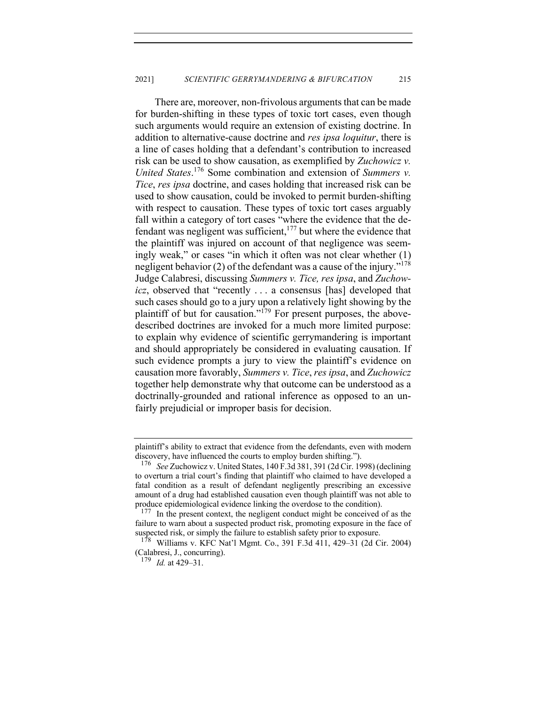There are, moreover, non-frivolous arguments that can be made for burden-shifting in these types of toxic tort cases, even though such arguments would require an extension of existing doctrine. In addition to alternative-cause doctrine and *res ipsa loquitur*, there is a line of cases holding that a defendant's contribution to increased risk can be used to show causation, as exemplified by *Zuchowicz v. United States*. <sup>176</sup> Some combination and extension of *Summers v. Tice*, *res ipsa* doctrine, and cases holding that increased risk can be used to show causation, could be invoked to permit burden-shifting with respect to causation. These types of toxic tort cases arguably fall within a category of tort cases "where the evidence that the defendant was negligent was sufficient, $177$  but where the evidence that the plaintiff was injured on account of that negligence was seemingly weak," or cases "in which it often was not clear whether (1) negligent behavior (2) of the defendant was a cause of the injury."<sup>178</sup> Judge Calabresi, discussing *Summers v. Tice, res ipsa*, and *Zuchowicz*, observed that "recently ... a consensus [has] developed that such cases should go to a jury upon a relatively light showing by the plaintiff of but for causation."<sup>179</sup> For present purposes, the abovedescribed doctrines are invoked for a much more limited purpose: to explain why evidence of scientific gerrymandering is important and should appropriately be considered in evaluating causation. If such evidence prompts a jury to view the plaintiff's evidence on causation more favorably, *Summers v. Tice*, *res ipsa*, and *Zuchowicz* together help demonstrate why that outcome can be understood as a doctrinally-grounded and rational inference as opposed to an unfairly prejudicial or improper basis for decision.

plaintiff's ability to extract that evidence from the defendants, even with modern discovery, have influenced the courts to employ burden shifting.").

<sup>176</sup> *See* Zuchowicz v. United States, 140 F.3d 381, 391 (2d Cir. 1998) (declining to overturn a trial court's finding that plaintiff who claimed to have developed a fatal condition as a result of defendant negligently prescribing an excessive amount of a drug had established causation even though plaintiff was not able to produce epidemiological evidence linking the overdose to the condition).

<sup>&</sup>lt;sup>177</sup> In the present context, the negligent conduct might be conceived of as the failure to warn about a suspected product risk, promoting exposure in the face of suspected risk, or simply the failure to establish safety prior to exposure.

<sup>178</sup> Williams v. KFC Nat'l Mgmt. Co., 391 F.3d 411, 429–31 (2d Cir. 2004) (Calabresi, J., concurring).

<sup>179</sup> *Id.* at 429–31.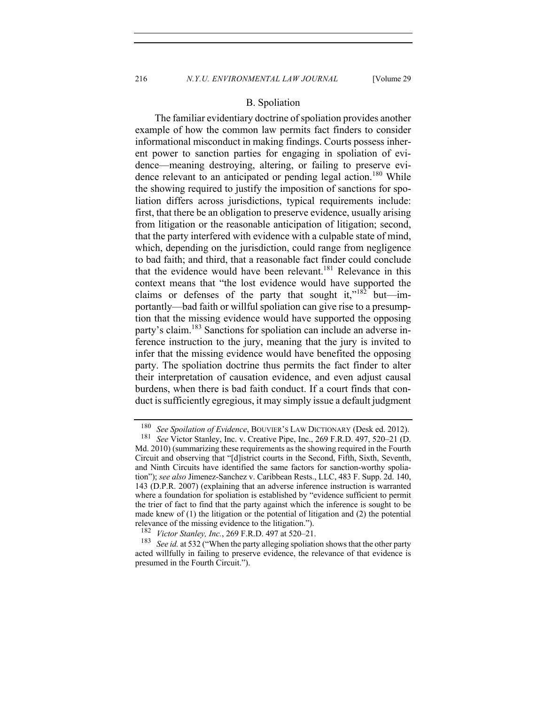## B. Spoliation

The familiar evidentiary doctrine of spoliation provides another example of how the common law permits fact finders to consider informational misconduct in making findings. Courts possess inherent power to sanction parties for engaging in spoliation of evidence—meaning destroying, altering, or failing to preserve evidence relevant to an anticipated or pending legal action.<sup>180</sup> While the showing required to justify the imposition of sanctions for spoliation differs across jurisdictions, typical requirements include: first, that there be an obligation to preserve evidence, usually arising from litigation or the reasonable anticipation of litigation; second, that the party interfered with evidence with a culpable state of mind, which, depending on the jurisdiction, could range from negligence to bad faith; and third, that a reasonable fact finder could conclude that the evidence would have been relevant.<sup>181</sup> Relevance in this context means that "the lost evidence would have supported the claims or defenses of the party that sought it,"<sup>182</sup> but—importantly—bad faith or willful spoliation can give rise to a presumption that the missing evidence would have supported the opposing party's claim.<sup>183</sup> Sanctions for spoliation can include an adverse inference instruction to the jury, meaning that the jury is invited to infer that the missing evidence would have benefited the opposing party. The spoliation doctrine thus permits the fact finder to alter their interpretation of causation evidence, and even adjust causal burdens, when there is bad faith conduct. If a court finds that conduct is sufficiently egregious, it may simply issue a default judgment

<sup>180</sup> *See Spoilation of Evidence*, BOUVIER'S LAW DICTIONARY (Desk ed. 2012).<br>181 *See Victor Stanley Jnc. v. Creative Pine Jnc.* 269 F R D 497 520–21 (D)

See Victor Stanley, Inc. v. Creative Pipe, Inc., 269 F.R.D. 497, 520–21 (D. Md. 2010) (summarizing these requirements as the showing required in the Fourth Circuit and observing that "[d]istrict courts in the Second, Fifth, Sixth, Seventh, and Ninth Circuits have identified the same factors for sanction-worthy spoliation"); *see also* Jimenez-Sanchez v. Caribbean Rests., LLC, 483 F. Supp. 2d. 140, 143 (D.P.R. 2007) (explaining that an adverse inference instruction is warranted where a foundation for spoliation is established by "evidence sufficient to permit the trier of fact to find that the party against which the inference is sought to be made knew of (1) the litigation or the potential of litigation and (2) the potential relevance of the missing evidence to the litigation.").<br> $^{182}$  Victor Stankay, Inc. 269 E P D 497 at 520, 21

<sup>&</sup>lt;sup>182</sup> *Victor Stanley, Inc.*, 269 F.R.D. 497 at 520–21.<br><sup>183</sup> See id. at 532 ("When the perty elleging spoliation")

See id. at 532 ("When the party alleging spoliation shows that the other party acted willfully in failing to preserve evidence, the relevance of that evidence is presumed in the Fourth Circuit.").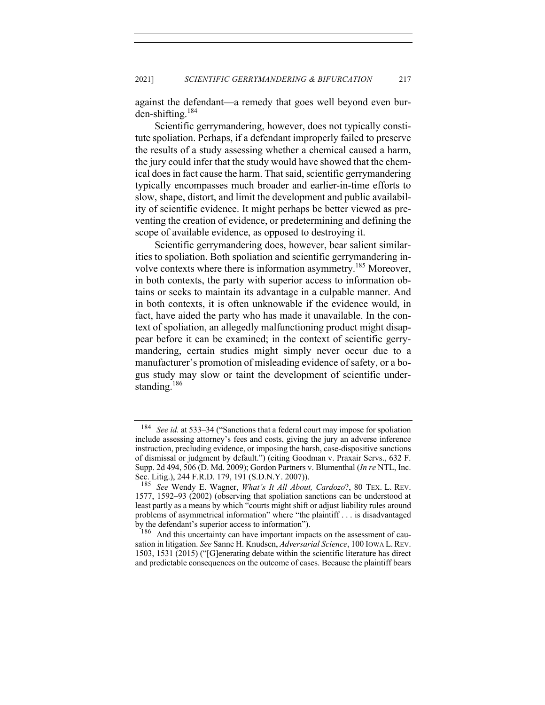against the defendant—a remedy that goes well beyond even burden-shifting.<sup>184</sup>

Scientific gerrymandering, however, does not typically constitute spoliation. Perhaps, if a defendant improperly failed to preserve the results of a study assessing whether a chemical caused a harm, the jury could infer that the study would have showed that the chemical does in fact cause the harm. That said, scientific gerrymandering typically encompasses much broader and earlier-in-time efforts to slow, shape, distort, and limit the development and public availability of scientific evidence. It might perhaps be better viewed as preventing the creation of evidence, or predetermining and defining the scope of available evidence, as opposed to destroying it.

Scientific gerrymandering does, however, bear salient similarities to spoliation. Both spoliation and scientific gerrymandering involve contexts where there is information asymmetry.<sup>185</sup> Moreover, in both contexts, the party with superior access to information obtains or seeks to maintain its advantage in a culpable manner. And in both contexts, it is often unknowable if the evidence would, in fact, have aided the party who has made it unavailable. In the context of spoliation, an allegedly malfunctioning product might disappear before it can be examined; in the context of scientific gerrymandering, certain studies might simply never occur due to a manufacturer's promotion of misleading evidence of safety, or a bogus study may slow or taint the development of scientific understanding.<sup>186</sup>

<sup>184</sup> *See id.* at 533–34 ("Sanctions that a federal court may impose for spoliation include assessing attorney's fees and costs, giving the jury an adverse inference instruction, precluding evidence, or imposing the harsh, case-dispositive sanctions of dismissal or judgment by default.") (citing Goodman v. Praxair Servs., 632 F. Supp. 2d 494, 506 (D. Md. 2009); Gordon Partners v. Blumenthal (*In re* NTL, Inc. Sec. Litig.), 244 F.R.D. 179, 191 (S.D.N.Y. 2007)).<br><sup>185</sup> See Wendy F. Wagner, *What's It All About* 

See Wendy E. Wagner, *What's It All About, Cardozo*?, 80 TEX. L. REV. 1577, 1592–93 (2002) (observing that spoliation sanctions can be understood at least partly as a means by which "courts might shift or adjust liability rules around problems of asymmetrical information" where "the plaintiff . . . is disadvantaged by the defendant's superior access to information").<br> $\frac{186}{186}$  And this uncertainty can have important import

And this uncertainty can have important impacts on the assessment of causation in litigation. *See* Sanne H. Knudsen, *Adversarial Science*, 100 IOWA L.REV. 1503, 1531 (2015) ("[G]enerating debate within the scientific literature has direct and predictable consequences on the outcome of cases. Because the plaintiff bears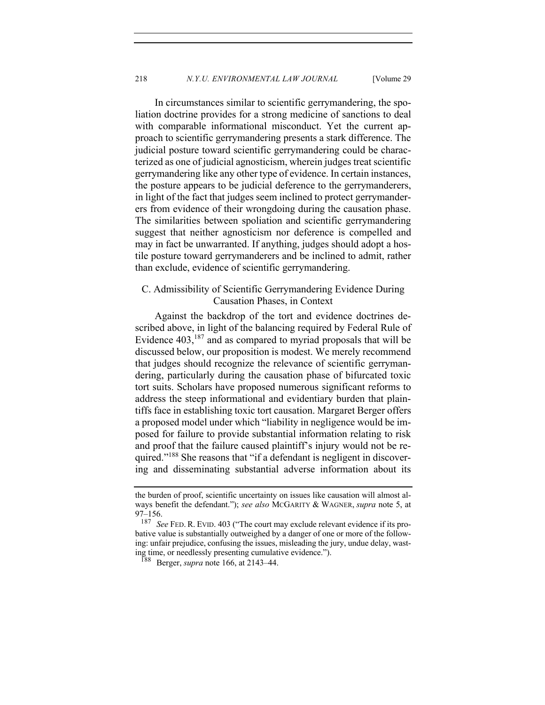In circumstances similar to scientific gerrymandering, the spoliation doctrine provides for a strong medicine of sanctions to deal with comparable informational misconduct. Yet the current approach to scientific gerrymandering presents a stark difference. The judicial posture toward scientific gerrymandering could be characterized as one of judicial agnosticism, wherein judges treat scientific gerrymandering like any other type of evidence. In certain instances, the posture appears to be judicial deference to the gerrymanderers, in light of the fact that judges seem inclined to protect gerrymanderers from evidence of their wrongdoing during the causation phase. The similarities between spoliation and scientific gerrymandering suggest that neither agnosticism nor deference is compelled and may in fact be unwarranted. If anything, judges should adopt a hostile posture toward gerrymanderers and be inclined to admit, rather than exclude, evidence of scientific gerrymandering.

# C. Admissibility of Scientific Gerrymandering Evidence During Causation Phases, in Context

Against the backdrop of the tort and evidence doctrines described above, in light of the balancing required by Federal Rule of Evidence  $403$ ,  $187$  and as compared to myriad proposals that will be discussed below, our proposition is modest. We merely recommend that judges should recognize the relevance of scientific gerrymandering, particularly during the causation phase of bifurcated toxic tort suits. Scholars have proposed numerous significant reforms to address the steep informational and evidentiary burden that plaintiffs face in establishing toxic tort causation. Margaret Berger offers a proposed model under which "liability in negligence would be imposed for failure to provide substantial information relating to risk and proof that the failure caused plaintiff's injury would not be required."<sup>188</sup> She reasons that "if a defendant is negligent in discovering and disseminating substantial adverse information about its

the burden of proof, scientific uncertainty on issues like causation will almost always benefit the defendant."); *see also* MCGARITY & WAGNER, *supra* note 5, at  $97-156.$ <br> $187<sub>56</sub>$ 

See FED. R. EVID. 403 ("The court may exclude relevant evidence if its probative value is substantially outweighed by a danger of one or more of the following: unfair prejudice, confusing the issues, misleading the jury, undue delay, wasting time, or needlessly presenting cumulative evidence.").

<sup>188</sup> Berger, *supra* note 166, at 2143–44.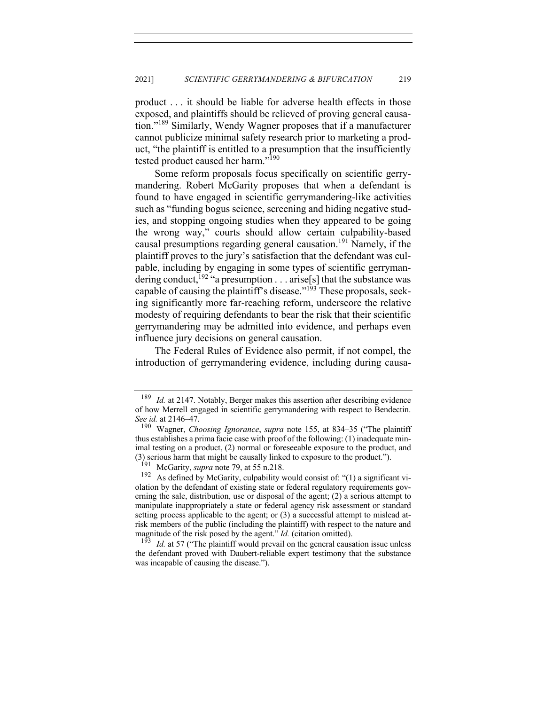product . . . it should be liable for adverse health effects in those exposed, and plaintiffs should be relieved of proving general causation."<sup>189</sup> Similarly, Wendy Wagner proposes that if a manufacturer cannot publicize minimal safety research prior to marketing a product, "the plaintiff is entitled to a presumption that the insufficiently tested product caused her harm."<sup>190</sup>

Some reform proposals focus specifically on scientific gerrymandering. Robert McGarity proposes that when a defendant is found to have engaged in scientific gerrymandering-like activities such as "funding bogus science, screening and hiding negative studies, and stopping ongoing studies when they appeared to be going the wrong way," courts should allow certain culpability-based causal presumptions regarding general causation.<sup>191</sup> Namely, if the plaintiff proves to the jury's satisfaction that the defendant was culpable, including by engaging in some types of scientific gerrymandering conduct, <sup>192</sup> "a presumption . . . arise[s] that the substance was capable of causing the plaintiff's disease."<sup>193</sup> These proposals, seeking significantly more far-reaching reform, underscore the relative modesty of requiring defendants to bear the risk that their scientific gerrymandering may be admitted into evidence, and perhaps even influence jury decisions on general causation.

The Federal Rules of Evidence also permit, if not compel, the introduction of gerrymandering evidence, including during causa-

<sup>&</sup>lt;sup>189</sup> *Id.* at 2147. Notably, Berger makes this assertion after describing evidence of how Merrell engaged in scientific gerrymandering with respect to Bendectin. *See id.* at 2146–47.

<sup>190</sup> Wagner, *Choosing Ignorance*, *supra* note 155, at 834–35 ("The plaintiff thus establishes a prima facie case with proof of the following: (1) inadequate minimal testing on a product, (2) normal or foreseeable exposure to the product, and (3) serious harm that might be causally linked to exposure to the product.").

<sup>&</sup>lt;sup>191</sup> McGarity, *supra* note 79, at 55 n.218.<br><sup>192</sup> As defined by McGarity, culpability v

As defined by McGarity, culpability would consist of: "(1) a significant violation by the defendant of existing state or federal regulatory requirements governing the sale, distribution, use or disposal of the agent; (2) a serious attempt to manipulate inappropriately a state or federal agency risk assessment or standard setting process applicable to the agent; or (3) a successful attempt to mislead atrisk members of the public (including the plaintiff) with respect to the nature and magnitude of the risk posed by the agent." *Id.* (citation omitted).<br><sup>193</sup> *Id.* at 57 ("The plaintiff would prevail on the general causation issue unless

the defendant proved with Daubert-reliable expert testimony that the substance was incapable of causing the disease.").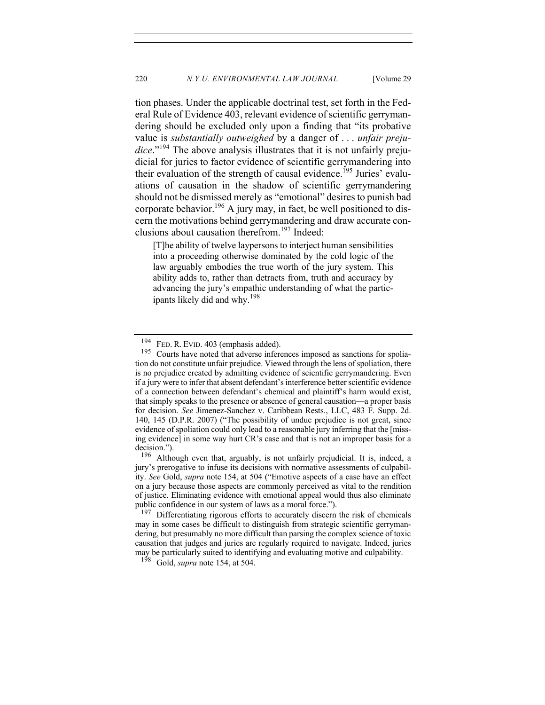tion phases. Under the applicable doctrinal test, set forth in the Federal Rule of Evidence 403, relevant evidence of scientific gerrymandering should be excluded only upon a finding that "its probative value is *substantially outweighed* by a danger of . . . *unfair preju*dice."<sup>194</sup> The above analysis illustrates that it is not unfairly prejudicial for juries to factor evidence of scientific gerrymandering into their evaluation of the strength of causal evidence.<sup>195</sup> Juries' evaluations of causation in the shadow of scientific gerrymandering should not be dismissed merely as "emotional" desires to punish bad corporate behavior.<sup>196</sup> A jury may, in fact, be well positioned to discern the motivations behind gerrymandering and draw accurate conclusions about causation therefrom.197 Indeed:

[T]he ability of twelve laypersons to interject human sensibilities into a proceeding otherwise dominated by the cold logic of the law arguably embodies the true worth of the jury system. This ability adds to, rather than detracts from, truth and accuracy by advancing the jury's empathic understanding of what the participants likely did and why.<sup>198</sup>

<sup>198</sup> Gold, *supra* note 154, at 504.

<sup>&</sup>lt;sup>194</sup> FED. R. EVID.  $403$  (emphasis added).<br><sup>195</sup> Courts have noted that adverse infer-

Courts have noted that adverse inferences imposed as sanctions for spoliation do not constitute unfair prejudice. Viewed through the lens of spoliation, there is no prejudice created by admitting evidence of scientific gerrymandering. Even if a jury were to infer that absent defendant's interference better scientific evidence of a connection between defendant's chemical and plaintiff's harm would exist, that simply speaks to the presence or absence of general causation—a proper basis for decision. *See* Jimenez-Sanchez v. Caribbean Rests., LLC, 483 F. Supp. 2d. 140, 145 (D.P.R. 2007) ("The possibility of undue prejudice is not great, since evidence of spoliation could only lead to a reasonable jury inferring that the [missing evidence] in some way hurt CR's case and that is not an improper basis for a decision.").<br> $^{196}$  Altho

Although even that, arguably, is not unfairly prejudicial. It is, indeed, a jury's prerogative to infuse its decisions with normative assessments of culpability. *See* Gold, *supra* note 154, at 504 ("Emotive aspects of a case have an effect on a jury because those aspects are commonly perceived as vital to the rendition of justice. Eliminating evidence with emotional appeal would thus also eliminate public confidence in our system of laws as a moral force.").<br><sup>197</sup> Differentiating rigorous efforts to accurately discern

Differentiating rigorous efforts to accurately discern the risk of chemicals may in some cases be difficult to distinguish from strategic scientific gerrymandering, but presumably no more difficult than parsing the complex science of toxic causation that judges and juries are regularly required to navigate. Indeed, juries may be particularly suited to identifying and evaluating motive and culpability.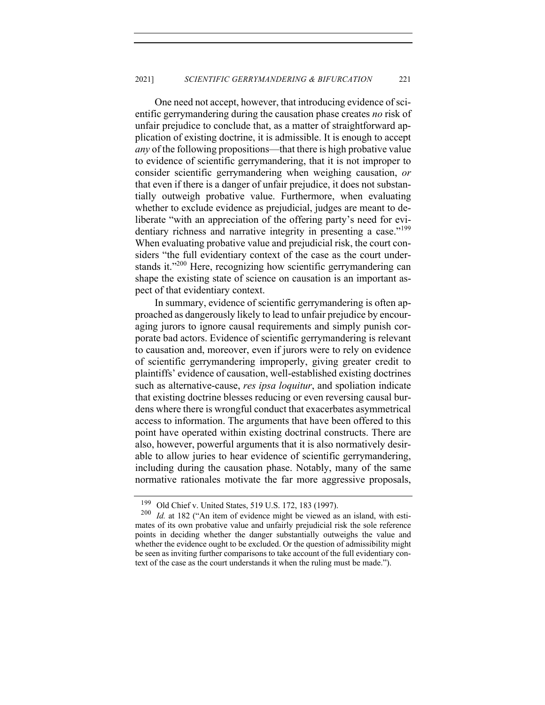One need not accept, however, that introducing evidence of scientific gerrymandering during the causation phase creates *no* risk of unfair prejudice to conclude that, as a matter of straightforward application of existing doctrine, it is admissible. It is enough to accept *any* of the following propositions—that there is high probative value to evidence of scientific gerrymandering, that it is not improper to consider scientific gerrymandering when weighing causation, *or*  that even if there is a danger of unfair prejudice, it does not substantially outweigh probative value. Furthermore, when evaluating whether to exclude evidence as prejudicial, judges are meant to deliberate "with an appreciation of the offering party's need for evidentiary richness and narrative integrity in presenting a case."<sup>199</sup> When evaluating probative value and prejudicial risk, the court considers "the full evidentiary context of the case as the court understands it."<sup>200</sup> Here, recognizing how scientific gerrymandering can shape the existing state of science on causation is an important aspect of that evidentiary context.

In summary, evidence of scientific gerrymandering is often approached as dangerously likely to lead to unfair prejudice by encouraging jurors to ignore causal requirements and simply punish corporate bad actors. Evidence of scientific gerrymandering is relevant to causation and, moreover, even if jurors were to rely on evidence of scientific gerrymandering improperly, giving greater credit to plaintiffs' evidence of causation, well-established existing doctrines such as alternative-cause, *res ipsa loquitur*, and spoliation indicate that existing doctrine blesses reducing or even reversing causal burdens where there is wrongful conduct that exacerbates asymmetrical access to information. The arguments that have been offered to this point have operated within existing doctrinal constructs. There are also, however, powerful arguments that it is also normatively desirable to allow juries to hear evidence of scientific gerrymandering, including during the causation phase. Notably, many of the same normative rationales motivate the far more aggressive proposals,

<sup>&</sup>lt;sup>199</sup> Old Chief v. United States, 519 U.S. 172, 183 (1997).<br><sup>200</sup> Id at 182 ("An item of evidence might be viewed as

*Id.* at 182 ("An item of evidence might be viewed as an island, with estimates of its own probative value and unfairly prejudicial risk the sole reference points in deciding whether the danger substantially outweighs the value and whether the evidence ought to be excluded. Or the question of admissibility might be seen as inviting further comparisons to take account of the full evidentiary context of the case as the court understands it when the ruling must be made.").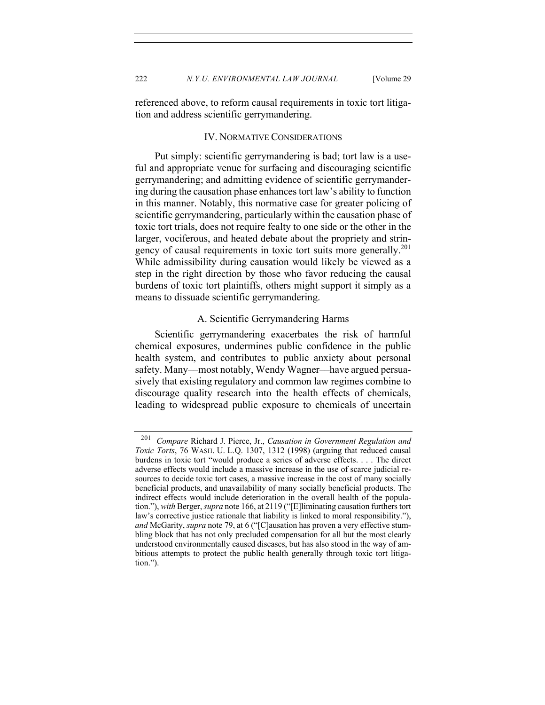referenced above, to reform causal requirements in toxic tort litigation and address scientific gerrymandering.

#### IV. NORMATIVE CONSIDERATIONS

Put simply: scientific gerrymandering is bad; tort law is a useful and appropriate venue for surfacing and discouraging scientific gerrymandering; and admitting evidence of scientific gerrymandering during the causation phase enhances tort law's ability to function in this manner. Notably, this normative case for greater policing of scientific gerrymandering, particularly within the causation phase of toxic tort trials, does not require fealty to one side or the other in the larger, vociferous, and heated debate about the propriety and stringency of causal requirements in toxic tort suits more generally.<sup>201</sup> While admissibility during causation would likely be viewed as a step in the right direction by those who favor reducing the causal burdens of toxic tort plaintiffs, others might support it simply as a means to dissuade scientific gerrymandering.

#### A. Scientific Gerrymandering Harms

Scientific gerrymandering exacerbates the risk of harmful chemical exposures, undermines public confidence in the public health system, and contributes to public anxiety about personal safety. Many––most notably, Wendy Wagner––have argued persuasively that existing regulatory and common law regimes combine to discourage quality research into the health effects of chemicals, leading to widespread public exposure to chemicals of uncertain

<sup>201</sup> *Compare* Richard J. Pierce, Jr., *Causation in Government Regulation and Toxic Torts*, 76 WASH. U. L.Q. 1307, 1312 (1998) (arguing that reduced causal burdens in toxic tort "would produce a series of adverse effects. . . . The direct adverse effects would include a massive increase in the use of scarce judicial resources to decide toxic tort cases, a massive increase in the cost of many socially beneficial products, and unavailability of many socially beneficial products. The indirect effects would include deterioration in the overall health of the population."), *with* Berger, *supra* note 166, at 2119 ("[E]liminating causation furthers tort law's corrective justice rationale that liability is linked to moral responsibility."), *and* McGarity, *supra* note 79, at 6 ("[C]ausation has proven a very effective stumbling block that has not only precluded compensation for all but the most clearly understood environmentally caused diseases, but has also stood in the way of ambitious attempts to protect the public health generally through toxic tort litigation.").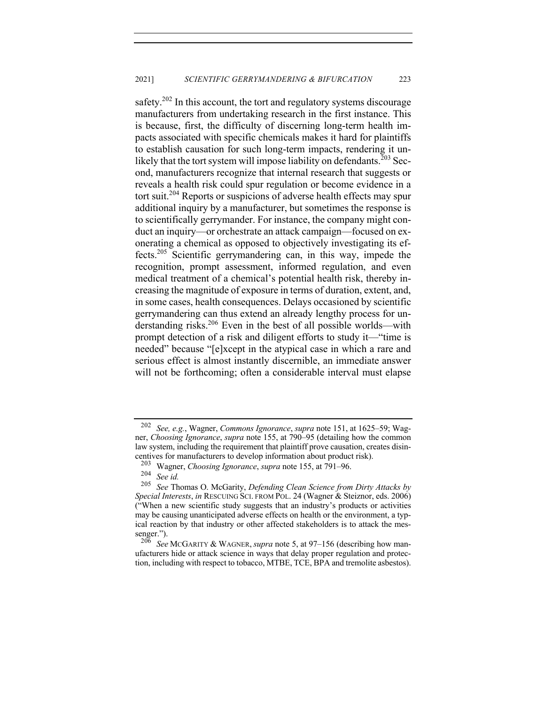safety.<sup>202</sup> In this account, the tort and regulatory systems discourage manufacturers from undertaking research in the first instance. This is because, first, the difficulty of discerning long-term health impacts associated with specific chemicals makes it hard for plaintiffs to establish causation for such long-term impacts, rendering it unlikely that the tort system will impose liability on defendants.<sup>203</sup> Second, manufacturers recognize that internal research that suggests or reveals a health risk could spur regulation or become evidence in a tort suit.<sup>204</sup> Reports or suspicions of adverse health effects may spur additional inquiry by a manufacturer, but sometimes the response is to scientifically gerrymander. For instance, the company might conduct an inquiry—or orchestrate an attack campaign—focused on exonerating a chemical as opposed to objectively investigating its effects.205 Scientific gerrymandering can, in this way, impede the recognition, prompt assessment, informed regulation, and even medical treatment of a chemical's potential health risk, thereby increasing the magnitude of exposure in terms of duration, extent, and, in some cases, health consequences. Delays occasioned by scientific gerrymandering can thus extend an already lengthy process for understanding risks.<sup>206</sup> Even in the best of all possible worlds—with prompt detection of a risk and diligent efforts to study it—"time is needed" because "[e]xcept in the atypical case in which a rare and serious effect is almost instantly discernible, an immediate answer will not be forthcoming; often a considerable interval must elapse

<sup>202</sup> *See, e.g.*, Wagner, *Commons Ignorance*, *supra* note 151, at 1625–59; Wagner, *Choosing Ignorance*, *supra* note 155, at 790–95 (detailing how the common law system, including the requirement that plaintiff prove causation, creates disincentives for manufacturers to develop information about product risk).<br><sup>203</sup> Wegner Chaosing Ignorance, supra poto 155 at 701, 06

<sup>203</sup> Wagner, *Choosing Ignorance*, *supra* note 155, at 791–96.

<sup>204</sup> *See id.*

See Thomas O. McGarity, *Defending Clean Science from Dirty Attacks by Special Interests*, *in* RESCUING SCI. FROM POL. 24 (Wagner & Steiznor, eds. 2006) ("When a new scientific study suggests that an industry's products or activities may be causing unanticipated adverse effects on health or the environment, a typical reaction by that industry or other affected stakeholders is to attack the messenger.").

See McGARITY & WAGNER, *supra* note 5, at 97-156 (describing how manufacturers hide or attack science in ways that delay proper regulation and protection, including with respect to tobacco, MTBE, TCE, BPA and tremolite asbestos).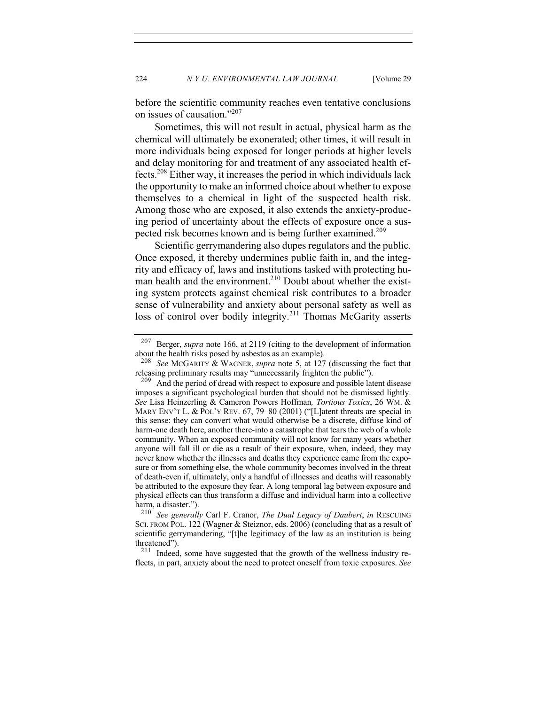before the scientific community reaches even tentative conclusions on issues of causation."207

Sometimes, this will not result in actual, physical harm as the chemical will ultimately be exonerated; other times, it will result in more individuals being exposed for longer periods at higher levels and delay monitoring for and treatment of any associated health effects.208 Either way, it increases the period in which individuals lack the opportunity to make an informed choice about whether to expose themselves to a chemical in light of the suspected health risk. Among those who are exposed, it also extends the anxiety-producing period of uncertainty about the effects of exposure once a suspected risk becomes known and is being further examined.<sup>209</sup>

Scientific gerrymandering also dupes regulators and the public. Once exposed, it thereby undermines public faith in, and the integrity and efficacy of, laws and institutions tasked with protecting human health and the environment.<sup>210</sup> Doubt about whether the existing system protects against chemical risk contributes to a broader sense of vulnerability and anxiety about personal safety as well as loss of control over bodily integrity.<sup>211</sup> Thomas McGarity asserts

<sup>207</sup> Berger, *supra* note 166, at 2119 (citing to the development of information about the health risks posed by asbestos as an example).

<sup>208</sup> *See* MCGARITY & WAGNER, *supra* note 5, at 127 (discussing the fact that releasing preliminary results may "unnecessarily frighten the public").

<sup>&</sup>lt;sup>209</sup> And the period of dread with respect to exposure and possible latent disease imposes a significant psychological burden that should not be dismissed lightly. *See* Lisa Heinzerling & Cameron Powers Hoffman*, Tortious Toxics*, 26 WM. & MARY ENV'T L. & POL'Y REV. 67, 79–80 (2001) ("[L]atent threats are special in this sense: they can convert what would otherwise be a discrete, diffuse kind of harm-one death here, another there-into a catastrophe that tears the web of a whole community. When an exposed community will not know for many years whether anyone will fall ill or die as a result of their exposure, when, indeed, they may never know whether the illnesses and deaths they experience came from the exposure or from something else, the whole community becomes involved in the threat of death-even if, ultimately, only a handful of illnesses and deaths will reasonably be attributed to the exposure they fear. A long temporal lag between exposure and physical effects can thus transform a diffuse and individual harm into a collective harm, a disaster.").<br> $\frac{210}{\text{Soe}}$  generall

<sup>210</sup> *See generally* Carl F. Cranor, *The Dual Legacy of Daubert*, *in* RESCUING SCI. FROM POL. 122 (Wagner & Steiznor, eds. 2006) (concluding that as a result of scientific gerrymandering, "[t]he legitimacy of the law as an institution is being threatened").

 $211$  Indeed, some have suggested that the growth of the wellness industry reflects, in part, anxiety about the need to protect oneself from toxic exposures. *See*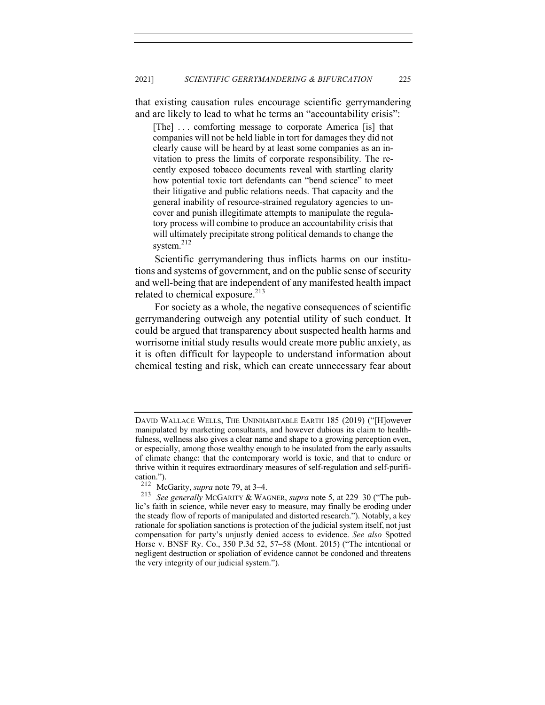that existing causation rules encourage scientific gerrymandering and are likely to lead to what he terms an "accountability crisis":

[The] . . . comforting message to corporate America [is] that companies will not be held liable in tort for damages they did not clearly cause will be heard by at least some companies as an invitation to press the limits of corporate responsibility. The recently exposed tobacco documents reveal with startling clarity how potential toxic tort defendants can "bend science" to meet their litigative and public relations needs. That capacity and the general inability of resource-strained regulatory agencies to uncover and punish illegitimate attempts to manipulate the regulatory process will combine to produce an accountability crisis that will ultimately precipitate strong political demands to change the system.<sup>212</sup>

Scientific gerrymandering thus inflicts harms on our institutions and systems of government, and on the public sense of security and well-being that are independent of any manifested health impact related to chemical exposure.<sup>213</sup>

For society as a whole, the negative consequences of scientific gerrymandering outweigh any potential utility of such conduct. It could be argued that transparency about suspected health harms and worrisome initial study results would create more public anxiety, as it is often difficult for laypeople to understand information about chemical testing and risk, which can create unnecessary fear about

DAVID WALLACE WELLS, THE UNINHABITABLE EARTH 185 (2019) ("[H]owever manipulated by marketing consultants, and however dubious its claim to healthfulness, wellness also gives a clear name and shape to a growing perception even, or especially, among those wealthy enough to be insulated from the early assaults of climate change: that the contemporary world is toxic, and that to endure or thrive within it requires extraordinary measures of self-regulation and self-purification.").<br> $^{212}$  Me

McGarity, *supra* note 79, at 3–4.

<sup>213</sup> *See generally* MCGARITY & WAGNER, *supra* note 5, at 229–30 ("The public's faith in science, while never easy to measure, may finally be eroding under the steady flow of reports of manipulated and distorted research."). Notably, a key rationale for spoliation sanctions is protection of the judicial system itself, not just compensation for party's unjustly denied access to evidence. *See also* Spotted Horse v. BNSF Ry. Co., 350 P.3d 52, 57–58 (Mont. 2015) ("The intentional or negligent destruction or spoliation of evidence cannot be condoned and threatens the very integrity of our judicial system.").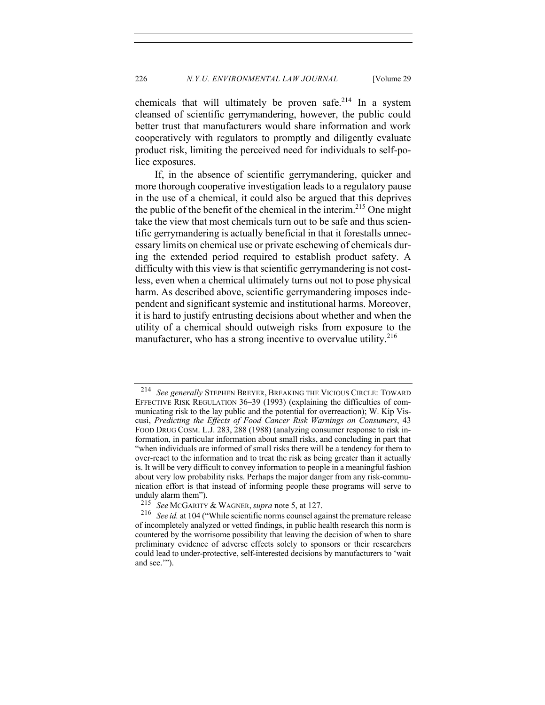chemicals that will ultimately be proven safe.<sup>214</sup> In a system cleansed of scientific gerrymandering, however, the public could better trust that manufacturers would share information and work cooperatively with regulators to promptly and diligently evaluate product risk, limiting the perceived need for individuals to self-police exposures.

If, in the absence of scientific gerrymandering, quicker and more thorough cooperative investigation leads to a regulatory pause in the use of a chemical, it could also be argued that this deprives the public of the benefit of the chemical in the interim.<sup>215</sup> One might take the view that most chemicals turn out to be safe and thus scientific gerrymandering is actually beneficial in that it forestalls unnecessary limits on chemical use or private eschewing of chemicals during the extended period required to establish product safety. A difficulty with this view is that scientific gerrymandering is not costless, even when a chemical ultimately turns out not to pose physical harm. As described above, scientific gerrymandering imposes independent and significant systemic and institutional harms. Moreover, it is hard to justify entrusting decisions about whether and when the utility of a chemical should outweigh risks from exposure to the manufacturer, who has a strong incentive to overvalue utility. $216$ 

<sup>214</sup> *See generally* STEPHEN BREYER, BREAKING THE VICIOUS CIRCLE: TOWARD EFFECTIVE RISK REGULATION 36–39 (1993) (explaining the difficulties of communicating risk to the lay public and the potential for overreaction); W. Kip Viscusi, *Predicting the Effects of Food Cancer Risk Warnings on Consumers*, 43 FOOD DRUG COSM. L.J. 283, 288 (1988) (analyzing consumer response to risk information, in particular information about small risks, and concluding in part that "when individuals are informed of small risks there will be a tendency for them to over-react to the information and to treat the risk as being greater than it actually is. It will be very difficult to convey information to people in a meaningful fashion about very low probability risks. Perhaps the major danger from any risk-communication effort is that instead of informing people these programs will serve to unduly alarm them").<br> $^{215}$  See MCGABITY

See McGARITY & WAGNER, *supra* note 5, at 127.

<sup>216</sup> *See id.* at 104 ("While scientific norms counsel against the premature release of incompletely analyzed or vetted findings, in public health research this norm is countered by the worrisome possibility that leaving the decision of when to share preliminary evidence of adverse effects solely to sponsors or their researchers could lead to under-protective, self-interested decisions by manufacturers to 'wait and see.'").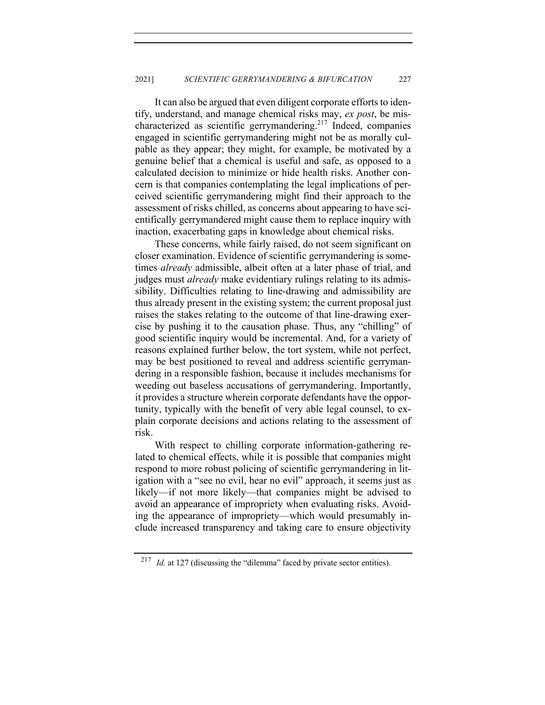It can also be argued that even diligent corporate efforts to identify, understand, and manage chemical risks may, *ex post*, be mischaracterized as scientific gerrymandering. <sup>217</sup> Indeed, companies engaged in scientific gerrymandering might not be as morally culpable as they appear; they might, for example, be motivated by a genuine belief that a chemical is useful and safe, as opposed to a calculated decision to minimize or hide health risks. Another concern is that companies contemplating the legal implications of perceived scientific gerrymandering might find their approach to the assessment of risks chilled, as concerns about appearing to have scientifically gerrymandered might cause them to replace inquiry with inaction, exacerbating gaps in knowledge about chemical risks.

These concerns, while fairly raised, do not seem significant on closer examination. Evidence of scientific gerrymandering is sometimes *already* admissible, albeit often at a later phase of trial, and judges must *already* make evidentiary rulings relating to its admissibility. Difficulties relating to line-drawing and admissibility are thus already present in the existing system; the current proposal just raises the stakes relating to the outcome of that line-drawing exercise by pushing it to the causation phase. Thus, any "chilling" of good scientific inquiry would be incremental. And, for a variety of reasons explained further below, the tort system, while not perfect, may be best positioned to reveal and address scientific gerrymandering in a responsible fashion, because it includes mechanisms for weeding out baseless accusations of gerrymandering. Importantly, it provides a structure wherein corporate defendants have the opportunity, typically with the benefit of very able legal counsel, to explain corporate decisions and actions relating to the assessment of risk.

With respect to chilling corporate information-gathering related to chemical effects, while it is possible that companies might respond to more robust policing of scientific gerrymandering in litigation with a "see no evil, hear no evil" approach, it seems just as likely—if not more likely—that companies might be advised to avoid an appearance of impropriety when evaluating risks. Avoiding the appearance of impropriety—which would presumably include increased transparency and taking care to ensure objectivity

<sup>&</sup>lt;sup>217</sup> *Id.* at 127 (discussing the "dilemma" faced by private sector entities).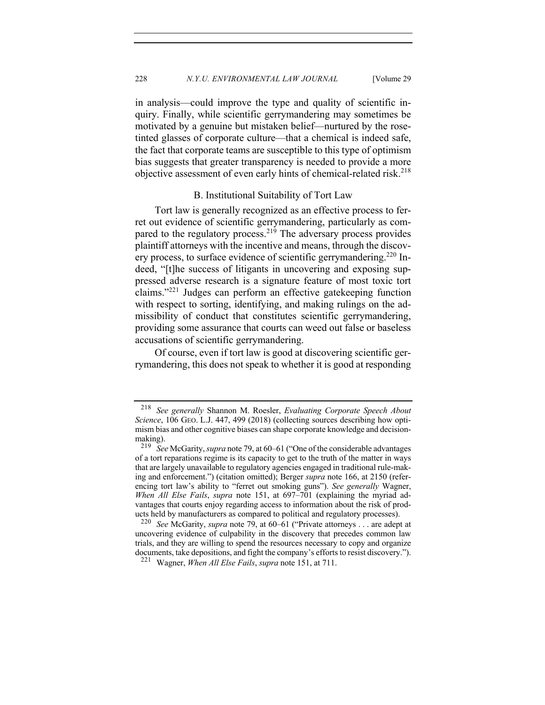in analysis—could improve the type and quality of scientific inquiry. Finally, while scientific gerrymandering may sometimes be motivated by a genuine but mistaken belief—nurtured by the rosetinted glasses of corporate culture—that a chemical is indeed safe, the fact that corporate teams are susceptible to this type of optimism bias suggests that greater transparency is needed to provide a more objective assessment of even early hints of chemical-related risk.<sup>218</sup>

#### B. Institutional Suitability of Tort Law

Tort law is generally recognized as an effective process to ferret out evidence of scientific gerrymandering, particularly as compared to the regulatory process.<sup>219</sup> The adversary process provides plaintiff attorneys with the incentive and means, through the discovery process, to surface evidence of scientific gerrymandering.<sup>220</sup> Indeed, "[t]he success of litigants in uncovering and exposing suppressed adverse research is a signature feature of most toxic tort claims."221 Judges can perform an effective gatekeeping function with respect to sorting, identifying, and making rulings on the admissibility of conduct that constitutes scientific gerrymandering, providing some assurance that courts can weed out false or baseless accusations of scientific gerrymandering.

Of course, even if tort law is good at discovering scientific gerrymandering, this does not speak to whether it is good at responding

<sup>218</sup> *See generally* Shannon M. Roesler, *Evaluating Corporate Speech About Science*, 106 GEO. L.J. 447, 499 (2018) (collecting sources describing how optimism bias and other cognitive biases can shape corporate knowledge and decisionmaking).<br> $^{219}$  See

<sup>219</sup> *See* McGarity, *supra* note 79, at 60–61 ("One of the considerable advantages of a tort reparations regime is its capacity to get to the truth of the matter in ways that are largely unavailable to regulatory agencies engaged in traditional rule-making and enforcement.") (citation omitted); Berger *supra* note 166, at 2150 (referencing tort law's ability to "ferret out smoking guns"). *See generally* Wagner, *When All Else Fails*, *supra* note 151, at 697–701 (explaining the myriad advantages that courts enjoy regarding access to information about the risk of products held by manufacturers as compared to political and regulatory processes).

See McGarity, *supra* note 79, at 60–61 ("Private attorneys . . . are adept at uncovering evidence of culpability in the discovery that precedes common law trials, and they are willing to spend the resources necessary to copy and organize documents, take depositions, and fight the company's efforts to resist discovery.").

<sup>221</sup> Wagner, *When All Else Fails*, *supra* note 151, at 711.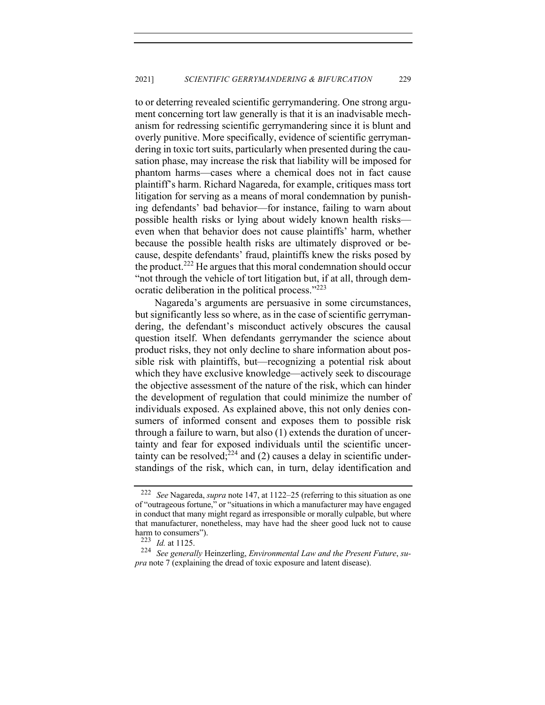to or deterring revealed scientific gerrymandering. One strong argument concerning tort law generally is that it is an inadvisable mechanism for redressing scientific gerrymandering since it is blunt and overly punitive. More specifically, evidence of scientific gerrymandering in toxic tort suits, particularly when presented during the causation phase, may increase the risk that liability will be imposed for phantom harms—cases where a chemical does not in fact cause plaintiff's harm. Richard Nagareda, for example, critiques mass tort litigation for serving as a means of moral condemnation by punishing defendants' bad behavior—for instance, failing to warn about possible health risks or lying about widely known health risks even when that behavior does not cause plaintiffs' harm, whether because the possible health risks are ultimately disproved or because, despite defendants' fraud, plaintiffs knew the risks posed by the product.<sup>222</sup> He argues that this moral condemnation should occur "not through the vehicle of tort litigation but, if at all, through democratic deliberation in the political process."<sup>223</sup>

Nagareda's arguments are persuasive in some circumstances, but significantly less so where, as in the case of scientific gerrymandering, the defendant's misconduct actively obscures the causal question itself. When defendants gerrymander the science about product risks, they not only decline to share information about possible risk with plaintiffs, but—recognizing a potential risk about which they have exclusive knowledge—actively seek to discourage the objective assessment of the nature of the risk, which can hinder the development of regulation that could minimize the number of individuals exposed. As explained above, this not only denies consumers of informed consent and exposes them to possible risk through a failure to warn, but also (1) extends the duration of uncertainty and fear for exposed individuals until the scientific uncertainty can be resolved;  $2^{24}$  and (2) causes a delay in scientific understandings of the risk, which can, in turn, delay identification and

<sup>222</sup> *See* Nagareda, *supra* note 147, at 1122–25 (referring to this situation as one of "outrageous fortune," or "situations in which a manufacturer may have engaged in conduct that many might regard as irresponsible or morally culpable, but where that manufacturer, nonetheless, may have had the sheer good luck not to cause harm to consumers").<br> $^{223}$  *Id at* 1125

*Id.* at 1125.

<sup>224</sup> *See generally* Heinzerling, *Environmental Law and the Present Future*, *supra* note 7 (explaining the dread of toxic exposure and latent disease).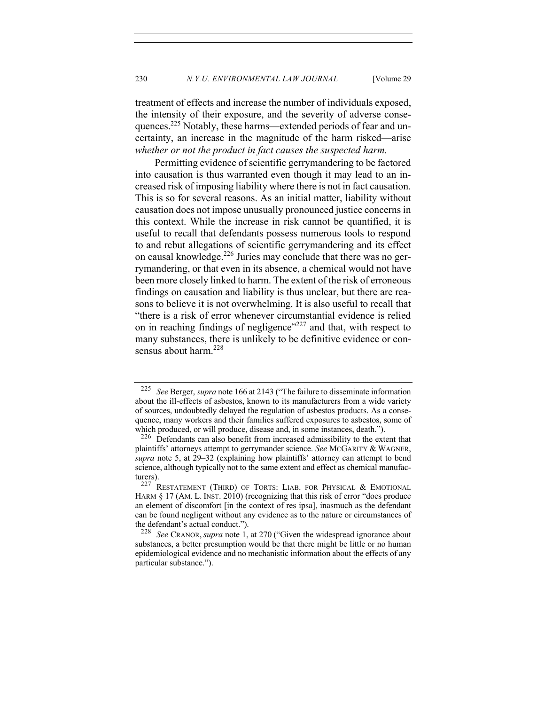230 *N.Y.U. ENVIRONMENTAL LAW JOURNAL* [Volume 29

treatment of effects and increase the number of individuals exposed, the intensity of their exposure, and the severity of adverse consequences.225 Notably, these harms—extended periods of fear and uncertainty, an increase in the magnitude of the harm risked—arise *whether or not the product in fact causes the suspected harm.*

Permitting evidence of scientific gerrymandering to be factored into causation is thus warranted even though it may lead to an increased risk of imposing liability where there is not in fact causation. This is so for several reasons. As an initial matter, liability without causation does not impose unusually pronounced justice concerns in this context. While the increase in risk cannot be quantified, it is useful to recall that defendants possess numerous tools to respond to and rebut allegations of scientific gerrymandering and its effect on causal knowledge.<sup>226</sup> Juries may conclude that there was no gerrymandering, or that even in its absence, a chemical would not have been more closely linked to harm. The extent of the risk of erroneous findings on causation and liability is thus unclear, but there are reasons to believe it is not overwhelming. It is also useful to recall that "there is a risk of error whenever circumstantial evidence is relied on in reaching findings of negligence"<sup>227</sup> and that, with respect to many substances, there is unlikely to be definitive evidence or consensus about harm.<sup>228</sup>

<sup>225</sup> *See* Berger, *supra* note 166 at 2143 ("The failure to disseminate information about the ill-effects of asbestos, known to its manufacturers from a wide variety of sources, undoubtedly delayed the regulation of asbestos products. As a consequence, many workers and their families suffered exposures to asbestos, some of which produced, or will produce, disease and, in some instances, death.").

 $226$  Defendants can also benefit from increased admissibility to the extent that plaintiffs' attorneys attempt to gerrymander science. *See* MCGARITY & WAGNER, *supra* note 5, at 29–32 (explaining how plaintiffs' attorney can attempt to bend science, although typically not to the same extent and effect as chemical manufacturers).<br> $227 \text{ T}$ 

RESTATEMENT (THIRD) OF TORTS: LIAB. FOR PHYSICAL & EMOTIONAL HARM § 17 (AM. L. INST. 2010) (recognizing that this risk of error "does produce an element of discomfort [in the context of res ipsa], inasmuch as the defendant can be found negligent without any evidence as to the nature or circumstances of the defendant's actual conduct.").

<sup>228</sup> *See* CRANOR, *supra* note 1, at 270 ("Given the widespread ignorance about substances, a better presumption would be that there might be little or no human epidemiological evidence and no mechanistic information about the effects of any particular substance.").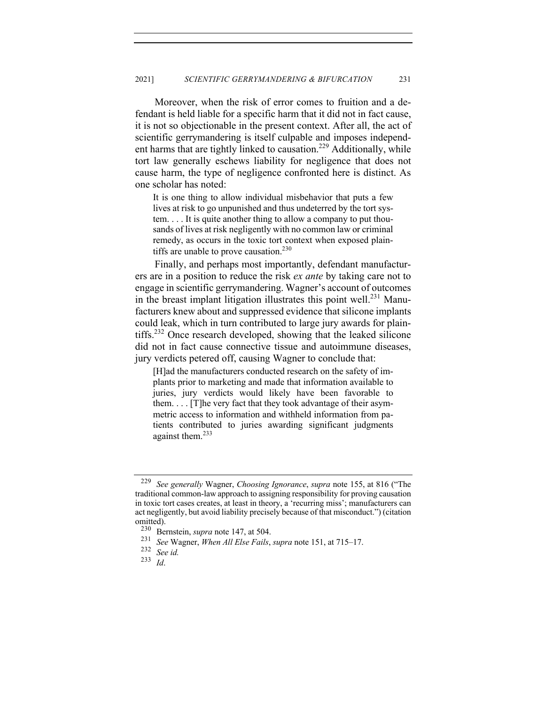Moreover, when the risk of error comes to fruition and a defendant is held liable for a specific harm that it did not in fact cause, it is not so objectionable in the present context. After all, the act of scientific gerrymandering is itself culpable and imposes independent harms that are tightly linked to causation.<sup>229</sup> Additionally, while tort law generally eschews liability for negligence that does not cause harm, the type of negligence confronted here is distinct. As one scholar has noted:

It is one thing to allow individual misbehavior that puts a few lives at risk to go unpunished and thus undeterred by the tort system. . . . It is quite another thing to allow a company to put thousands of lives at risk negligently with no common law or criminal remedy, as occurs in the toxic tort context when exposed plaintiffs are unable to prove causation.<sup>230</sup>

Finally, and perhaps most importantly, defendant manufacturers are in a position to reduce the risk *ex ante* by taking care not to engage in scientific gerrymandering. Wagner's account of outcomes in the breast implant litigation illustrates this point well.<sup>231</sup> Manufacturers knew about and suppressed evidence that silicone implants could leak, which in turn contributed to large jury awards for plaintiffs.<sup>232</sup> Once research developed, showing that the leaked silicone did not in fact cause connective tissue and autoimmune diseases, jury verdicts petered off, causing Wagner to conclude that:

[H]ad the manufacturers conducted research on the safety of implants prior to marketing and made that information available to juries, jury verdicts would likely have been favorable to them. . . . [T]he very fact that they took advantage of their asymmetric access to information and withheld information from patients contributed to juries awarding significant judgments against them.<sup>233</sup>

<sup>229</sup> *See generally* Wagner, *Choosing Ignorance*, *supra* note 155, at 816 ("The traditional common-law approach to assigning responsibility for proving causation in toxic tort cases creates, at least in theory, a 'recurring miss'; manufacturers can act negligently, but avoid liability precisely because of that misconduct.") (citation omitted).

<sup>&</sup>lt;sup>230</sup> Bernstein, *supra* note 147, at 504.<br><sup>231</sup> See Wagner, When All Else Egils

<sup>231</sup> *See* Wagner, *When All Else Fails*, *supra* note 151, at 715–17.

<sup>232</sup> *See id.*

<sup>233</sup> *Id*.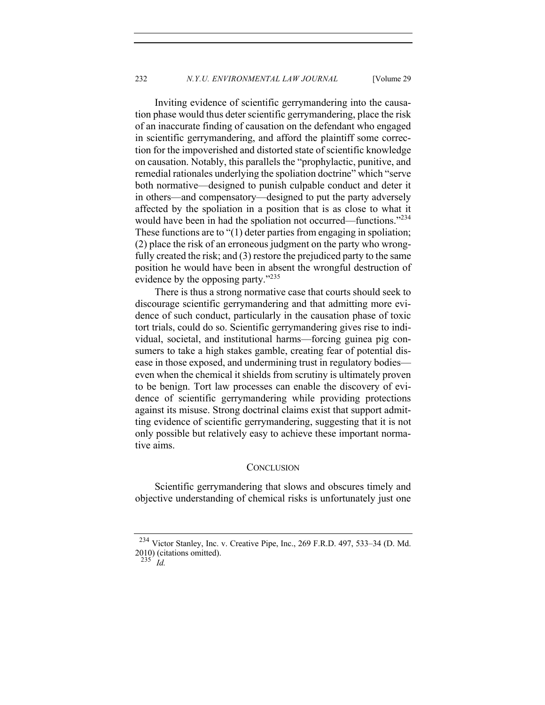Inviting evidence of scientific gerrymandering into the causation phase would thus deter scientific gerrymandering, place the risk of an inaccurate finding of causation on the defendant who engaged in scientific gerrymandering, and afford the plaintiff some correction for the impoverished and distorted state of scientific knowledge on causation. Notably, this parallels the "prophylactic, punitive, and remedial rationales underlying the spoliation doctrine" which "serve both normative—designed to punish culpable conduct and deter it in others—and compensatory—designed to put the party adversely affected by the spoliation in a position that is as close to what it would have been in had the spoliation not occurred—functions."<sup>234</sup> These functions are to "(1) deter parties from engaging in spoliation; (2) place the risk of an erroneous judgment on the party who wrongfully created the risk; and (3) restore the prejudiced party to the same position he would have been in absent the wrongful destruction of evidence by the opposing party."235

There is thus a strong normative case that courts should seek to discourage scientific gerrymandering and that admitting more evidence of such conduct, particularly in the causation phase of toxic tort trials, could do so. Scientific gerrymandering gives rise to individual, societal, and institutional harms—forcing guinea pig consumers to take a high stakes gamble, creating fear of potential disease in those exposed, and undermining trust in regulatory bodies even when the chemical it shields from scrutiny is ultimately proven to be benign. Tort law processes can enable the discovery of evidence of scientific gerrymandering while providing protections against its misuse. Strong doctrinal claims exist that support admitting evidence of scientific gerrymandering, suggesting that it is not only possible but relatively easy to achieve these important normative aims.

#### **CONCLUSION**

Scientific gerrymandering that slows and obscures timely and objective understanding of chemical risks is unfortunately just one

<sup>234</sup> Victor Stanley, Inc. v. Creative Pipe, Inc., 269 F.R.D. 497, 533–34 (D. Md. 2010) (citations omitted).

<sup>235</sup> *Id.*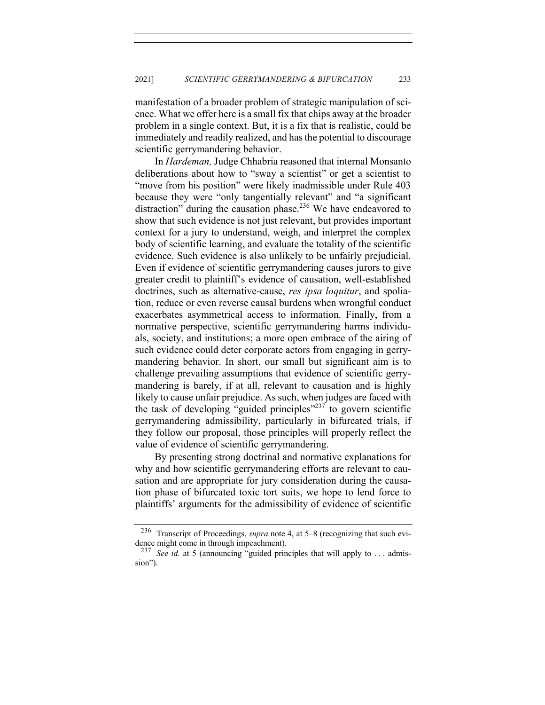manifestation of a broader problem of strategic manipulation of science. What we offer here is a small fix that chips away at the broader problem in a single context. But, it is a fix that is realistic, could be immediately and readily realized, and has the potential to discourage scientific gerrymandering behavior.

In *Hardeman,* Judge Chhabria reasoned that internal Monsanto deliberations about how to "sway a scientist" or get a scientist to "move from his position" were likely inadmissible under Rule 403 because they were "only tangentially relevant" and "a significant distraction" during the causation phase.<sup>236</sup> We have endeavored to show that such evidence is not just relevant, but provides important context for a jury to understand, weigh, and interpret the complex body of scientific learning, and evaluate the totality of the scientific evidence. Such evidence is also unlikely to be unfairly prejudicial. Even if evidence of scientific gerrymandering causes jurors to give greater credit to plaintiff's evidence of causation, well-established doctrines, such as alternative-cause, *res ipsa loquitur*, and spoliation, reduce or even reverse causal burdens when wrongful conduct exacerbates asymmetrical access to information. Finally, from a normative perspective, scientific gerrymandering harms individuals, society, and institutions; a more open embrace of the airing of such evidence could deter corporate actors from engaging in gerrymandering behavior. In short, our small but significant aim is to challenge prevailing assumptions that evidence of scientific gerrymandering is barely, if at all, relevant to causation and is highly likely to cause unfair prejudice. As such, when judges are faced with the task of developing "guided principles"<sup>237</sup> to govern scientific gerrymandering admissibility, particularly in bifurcated trials, if they follow our proposal, those principles will properly reflect the value of evidence of scientific gerrymandering.

By presenting strong doctrinal and normative explanations for why and how scientific gerrymandering efforts are relevant to causation and are appropriate for jury consideration during the causation phase of bifurcated toxic tort suits, we hope to lend force to plaintiffs' arguments for the admissibility of evidence of scientific

<sup>236</sup> Transcript of Proceedings, *supra* note 4, at 5–8 (recognizing that such evidence might come in through impeachment).

<sup>237</sup> *See id.* at 5 (announcing "guided principles that will apply to . . . admission").